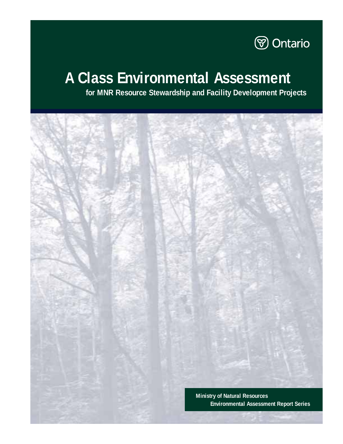

# **A Class Environmental Assessment**

**for MNR Resource Stewardship and Facility Development Projects**

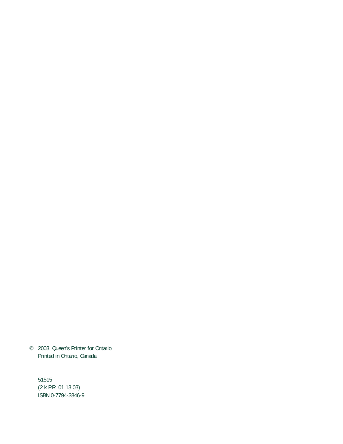© 2003, Queen's Printer for Ontario Printed in Ontario, Canada

51515 (2 k P.R. 01 13 03) ISBN 0-7794-3846-9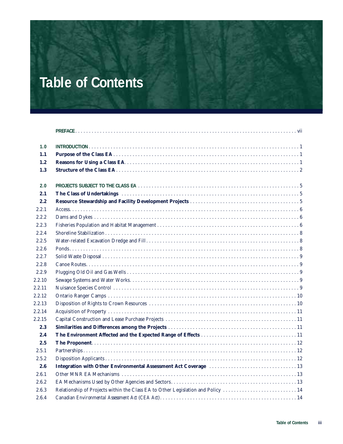# **Table of Contents**

| 1.0    |                                                                                  |
|--------|----------------------------------------------------------------------------------|
| 1.1    |                                                                                  |
| 1.2    |                                                                                  |
| 1.3    |                                                                                  |
| 2.0    |                                                                                  |
| 2.1    |                                                                                  |
| 2.2    |                                                                                  |
| 2.2.1  |                                                                                  |
| 2.2.2  |                                                                                  |
| 2.2.3  |                                                                                  |
| 2.2.4  |                                                                                  |
| 2.2.5  |                                                                                  |
| 2.2.6  |                                                                                  |
| 2.2.7  |                                                                                  |
| 2.2.8  |                                                                                  |
| 2.2.9  |                                                                                  |
| 2.2.10 |                                                                                  |
| 2.2.11 |                                                                                  |
| 2.2.12 |                                                                                  |
| 2.2.13 |                                                                                  |
| 2.2.14 |                                                                                  |
| 2.2.15 |                                                                                  |
| 2.3    |                                                                                  |
| 2.4    |                                                                                  |
| 2.5    |                                                                                  |
| 2.5.1  |                                                                                  |
| 2.5.2  |                                                                                  |
| 2.6    |                                                                                  |
| 2.6.1  |                                                                                  |
| 2.6.2  |                                                                                  |
| 2.6.3  | Relationship of Projects within the Class EA to Other Legislation and Policy  14 |
| 2.6.4  |                                                                                  |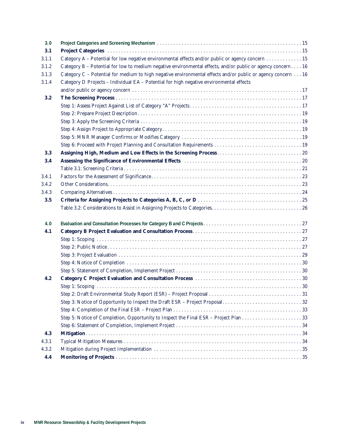| 3.0   |                                                                                                             |  |  |  |  |  |  |  |  |  |
|-------|-------------------------------------------------------------------------------------------------------------|--|--|--|--|--|--|--|--|--|
| 3.1   |                                                                                                             |  |  |  |  |  |  |  |  |  |
| 3.1.1 | Category A - Potential for low negative environmental effects and/or public or agency concern 15            |  |  |  |  |  |  |  |  |  |
| 3.1.2 | Category B - Potential for low to medium negative environmental effects, and/or public or agency concern 16 |  |  |  |  |  |  |  |  |  |
| 3.1.3 | Category C - Potential for medium to high negative environmental effects and/or public or agency concern 16 |  |  |  |  |  |  |  |  |  |
| 3.1.4 | Category D Projects - Individual EA - Potential for high negative environmental effects                     |  |  |  |  |  |  |  |  |  |
|       |                                                                                                             |  |  |  |  |  |  |  |  |  |
| 3.2   |                                                                                                             |  |  |  |  |  |  |  |  |  |
|       |                                                                                                             |  |  |  |  |  |  |  |  |  |
|       |                                                                                                             |  |  |  |  |  |  |  |  |  |
|       |                                                                                                             |  |  |  |  |  |  |  |  |  |
|       |                                                                                                             |  |  |  |  |  |  |  |  |  |
|       |                                                                                                             |  |  |  |  |  |  |  |  |  |
|       |                                                                                                             |  |  |  |  |  |  |  |  |  |
| 3.3   |                                                                                                             |  |  |  |  |  |  |  |  |  |
| 3.4   |                                                                                                             |  |  |  |  |  |  |  |  |  |
|       |                                                                                                             |  |  |  |  |  |  |  |  |  |
| 3.4.1 |                                                                                                             |  |  |  |  |  |  |  |  |  |
| 3.4.2 |                                                                                                             |  |  |  |  |  |  |  |  |  |
| 3.4.3 |                                                                                                             |  |  |  |  |  |  |  |  |  |
| 3.5   |                                                                                                             |  |  |  |  |  |  |  |  |  |
|       |                                                                                                             |  |  |  |  |  |  |  |  |  |
| 4.0   |                                                                                                             |  |  |  |  |  |  |  |  |  |
| 4.1   |                                                                                                             |  |  |  |  |  |  |  |  |  |
|       |                                                                                                             |  |  |  |  |  |  |  |  |  |
|       |                                                                                                             |  |  |  |  |  |  |  |  |  |
|       |                                                                                                             |  |  |  |  |  |  |  |  |  |
|       |                                                                                                             |  |  |  |  |  |  |  |  |  |
|       |                                                                                                             |  |  |  |  |  |  |  |  |  |
| 4.2   |                                                                                                             |  |  |  |  |  |  |  |  |  |
|       |                                                                                                             |  |  |  |  |  |  |  |  |  |
|       |                                                                                                             |  |  |  |  |  |  |  |  |  |
|       |                                                                                                             |  |  |  |  |  |  |  |  |  |
|       |                                                                                                             |  |  |  |  |  |  |  |  |  |
|       |                                                                                                             |  |  |  |  |  |  |  |  |  |
|       |                                                                                                             |  |  |  |  |  |  |  |  |  |
| 4.3   |                                                                                                             |  |  |  |  |  |  |  |  |  |
| 4.3.1 |                                                                                                             |  |  |  |  |  |  |  |  |  |
| 4.3.2 |                                                                                                             |  |  |  |  |  |  |  |  |  |
| 4.4   |                                                                                                             |  |  |  |  |  |  |  |  |  |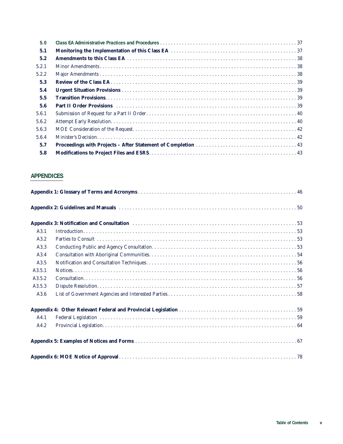| 5.0   |                                     |
|-------|-------------------------------------|
| 5.1   |                                     |
| 5.2   |                                     |
| 5.2.1 |                                     |
| 5.2.2 |                                     |
| 5.3   |                                     |
| 5.4   |                                     |
| 5.5   |                                     |
| 5.6   | Part II Order Provisions (1990) 239 |
| 5.6.1 |                                     |
| 5.6.2 |                                     |
| 5.6.3 |                                     |
| 5.6.4 |                                     |
| 5.7   |                                     |
| 5.8   |                                     |

# **APPENDICES**

| A3.1   |  |  |  |  |  |  |
|--------|--|--|--|--|--|--|
| A3.2   |  |  |  |  |  |  |
| A3.3   |  |  |  |  |  |  |
| A3.4   |  |  |  |  |  |  |
| A3.5   |  |  |  |  |  |  |
| A3.5.1 |  |  |  |  |  |  |
| A3.5.2 |  |  |  |  |  |  |
| A3.5.3 |  |  |  |  |  |  |
| A3.6   |  |  |  |  |  |  |
|        |  |  |  |  |  |  |
| A4.1   |  |  |  |  |  |  |
| A4.2   |  |  |  |  |  |  |
|        |  |  |  |  |  |  |
|        |  |  |  |  |  |  |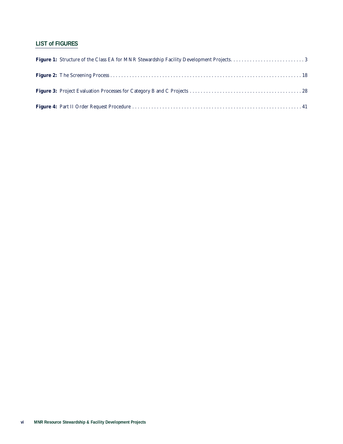# **LIST of FIGURES**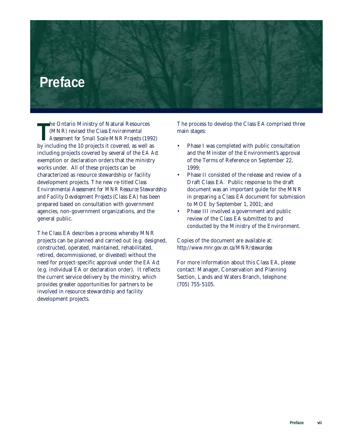# **Preface**

The Ontario Ministry of Natural Resources<br>
(MNR) revised the *Class Environmental*<br> *Assessment for Small Scale MNR Projects* (199)<br>
by including the 10 projects it covered, as well as he Ontario Ministry of Natural Resources (MNR) revised the *Class Environmental Assessment for Small Scale MNR Projects* (1992) including projects covered by several of the *EA Act* exemption or declaration orders that the ministry works under. All of these projects can be characterized as resource stewardship or facility development projects. The new re-titled *Class Environmental Assessment for MNR Resource Stewardship and Facility Development Projects* (Class EA) has been prepared based on consultation with government agencies, non-government organizations, and the general public.

The Class EA describes a process whereby MNR projects can be planned and carried out (e.g. designed, constructed, operated, maintained, rehabilitated, retired, decommissioned, or divested) without the need for project-specific approval under the *EA Act* (e.g. individual EA or declaration order). It reflects the current service delivery by the ministry, which provides greater opportunities for partners to be involved in resource stewardship and facility development projects.

The process to develop the Class EA comprised three main stages:

- Phase I was completed with public consultation and the Minister of the Environment's approval of the Terms of Reference on September 22, 1999;
- Phase II consisted of the release and review of a Draft Class EA. Public response to the draft document was an important guide for the MNR in preparing a Class EA document for submission to MOE by September 1, 2001; and
- Phase III involved a government and public review of the Class EA submitted to and conducted by the Ministry of the Environment.

Copies of the document are available at: *http://www.mnr.gov.on.ca/MNR/stewardea* 

For more information about this Class EA, please contact: Manager, Conservation and Planning Section, Lands and Waters Branch, telephone (705) 755-5105.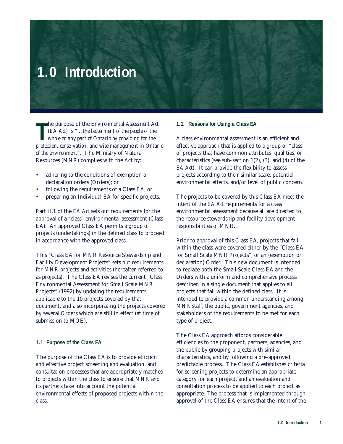# **1.0 Introduction**

**The purpose of the Environmental Assessment Act** (EA Act) is "...the betterment of the people of the whole or any part of Ontario by providing for the protection, conservation, and wise management in Ontario he purpose of the *Environmental Assessment Act (EA Act)* is "…*the betterment of the people of the whole or any part of Ontario by providing for the of the environment"*. The Ministry of Natural Resources (MNR) complies with the Act by:

- adhering to the conditions of exemption or declaration orders (Orders); or
- following the requirements of a Class EA; or
- preparing an Individual EA for specific projects.

Part II.1 of the *EA Act* sets out requirements for the approval of a "class" environmental assessment (Class EA). An approved Class EA permits a group of projects (undertakings) in the defined class to proceed in accordance with the approved class.

This "Class EA for MNR Resource Stewardship and Facility Development Projects" sets out requirements for MNR projects and activities (hereafter referred to as projects). The Class EA revises the current "Class Environmental Assessment for Small Scale MNR Projects" (1992) by updating the requirements applicable to the 10 projects covered by that document, and also incorporating the projects covered by several Orders which are still in effect (at time of submission to MOE).

### **1.1 Purpose of the Class EA**

The purpose of the Class EA is to provide efficient and effective project screening and evaluation, and consultation processes that are appropriately matched to projects within the class to ensure that MNR and its partners take into account the potential environmental effects of proposed projects within the class.

#### **1.2 Reasons for Using a Class EA**

A class environmental assessment is an efficient and effective approach that is applied to a group or "class" of projects that have common attributes, qualities, or characteristics (see sub-section 1(2), (3), and (4) of the *EA Act*). It can provide the flexibility to assess projects according to their similar scale, potential environmental effects, and/or level of public concern.

The projects to be covered by this Class EA meet the intent of the *EA Act* requirements for a class environmental assessment because all are directed to the resource stewardship and facility development responsibilities of MNR.

Prior to approval of this Class EA, projects that fall within the class were covered either by the "Class EA for Small Scale MNR Projects", or an (exemption or declaration) Order. This new document is intended to replace both the Small Scale Class EA and the Orders with a uniform and comprehensive process described in a single document that applies to all projects that fall within the defined class. It is intended to provide a common understanding among MNR staff, the public, government agencies, and stakeholders of the requirements to be met for each type of project.

The Class EA approach affords considerable efficiencies to the proponent, partners, agencies, and the public by grouping projects with similar characteristics, and by following a pre-approved, predictable process. The Class EA establishes criteria for screening projects to determine an appropriate category for each project, and an evaluation and consultation process to be applied to each project as appropriate. The process that is implemented through approval of the Class EA ensures that the intent of the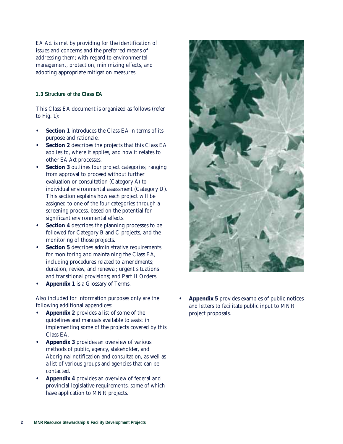*EA Act* is met by providing for the identification of issues and concerns and the preferred means of addressing them; with regard to environmental management, protection, minimizing effects, and adopting appropriate mitigation measures.

# **1.3 Structure of the Class EA**

This Class EA document is organized as follows (refer to Fig. 1):

- **• Section 1** introduces the Class EA in terms of its purpose and rationale.
- **• Section 2** describes the projects that this Class EA applies to, where it applies, and how it relates to other *EA Act* processes.
- **• Section 3** outlines four project categories, ranging from approval to proceed without further evaluation or consultation (Category A) to individual environmental assessment (Category D). This section explains how each project will be assigned to one of the four categories through a screening process, based on the potential for significant environmental effects.
- **• Section 4** describes the planning processes to be followed for Category B and C projects, and the monitoring of those projects.
- **Section 5** describes administrative requirements for monitoring and maintaining the Class EA, including procedures related to amendments; duration, review, and renewal; urgent situations and transitional provisions; and Part II Orders.
- **• Appendix 1** is a Glossary of Terms.

Also included for information purposes only are the following additional appendices:

- **• Appendix 2** provides a list of some of the guidelines and manuals available to assist in implementing some of the projects covered by this Class EA.
- **• Appendix 3** provides an overview of various methods of public, agency, stakeholder, and Aboriginal notification and consultation, as well as a list of various groups and agencies that can be contacted.
- **• Appendix 4** provides an overview of federal and provincial legislative requirements, some of which have application to MNR projects.



**• Appendix 5** provides examples of public notices and letters to facilitate public input to MNR project proposals.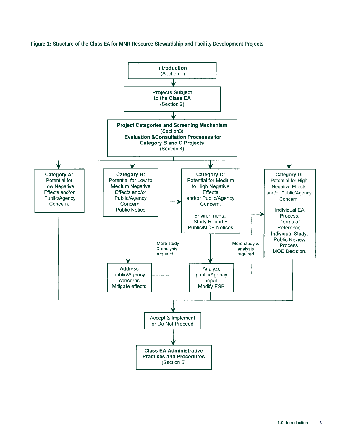**Figure 1: Structure of the Class EA for MNR Resource Stewardship and Facility Development Projects**

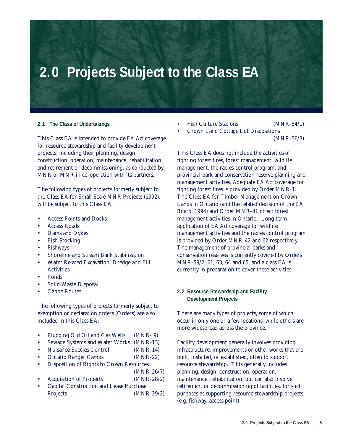# **2.0 Projects Subject to the Class EA**

### **2.1 The Class of Undertakings**

This Class EA is intended to provide *EA Act* coverage for resource stewardship and facility development projects, including their planning, design, construction, operation, maintenance, rehabilitation, and retirement or decommissioning, as conducted by MNR or MNR in co-operation with its partners.

The following types of projects formerly subject to the Class EA for Small Scale MNR Projects (1992), will be subject to this Class EA:

- Access Points and Docks
- Access Roads
- Dams and Dykes
- Fish Stocking
- **Fishways**
- Shoreline and Stream Bank Stabilization
- Water Related Excavation, Dredge and Fill **Activities**
- Ponds
- Solid Waste Disposal
- Canoe Routes

The following types of projects formerly subject to exemption or declaration orders (Orders) are also included in this Class EA:

- Plugging Old Oil and Gas Wells (MNR- 9)
- Sewage Systems and Water Works (MNR-13)
- Nuisance Species Control (MNR-14)
- Ontario Ranger Camps (MNR-22)
- Disposition of Rights to Crown Resources
- (MNR-26/7)
- Acquisition of Property (MNR-28/2)
- Capital Construction and Lease Purchase Projects (MNR-29/2)
- Fish Culture Stations (MNR-54/1)
- Crown Land Cottage Lot Dispositions (MNR-56/3)

This Class EA does not include the activities of fighting forest fires, forest management, wildlife management, the rabies control program, and provincial park and conservation reserve planning and management activities. Adequate *EA Act* coverage for fighting forest fires is provided by Order MNR-1. The Class EA for Timber Management on Crown Lands in Ontario (and the related decision of the EA Board, 1994) and Order MNR-41 direct forest management activities in Ontario. Long term application of *EA Act* coverage for wildlife management activities and the rabies control program is provided by Order MNR-42 and 62 respectively. The management of provincial parks and conservation reserves is currently covered by Orders MNR-59/2, 61, 63, 64 and 65, and a class EA is currently in preparation to cover these activities.

# **2.2 Resource Stewardship and Facility Development Projects**

There are many types of projects, some of which occur in only one or a few locations, while others are more widespread across the province.

Facility development generally involves providing infrastructure, improvements or other works that are built, installed, or established, often to support resource stewardship. This generally includes planning, design, construction, operation, maintenance, rehabilitation, but can also involve retirement or decommissioning of facilities, for such purposes as supporting resource stewardship projects (e.g. fishway, access point).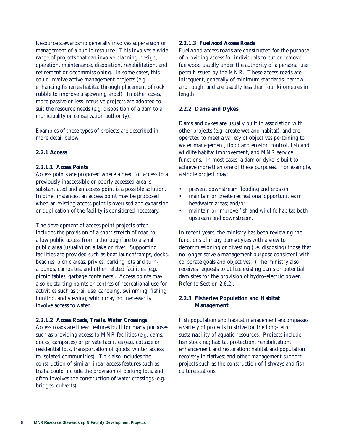Resource stewardship generally involves supervision or management of a public resource. This involves a wide range of projects that can involve planning, design, operation, maintenance, disposition, rehabilitation, and retirement or decommissioning. In some cases, this could involve active management projects (e.g. enhancing fisheries habitat through placement of rock rubble to improve a spawning shoal). In other cases, more passive or less intrusive projects are adopted to suit the resource needs (e.g. disposition of a dam to a municipality or conservation authority).

Examples of these types of projects are described in more detail below.

### **2.2.1 Access**

### *2.2.1.1 Access Points*

Access points are proposed where a need for access to a previously inaccessible or poorly accessed area is substantiated and an access point is a possible solution. In other instances, an access point may be proposed when an existing access point is overused and expansion or duplication of the facility is considered necessary.

The development of access point projects often includes the provision of a short stretch of road to allow public access from a thoroughfare to a small public area (usually) on a lake or river. Supporting facilities are provided such as boat launch/ramps, docks, beaches, picnic areas, privies, parking lots and turnarounds, campsites, and other related facilities (e.g. picnic tables, garbage containers). Access points may also be starting points or centres of recreational use for activities such as trail use, canoeing, swimming, fishing, hunting, and viewing, which may not necessarily involve access to water.

### *2.2.1.2 Access Roads, Trails, Water Crossings*

Access roads are linear features built for many purposes such as providing access to MNR facilities (e.g. dams, docks, campsites) or private facilities (e.g. cottage or residential lots, transportation of goods, winter access to isolated communities). This also includes the construction of similar linear access features such as trails, could include the provision of parking lots, and often involves the construction of water crossings (e.g. bridges, culverts).

### *2.2.1.3 Fuelwood Access Roads*

Fuelwood access roads are constructed for the purpose of providing access for individuals to cut or remove fuelwood usually under the authority of a personal use permit issued by the MNR. These access roads are infrequent, generally of minimum standards, narrow and rough, and are usually less than four kilometres in length.

### **2.2.2 Dams and Dykes**

Dams and dykes are usually built in association with other projects (e.g. create wetland habitat), and are operated to meet a variety of objectives pertaining to water management, flood and erosion control, fish and wildlife habitat improvement, and MNR service functions. In most cases, a dam or dyke is built to achieve more than one of these purposes. For example, a single project may:

- prevent downstream flooding and erosion;
- maintain or create recreational opportunities in headwater areas; and/or
- maintain or improve fish and wildlife habitat both upstream and downstream.

In recent years, the ministry has been reviewing the functions of many dams/dykes with a view to decommissioning or divesting (i.e. disposing) those that no longer serve a management purpose consistent with corporate goals and objectives. (The ministry also receives requests to utilize existing dams or potential dam sites for the provision of hydro-electric power. Refer to Section 2.6.2).

### **2.2.3 Fisheries Population and Habitat Management**

Fish population and habitat management encompasses a variety of projects to strive for the long-term sustainability of aquatic resources. Projects include: fish stocking; habitat protection, rehabilitation, enhancement and restoration; habitat and population recovery initiatives; and other management support projects such as the construction of fishways and fish culture stations.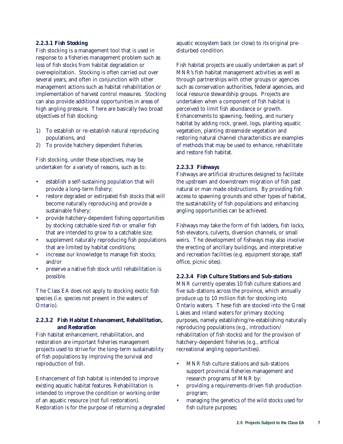### *2.2.3.1 Fish Stocking*

Fish stocking is a management tool that is used in response to a fisheries management problem such as loss of fish stocks from habitat degradation or overexploitation. Stocking is often carried out over several years, and often in conjunction with other management actions such as habitat rehabilitation or implementation of harvest control measures. Stocking can also provide additional opportunities in areas of high angling pressure. There are basically two broad objectives of fish stocking:

- 1) To establish or re-establish natural reproducing populations, and
- 2) To provide hatchery dependent fisheries.

Fish stocking, under these objectives, may be undertaken for a variety of reasons, such as to:

- establish a self-sustaining population that will provide a long-term fishery;
- restore degraded or extirpated fish stocks that will become naturally reproducing and provide a sustainable fishery;
- provide hatchery-dependent fishing opportunities by stocking catchable-sized fish or smaller fish that are intended to grow to a catchable size;
- supplement naturally reproducing fish populations that are limited by habitat conditions;
- increase our knowledge to manage fish stocks; and/or
- preserve a native fish stock until rehabilitation is possible.

The Class EA does not apply to stocking exotic fish species (i.e. species not present in the waters of Ontario).

### *2.2.3.2 Fish Habitat Enhancement, Rehabilitation, and Restoration*

Fish habitat enhancement, rehabilitation, and restoration are important fisheries management projects used to strive for the long-term sustainability of fish populations by improving the survival and reproduction of fish.

Enhancement of fish habitat is intended to improve existing aquatic habitat features. Rehabilitation is intended to improve the condition or working order of an aquatic resource (not full restoration). Restoration is for the purpose of returning a degraded aquatic ecosystem back (or close) to its original predisturbed condition.

Fish habitat projects are usually undertaken as part of MNR's fish habitat management activities as well as through partnerships with other groups or agencies such as conservation authorities, federal agencies, and local resource stewardship groups. Projects are undertaken when a component of fish habitat is perceived to limit fish abundance or growth. Enhancements to spawning, feeding, and nursery habitat by adding rock, gravel, logs, planting aquatic vegetation, planting streamside vegetation and restoring natural channel characteristics are examples of methods that may be used to enhance, rehabilitate and restore fish habitat.

### *2.2.3.3 Fishways*

Fishways are artificial structures designed to facilitate the upstream and downstream migration of fish past natural or man made obstructions. By providing fish access to spawning grounds and other types of habitat, the sustainability of fish populations and enhancing angling opportunities can be achieved.

Fishways may take the form of fish ladders, fish locks, fish elevators, culverts, diversion channels, or small weirs. The development of fishways may also involve the erecting of ancillary buildings, and interpretative and recreation facilities (e.g. equipment storage, staff office, picnic sites).

### *2.2.3.4 Fish Culture Stations and Sub-stations*

MNR currently operates 10 fish culture stations and five sub-stations across the province, which annually produce up to 10 million fish for stocking into Ontario waters. These fish are stocked into the Great Lakes and inland waters for primary stocking purposes, namely establishing/re-establishing naturally reproducing populations (e.g., introduction/ rehabilitation of fish stocks) and for the provision of hatchery-dependent fisheries (e.g., artificial recreational angling opportunities).

- MNR fish culture stations and sub-stations support provincial fisheries management and research programs of MNR by:
- providing a requirements-driven fish production program;
- managing the genetics of the wild stocks used for fish culture purposes;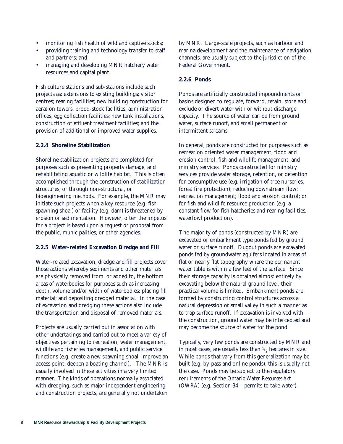- monitoring fish health of wild and captive stocks;
- providing training and technology transfer to staff and partners; and
- managing and developing MNR hatchery water resources and capital plant.

Fish culture stations and sub-stations include such projects as: extensions to existing buildings; visitor centres; rearing facilities; new building construction for aeration towers, brood-stock facilities, administration offices, egg collection facilities; new tank installations, construction of effluent treatment facilities; and the provision of additional or improved water supplies.

### **2.2.4 Shoreline Stabilization**

Shoreline stabilization projects are completed for purposes such as preventing property damage, and rehabilitating aquatic or wildlife habitat. This is often accomplished through the construction of stabilization structures, or through non-structural, or bioengineering methods. For example, the MNR may initiate such projects when a key resource (e.g. fish spawning shoal) or facility (e.g. dam) is threatened by erosion or sedimentation. However, often the impetus for a project is based upon a request or proposal from the public, municipalities, or other agencies.

### **2.2.5 Water-related Excavation Dredge and Fill**

Water-related excavation, dredge and fill projects cover those actions whereby sediments and other materials are physically removed from, or added to, the bottom areas of waterbodies for purposes such as increasing depth, volume and/or width of waterbodies; placing fill material; and depositing dredged material. In the case of excavation and dredging these actions also include the transportation and disposal of removed materials.

Projects are usually carried out in association with other undertakings and carried out to meet a variety of objectives pertaining to recreation, water management, wildlife and fisheries management, and public service functions (e.g. create a new spawning shoal, improve an access point, deepen a boating channel). The MNR is usually involved in these activities in a very limited manner. The kinds of operations normally associated with dredging, such as major independent engineering and construction projects, are generally not undertaken

by MNR. Large-scale projects, such as harbour and marina development and the maintenance of navigation channels, are usually subject to the jurisdiction of the Federal Government.

### **2.2.6 Ponds**

Ponds are artificially constructed impoundments or basins designed to regulate, forward, retain, store and exclude or divert water with or without discharge capacity. The source of water can be from ground water, surface runoff, and small permanent or intermittent streams.

In general, ponds are constructed for purposes such as recreation oriented water management, flood and erosion control, fish and wildlife management, and ministry services. Ponds constructed for ministry services provide water storage, retention, or detention for consumptive use (e.g. irrigation of tree nurseries, forest fire protection); reducing downstream flow; recreation management; flood and erosion control; or for fish and wildlife resource production (e.g. a constant flow for fish hatcheries and rearing facilities, waterfowl production).

The majority of ponds (constructed by MNR) are excavated or embankment type ponds fed by ground water or surface runoff. Dugout ponds are excavated ponds fed by groundwater aquifers located in areas of flat or nearly flat topography where the permanent water table is within a few feet of the surface. Since their storage capacity is obtained almost entirely by excavating below the natural ground level, their practical volume is limited. Embankment ponds are formed by constructing control structures across a natural depression or small valley in such a manner as to trap surface runoff. If excavation is involved with the construction, ground water may be intercepted and may become the source of water for the pond.

Typically, very few ponds are constructed by MNR and, in most cases, are usually less than  $\frac{1}{2}$  hectares in size. While ponds that vary from this generalization may be built (e.g. by-pass and online ponds), this is usually not the case. Ponds may be subject to the regulatory requirements of the *Ontario Water Resources Act (OWRA)* (e.g. Section 34 – permits to take water)*.*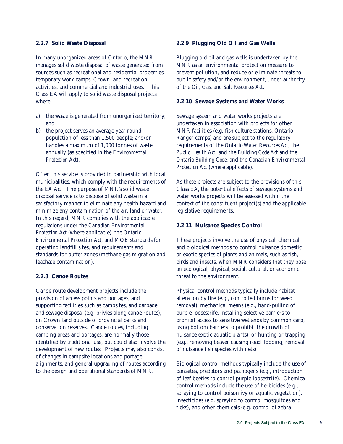### **2.2.7 Solid Waste Disposal**

In many unorganized areas of Ontario, the MNR manages solid waste disposal of waste generated from sources such as recreational and residential properties, temporary work camps, Crown land recreation activities, and commercial and industrial uses. This Class EA will apply to solid waste disposal projects where:

- a) the waste is generated from unorganized territory; and
- b) the project serves an average year round population of less than 1,500 people; and/or handles a maximum of 1,000 tonnes of waste annually (as specified in the *Environmental Protection Act*).

Often this service is provided in partnership with local municipalities, which comply with the requirements of the *EA Act*. The purpose of MNR's solid waste disposal service is to dispose of solid waste in a satisfactory manner to eliminate any health hazard and minimize any contamination of the air, land or water. In this regard, MNR complies with the applicable regulations under the *Canadian Environmental Protection Act* (where applicable), the *Ontario Environmental Protection Act*, and MOE standards for operating landfill sites, and requirements and standards for buffer zones (methane gas migration and leachate contamination).

#### **2.2.8 Canoe Routes**

Canoe route development projects include the provision of access points and portages, and supporting facilities such as campsites, and garbage and sewage disposal (e.g. privies along canoe routes), on Crown land outside of provincial parks and conservation reserves. Canoe routes, including camping areas and portages, are normally those identified by traditional use, but could also involve the development of new routes. Projects may also consist of changes in campsite locations and portage alignments, and general upgrading of routes according to the design and operational standards of MNR.

### **2.2.9 Plugging Old Oil and Gas Wells**

Plugging old oil and gas wells is undertaken by the MNR as an environmental protection measure to prevent pollution, and reduce or eliminate threats to public safety and/or the environment, under authority of the *Oil, Gas, and Salt Resources Act*.

### **2.2.10 Sewage Systems and Water Works**

Sewage system and water works projects are undertaken in association with projects for other MNR facilities (e.g. fish culture stations, Ontario Ranger camps) and are subject to the regulatory requirements of the *Ontario Water Resources Act*, the *Public Health Act*, and the *Building Code Act* and the *Ontario Building Code*, and the *Canadian Environmental Protection Act* (where applicable).

As these projects are subject to the provisions of this Class EA, the potential effects of sewage systems and water works projects will be assessed within the context of the constituent project(s) and the applicable legislative requirements.

### **2.2.11 Nuisance Species Control**

These projects involve the use of physical, chemical, and biological methods to control nuisance domestic or exotic species of plants and animals, such as fish, birds and insects, when MNR considers that they pose an ecological, physical, social, cultural, or economic threat to the environment.

Physical control methods typically include habitat alteration by fire (e.g., controlled burns for weed removal); mechanical means (e.g., hand-pulling of purple loosestrife, installing selective barriers to prohibit access to sensitive wetlands by common carp, using bottom barriers to prohibit the growth of nuisance exotic aquatic plants); or hunting or trapping (e.g., removing beaver causing road flooding, removal of nuisance fish species with nets).

Biological control methods typically include the use of parasites, predators and pathogens (e.g., introduction of leaf beetles to control purple loosestrife). Chemical control methods include the use of herbicides (e.g., spraying to control poison ivy or aquatic vegetation), insecticides (e.g. spraying to control mosquitoes and ticks), and other chemicals (e.g. control of zebra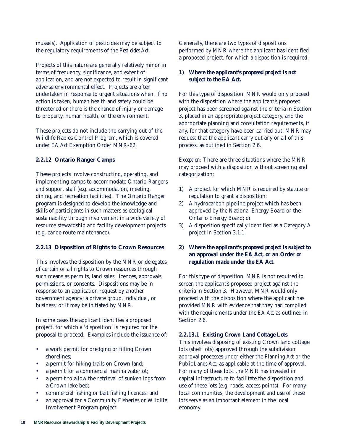mussels). Application of pesticides may be subject to the regulatory requirements of the *Pesticides Act*.

Projects of this nature are generally relatively minor in terms of frequency, significance, and extent of application, and are not expected to result in significant adverse environmental effect. Projects are often undertaken in response to urgent situations when, if no action is taken, human health and safety could be threatened or there is the chance of injury or damage to property, human health, or the environment.

These projects do not include the carrying out of the Wildlife Rabies Control Program, which is covered under *EA Act* Exemption Order MNR-62.

# **2.2.12 Ontario Ranger Camps**

These projects involve constructing, operating, and implementing camps to accommodate Ontario Rangers and support staff (e.g. accommodation, meeting, dining, and recreation facilities). The Ontario Ranger program is designed to develop the knowledge and skills of participants in such matters as ecological sustainability through involvement in a wide variety of resource stewardship and facility development projects (e.g. canoe route maintenance).

### **2.2.13 Disposition of Rights to Crown Resources**

This involves the disposition by the MNR or delegates of certain or all rights to Crown resources through such means as permits, land sales, licences, approvals, permissions, or consents. Dispositions may be in response to an application request by another government agency; a private group, individual, or business; or it may be initiated by MNR.

In some cases the applicant identifies a proposed project, for which a 'disposition' is required for the proposal to proceed. Examples include the issuance of:

- a work permit for dredging or filling Crown shorelines;
- a permit for hiking trails on Crown land;
- a permit for a commercial marina waterlot;
- a permit to allow the retrieval of sunken logs from a Crown lake bed;
- commercial fishing or bait fishing licences; and
- an approval for a Community Fisheries or Wildlife Involvement Program project.

Generally, there are two types of dispositions performed by MNR where the applicant has identified a proposed project, for which a disposition is required.

### *1) Where the applicant's proposed project is not subject to the EA Act.*

For this type of disposition, MNR would only proceed with the disposition where the applicant's proposed project has been screened against the criteria in Section 3, placed in an appropriate project category, and the appropriate planning and consultation requirements, if any, for that category have been carried out. MNR may request that the applicant carry out any or all of this process, as outlined in Section 2.6.

*Exception*: There are three situations where the MNR may proceed with a disposition without screening and categorization:

- 1) A project for which MNR is required by statute or regulation to grant a disposition;
- 2) A hydrocarbon pipeline project which has been approved by the National Energy Board or the Ontario Energy Board; or
- 3) A disposition specifically identified as a Category A project in Section 3.1.1.

# *2) Where the applicant's proposed project is subject to an approval under the EA Act, or an Order or regulation made under the EA Act.*

For this type of disposition, MNR is not required to screen the applicant's proposed project against the criteria in Section 3. However, MNR would only proceed with the disposition where the applicant has provided MNR with evidence that they had complied with the requirements under the *EA Act* as outlined in Section 2.6.

# *2.2.13.1 Existing Crown Land Cottage Lots*

This involves disposing of existing Crown land cottage lots (shelf lots) approved through the subdivision approval processes under either the *Planning Act* or the *Public Lands Act*, as applicable at the time of approval. For many of these lots, the MNR has invested in capital infrastructure to facilitate the disposition and use of these lots (e.g. roads, access points). For many local communities, the development and use of these lots serve as an important element in the local economy.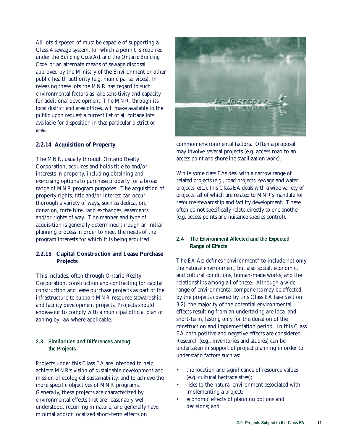All lots disposed of must be capable of supporting a Class 4 sewage system, for which a permit is required under the *Building Code Act* and the *Ontario Building Code*, or an alternate means of sewage disposal approved by the Ministry of the Environment or other public health authority (e.g. municipal services). In releasing these lots the MNR has regard to such environmental factors as lake sensitivity and capacity for additional development. The MNR, through its local district and area offices, will make available to the public upon request a current list of all cottage lots available for disposition in that particular district or area.

### **2.2.14 Acquisition of Property**

The MNR, usually through Ontario Realty Corporation, acquires and holds title to and/or interests in property, including obtaining and exercising options to purchase property for a broad range of MNR program purposes. The acquisition of property rights, title and/or interest can occur thorough a variety of ways, such as dedication, donation, forfeiture, land exchanges, easements, and/or rights of way. The manner and type of acquisition is generally determined through an initial planning process in order to meet the needs of the program interests for which it is being acquired.

### **2.2.15 Capital Construction and Lease Purchase Projects**

This includes, often through Ontario Realty Corporation, construction and contracting for capital construction and lease purchase projects as part of the infrastructure to support MNR resource stewardship and facility development projects. Projects should endeavour to comply with a municipal official plan or zoning by-law where applicable.

### **2.3 Similarities and Differences among the Projects**

Projects under this Class EA are intended to help achieve MNR's vision of sustainable development and mission of ecological sustainability, and to achieve the more specific objectives of MNR programs. Generally, these projects are characterized by environmental effects that are reasonably well understood, recurring in nature, and generally have minimal and/or localized short-term effects on



common environmental factors. Often a proposal may involve several projects (e.g. access road to an access point and shoreline stabilization work).

While some class EAs deal with a narrow range of related projects (e.g., road projects, sewage and water projects, etc.), this Class EA deals with a wide variety of projects, all of which are related to MNR's mandate for resource stewardship and facility development. These often do not specifically relate directly to one another (e.g. access points and nuisance species control).

### **2.4 The Environment Affected and the Expected Range of Effects**

The *EA Act* defines "environment" to include not only the natural environment, but also social, economic, and cultural conditions, human-made works, and the relationships among all of these. Although a wide range of environmental components may be affected by the projects covered by this Class EA (see Section 3.2), the majority of the potential environmental effects resulting from an undertaking are local and short-term, lasting only for the duration of the construction and implementation period. In this Class EA both positive and negative effects are considered. Research (e.g., inventories and studies) can be undertaken in support of project planning in order to understand factors such as:

- the location and significance of resource values (e.g. cultural heritage sites);
- risks to the natural environment associated with implementing a project;
- economic effects of planning options and decisions; and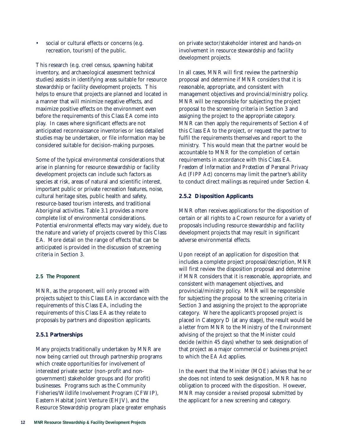• social or cultural effects or concerns (e.g. recreation, tourism) of the public.

This research (e.g. creel census, spawning habitat inventory, and archaeological assessment technical studies) assists in identifying areas suitable for resource stewardship or facility development projects. This helps to ensure that projects are planned and located in a manner that will minimize negative effects, and maximize positive effects on the environment even before the requirements of this Class EA come into play. In cases where significant effects are not anticipated reconnaissance inventories or less detailed studies may be undertaken, or file information may be considered suitable for decision-making purposes.

Some of the typical environmental considerations that arise in planning for resource stewardship or facility development projects can include such factors as species at risk, areas of natural and scientific interest, important public or private recreation features, noise, cultural heritage sites, public health and safety, resource-based tourism interests, and traditional Aboriginal activities. Table 3.1 provides a more complete list of environmental considerations. Potential environmental effects may vary widely, due to the nature and variety of projects covered by this Class EA. More detail on the range of effects that can be anticipated is provided in the discussion of screening criteria in Section 3.

### **2.5 The Proponent**

MNR, as the proponent, will only proceed with projects subject to this Class EA in accordance with the requirements of this Class EA, including the requirements of this Class EA as they relate to proposals by partners and disposition applicants.

# **2.5.1 Partnerships**

Many projects traditionally undertaken by MNR are now being carried out through partnership programs which create opportunities for involvement of interested private sector (non-profit and nongovernment) stakeholder groups and (for profit) businesses. Programs such as the Community Fisheries/Wildlife Involvement Program (CFWIP), Eastern Habitat Joint Venture (EHJV), and the Resource Stewardship program place greater emphasis on private sector/stakeholder interest and hands-on involvement in resource stewardship and facility development projects.

In all cases, MNR will first review the partnership proposal and determine if MNR considers that it is reasonable, appropriate, and consistent with management objectives and provincial/ministry policy. MNR will be responsible for subjecting the project proposal to the screening criteria in Section 3 and assigning the project to the appropriate category. MNR can then apply the requirements of Section 4 of this Class EA to the project, or request the partner to fulfil the requirements themselves and report to the ministry. This would mean that the partner would be accountable to MNR for the completion of certain requirements in accordance with this Class EA. *Freedom of Information and Protection of Personal Privacy Act (FIPP Act)* concerns may limit the partner's ability to conduct direct mailings as required under Section 4.

# **2.5.2 Disposition Applicants**

MNR often receives applications for the disposition of certain or all rights to a Crown resource for a variety of proposals including resource stewardship and facility development projects that may result in significant adverse environmental effects.

Upon receipt of an application for disposition that includes a complete project proposal/description, MNR will first review the disposition proposal and determine if MNR considers that it is reasonable, appropriate, and consistent with management objectives, and provincial/ministry policy. MNR will be responsible for subjecting the proposal to the screening criteria in Section 3 and assigning the project to the appropriate category. Where the applicant's proposed project is placed in Category D (at any stage), the result would be a letter from MNR to the Ministry of the Environment advising of the project so that the Minister could decide (within 45 days) whether to seek designation of that project as a major commercial or business project to which the *EA Act* applies.

In the event that the Minister (MOE) advises that he or she does not intend to seek designation, MNR has no obligation to proceed with the disposition. However, MNR may consider a revised proposal submitted by the applicant for a new screening and category.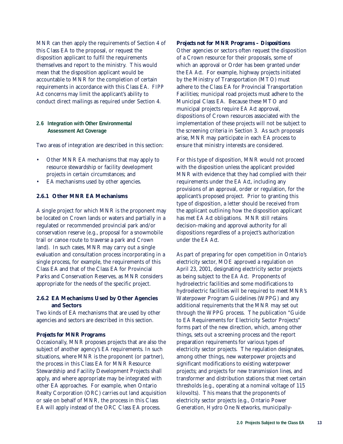MNR can then apply the requirements of Section 4 of this Class EA to the proposal, or request the disposition applicant to fulfil the requirements themselves and report to the ministry. This would mean that the disposition applicant would be accountable to MNR for the completion of certain requirements in accordance with this Class EA. *FIPP Act* concerns may limit the applicant's ability to conduct direct mailings as required under Section 4.

### **2.6 Integration with Other Environmental Assessment Act Coverage**

Two areas of integration are described in this section:

- Other MNR EA mechanisms that may apply to resource stewardship or facility development projects in certain circumstances; and
- EA mechanisms used by other agencies.

# **2.6.1 Other MNR EA Mechanisms**

A single project for which MNR is the proponent may be located on Crown lands or waters and partially in a regulated or recommended provincial park and/or conservation reserve (e.g., proposal for a snowmobile trail or canoe route to traverse a park and Crown land). In such cases, MNR may carry out a single evaluation and consultation process incorporating in a single process, for example, the requirements of this Class EA and that of the Class EA for Provincial Parks and Conservation Reserves, as MNR considers appropriate for the needs of the specific project.

# **2.6.2 EA Mechanisms Used by Other Agencies and Sectors**

Two kinds of EA mechanisms that are used by other agencies and sectors are described in this section.

### *Projects for MNR Programs*

Occasionally, MNR proposes projects that are also the subject of another agency's EA requirements. In such situations, where MNR is the proponent (or partner), the process in this Class EA for MNR Resource Stewardship and Facility Development Projects shall apply, and where appropriate may be integrated with other EA approaches. For example, when Ontario Realty Corporation (ORC) carries out land acquisition or sale on behalf of MNR, the process in this Class EA will apply instead of the ORC Class EA process.

# *Projects not for MNR Programs – Dispositions*

Other agencies or sectors often request the disposition of a Crown resource for their proposals, some of which an approval or Order has been granted under the *EA Act*. For example, highway projects initiated by the Ministry of Transportation (MTO) must adhere to the Class EA for Provincial Transportation Facilities; municipal road projects must adhere to the Municipal Class EA. Because these MTO and municipal projects require *EA Act* approval, dispositions of Crown resources associated with the implementation of these projects will not be subject to the screening criteria in Section 3. As such proposals arise, MNR may participate in each EA process to ensure that ministry interests are considered.

For this type of disposition, MNR would not proceed with the disposition unless the applicant provided MNR with evidence that they had complied with their requirements under the *EA Act*, including any provisions of an approval, order or regulation, for the applicant's proposed project. Prior to granting this type of disposition, a letter should be received from the applicant outlining how the disposition applicant has met *EA Act* obligations. MNR still retains decision-making and approval authority for all dispositions regardless of a project's authorization under the *EA Act*.

As part of preparing for open competition in Ontario's electricity sector, MOE approved a regulation on April 23, 2001, designating electricity sector projects as being subject to the *EA Act*. Proponents of hydroelectric facilities and some modifications to hydroelectric facilities will be required to meet MNR's Waterpower Program Guidelines (WPPG) and any additional requirements that the MNR may set out through the WPPG process. The publication "Guide to EA Requirements for Electricity Sector Projects" forms part of the new direction, which, among other things, sets out a screening process and the report preparation requirements for various types of electricity sector projects. The regulation designates, among other things, new waterpower projects and significant modifications to existing waterpower projects; and projects for new transmission lines, and transformer and distribution stations that meet certain thresholds (e.g., operating at a nominal voltage of 115 kilovolts). This means that the proponents of electricity sector projects (e.g., Ontario Power Generation, Hydro One Networks, municipally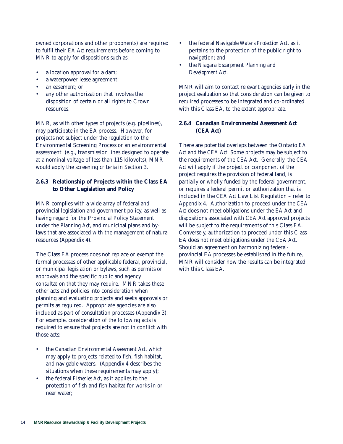owned corporations and other proponents) are required to fulfil their *EA Act* requirements before coming to MNR to apply for dispositions such as:

- a location approval for a dam;
- a waterpower lease agreement;
- an easement; or
- any other authorization that involves the disposition of certain or all rights to Crown resources.

MNR, as with other types of projects (e.g. pipelines), may participate in the EA process. However, for projects not subject under the regulation to the Environmental Screening Process or an environmental assessment (e.g., transmission lines designed to operate at a nominal voltage of less than 115 kilovolts), MNR would apply the screening criteria in Section 3.

# **2.6.3 Relationship of Projects within the Class EA to Other Legislation and Policy**

MNR complies with a wide array of federal and provincial legislation and government policy, as well as having regard for the Provincial Policy Statement under the *Planning Act*, and municipal plans and bylaws that are associated with the management of natural resources (Appendix 4).

The Class EA process does not replace or exempt the formal processes of other applicable federal, provincial, or municipal legislation or bylaws, such as permits or approvals and the specific public and agency consultation that they may require. MNR takes these other acts and policies into consideration when planning and evaluating projects and seeks approvals or permits as required. Appropriate agencies are also included as part of consultation processes (Appendix 3). For example, consideration of the following acts is required to ensure that projects are not in conflict with those acts:

- the *Canadian Environmental Assessment Act*, which may apply to projects related to fish, fish habitat, and navigable waters. (Appendix 4 describes the situations when these requirements may apply);
- the federal *Fisheries Act*, as it applies to the protection of fish and fish habitat for works in or near water;
- the federal *Navigable Waters Protection Act*, as it pertains to the protection of the public right to navigation; and
- the *Niagara Escarpment Planning and Development Act*.

MNR will aim to contact relevant agencies early in the project evaluation so that consideration can be given to required processes to be integrated and co-ordinated with this Class EA, to the extent appropriate.

# **2.6.4** *Canadian Environmental Assessment Act*  **(***CEA Act***)**

There are potential overlaps between the Ontario *EA Act* and the *CEA Act*. Some projects may be subject to the requirements of the *CEA Act*. Generally, the *CEA Act* will apply if the project or component of the project requires the provision of federal land, is partially or wholly funded by the federal government, or requires a federal permit or authorization that is included in the *CEA Act* Law List Regulation – refer to Appendix 4. Authorization to proceed under the *CEA Act* does not meet obligations under the *EA Act* and dispositions associated with *CEA Act* approved projects will be subject to the requirements of this Class EA. Conversely, authorization to proceed under this Class EA does not meet obligations under the *CEA Act*. Should an agreement on harmonizing federalprovincial EA processes be established in the future, MNR will consider how the results can be integrated with this Class EA.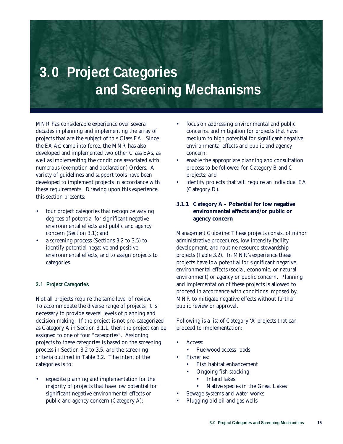# **3.0 Project Categories and Screening Mechanisms**

MNR has considerable experience over several decades in planning and implementing the array of projects that are the subject of this Class EA. Since the *EA Act* came into force, the MNR has also developed and implemented two other Class EAs, as well as implementing the conditions associated with numerous (exemption and declaration) Orders. A variety of guidelines and support tools have been developed to implement projects in accordance with these requirements. Drawing upon this experience, this section presents:

- four project categories that recognize varying degrees of potential for significant negative environmental effects and public and agency concern (Section 3.1); and
- a screening process (Sections 3.2 to 3.5) to identify potential negative and positive environmental effects, and to assign projects to categories.

### **3.1 Project Categories**

Not all projects require the same level of review. To accommodate the diverse range of projects, it is necessary to provide several levels of planning and decision making. If the project is not pre-categorized as Category A in Section 3.1.1, then the project can be assigned to one of four "categories". Assigning projects to these categories is based on the screening process in Section 3.2 to 3.5, and the screening criteria outlined in Table 3.2. The intent of the categories is to:

expedite planning and implementation for the majority of projects that have low potential for significant negative environmental effects or public and agency concern (Category A);

- focus on addressing environmental and public concerns, and mitigation for projects that have medium to high potential for significant negative environmental effects and public and agency concern;
- enable the appropriate planning and consultation process to be followed for Category B and C projects; and
- identify projects that will require an individual EA (Category D).

# **3.1.1 Category A – Potential for low negative environmental effects and/or public or agency concern**

*Management Guideline*: These projects consist of minor administrative procedures, low intensity facility development, and routine resource stewardship projects (Table 3.2). In MNR's experience these projects have low potential for significant negative environmental effects (social, economic, or natural environment) or agency or public concern. Planning and implementation of these projects is allowed to proceed in accordance with conditions imposed by MNR to mitigate negative effects without further public review or approval.

Following is a list of Category 'A' projects that can proceed to implementation:

- Access<sup>.</sup>
	- Fuelwood access roads
- Fisheries:
	- Fish habitat enhancement
		- Ongoing fish stocking
			- Inland lakes
			- Native species in the Great Lakes
- Sewage systems and water works
- Plugging old oil and gas wells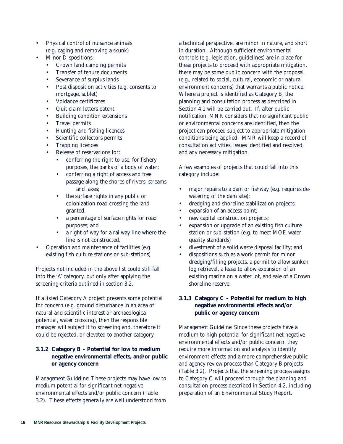- Physical control of nuisance animals (e.g. caging and removing a skunk)
- Minor Dispositions:
	- Crown land camping permits
	- Transfer of tenure documents
	- Severance of surplus lands
	- Post disposition activities (e.g. consents to mortgage, sublet)
	- Voidance certificates
	- Quit claim letters patent
	- Building condition extensions
	- Travel permits
	- Hunting and fishing licences
	- Scientific collectors permits
	- Trapping licences
	- Release of reservations for:
		- conferring the right to use, for fishery purposes, the banks of a body of water;
		- conferring a right of access and free passage along the shores of rivers, streams, and lakes;
		- the surface rights in any public or colonization road crossing the land granted.
		- a percentage of surface rights for road purposes; and
		- a right of way for a railway line where the line is not constructed.
- Operation and maintenance of facilities (e.g. existing fish culture stations or sub-stations)

Projects not included in the above list could still fall into the 'A' category, but only after applying the screening criteria outlined in section 3.2.

If a listed Category A project presents some potential for concern (e.g. ground disturbance in an area of natural and scientific interest or archaeological potential, water crossing), then the responsible manager will subject it to screening and, therefore it could be rejected, or elevated to another category.

# **3.1.2 Category B – Potential for low to medium negative environmental effects, and/or public or agency concern**

*Management Guideline*: These projects may have low to medium potential for significant net negative environmental effects and/or public concern (Table 3.2). These effects generally are well understood from a technical perspective, are minor in nature, and short in duration. Although sufficient environmental controls (e.g. legislation, guidelines) are in place for these projects to proceed with appropriate mitigation, there may be some public concern with the proposal (e.g., related to social, cultural, economic or natural environment concerns) that warrants a public notice. Where a project is identified as Category B, the planning and consultation process as described in Section 4.1 will be carried out. If, after public notification, MNR considers that no significant public or environmental concerns are identified, then the project can proceed subject to appropriate mitigation conditions being applied. MNR will keep a record of consultation activities, issues identified and resolved, and any necessary mitigation.

A few examples of projects that could fall into this category include:

- major repairs to a dam or fishway (e.g. requires dewatering of the dam site);
- dredging and shoreline stabilization projects;
- expansion of an access point;
- new capital construction projects;
- expansion or upgrade of an existing fish culture station or sub-station (e.g. to meet MOE water quality standards)
- divestment of a solid waste disposal facility; and
- dispositions such as a work permit for minor dredging/filling projects, a permit to allow sunken log retrieval, a lease to allow expansion of an existing marina on a water lot, and sale of a Crown shoreline reserve.

# **3.1.3 Category C – Potential for medium to high negative environmental effects and/or public or agency concern**

*Management Guideline*: Since these projects have a medium to high potential for significant net negative environmental effects and/or public concern, they require more information and analysis to identify environment effects and a more comprehensive public and agency review process than Category B projects (Table 3.2). Projects that the screening process assigns to Category C will proceed through the planning and consultation process described in Section 4.2, including preparation of an Environmental Study Report.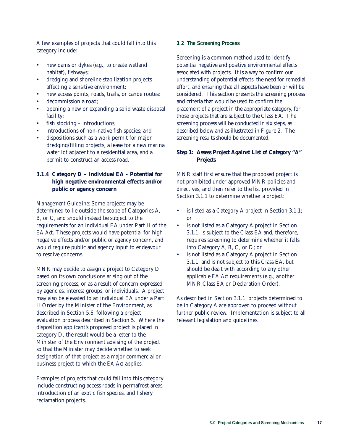A few examples of projects that could fall into this category include:

- new dams or dykes (e.g., to create wetland habitat), fishways;
- dredging and shoreline stabilization projects affecting a sensitive environment;
- new access points, roads, trails, or canoe routes;
- decommission a road;
- opening a new or expanding a solid waste disposal facility;
- fish stocking introductions;
- introductions of non-native fish species; and
- dispositions such as a work permit for major dredging/filling projects, a lease for a new marina water lot adjacent to a residential area, and a permit to construct an access road.

# **3.1.4 Category D – Individual EA – Potential for high negative environmental effects and/or public or agency concern**

*Management Guideline*: Some projects may be determined to lie outside the scope of Categories A, B, or C, and should instead be subject to the requirements for an individual EA under Part II of the *EA Act*. These projects would have potential for high negative effects and/or public or agency concern, and would require public and agency input to endeavour to resolve concerns.

MNR may decide to assign a project to Category D based on its own conclusions arising out of the screening process, or as a result of concern expressed by agencies, interest groups, or individuals. A project may also be elevated to an individual EA under a Part II Order by the Minister of the Environment, as described in Section 5.6, following a project evaluation process described in Section 5. Where the disposition applicant's proposed project is placed in category D, the result would be a letter to the Minister of the Environment advising of the project so that the Minister may decide whether to seek designation of that project as a major commercial or business project to which the *EA Act* applies.

Examples of projects that could fall into this category include constructing access roads in permafrost areas, introduction of an exotic fish species, and fishery reclamation projects.

### **3.2 The Screening Process**

Screening is a common method used to identify potential negative and positive environmental effects associated with projects. It is a way to confirm our understanding of potential effects, the need for remedial effort, and ensuring that all aspects have been or will be considered. This section presents the screening process and criteria that would be used to confirm the placement of a project in the appropriate category, for those projects that are subject to the Class EA. The screening process will be conducted in six steps, as described below and as illustrated in Figure 2. The screening results should be documented.

# *Step 1: Assess Project Against List of Category "A" Projects*

MNR staff first ensure that the proposed project is not prohibited under approved MNR policies and directives, and then refer to the list provided in Section 3.1.1 to determine whether a project:

- is listed as a Category A project in Section 3.1.1; or
- is not listed as a Category A project in Section 3.1.1, is subject to the Class EA and, therefore, requires screening to determine whether it falls into Category A, B, C, or D; or
- is not listed as a Category A project in Section 3.1.1, and is not subject to this Class EA, but should be dealt with according to any other applicable *EA Act* requirements (e.g., another MNR Class EA or Declaration Order).

As described in Section 3.1.1, projects determined to be in Category A are approved to proceed without further public review. Implementation is subject to all relevant legislation and guidelines.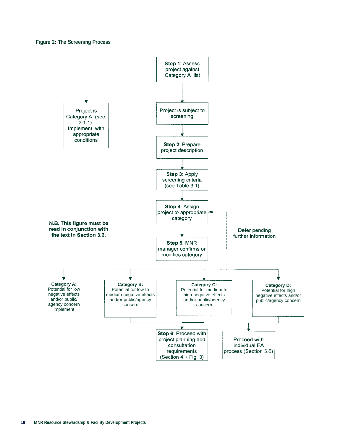### **Figure 2: The Screening Process**

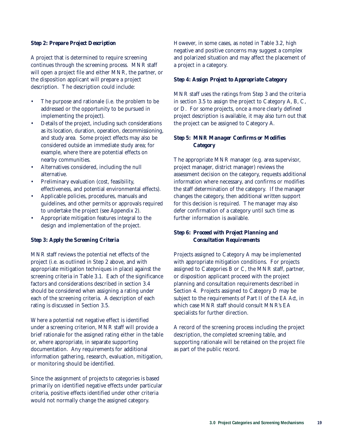### *Step 2: Prepare Project Description*

A project that is determined to require screening continues through the screening process. MNR staff will open a project file and either MNR, the partner, or the disposition applicant will prepare a project description. The description could include:

- The purpose and rationale (i.e. the problem to be addressed or the opportunity to be pursued in implementing the project).
- Details of the project, including such considerations as its location, duration, operation, decommissioning, and study area. Some project effects may also be considered outside an immediate study area; for example, where there are potential effects on nearby communities.
- Alternatives considered, including the null alternative.
- Preliminary evaluation (cost, feasibility, effectiveness, and potential environmental effects).
- Applicable policies, procedures, manuals and guidelines, and other permits or approvals required to undertake the project (see Appendix 2).
- Appropriate mitigation features integral to the design and implementation of the project.

### *Step 3: Apply the Screening Criteria*

MNR staff reviews the potential net effects of the project (i.e. as outlined in Step 2 above, and with appropriate mitigation techniques in place) against the screening criteria in Table 3.1. Each of the significance factors and considerations described in section 3.4 should be considered when assigning a rating under each of the screening criteria. A description of each rating is discussed in Section 3.5.

Where a potential net negative effect is identified under a screening criterion, MNR staff will provide a brief rationale for the assigned rating either in the table or, where appropriate, in separate supporting documentation. Any requirements for additional information gathering, research, evaluation, mitigation, or monitoring should be identified.

Since the assignment of projects to categories is based primarily on identified negative effects under particular criteria, positive effects identified under other criteria would not normally change the assigned category.

However, in some cases, as noted in Table 3.2, high negative and positive concerns may suggest a complex and polarized situation and may affect the placement of a project in a category.

### *Step 4: Assign Project to Appropriate Category*

MNR staff uses the ratings from Step 3 and the criteria in section 3.5 to assign the project to Category A, B, C, or D. For some projects, once a more clearly defined project description is available, it may also turn out that the project can be assigned to Category A.

### *Step 5: MNR Manager Confirms or Modifies Category*

The appropriate MNR manager (e.g. area supervisor, project manager, district manager) reviews the assessment decision on the category, requests additional information where necessary, and confirms or modifies the staff determination of the category. If the manager changes the category, then additional written support for this decision is required. The manager may also defer confirmation of a category until such time as further information is available.

### *Step 6: Proceed with Project Planning and Consultation Requirements*

Projects assigned to Category A may be implemented with appropriate mitigation conditions. For projects assigned to Categories B or C, the MNR staff, partner, or disposition applicant proceed with the project planning and consultation requirements described in Section 4. Projects assigned to Category D may be subject to the requirements of Part II of the *EA Act*, in which case MNR staff should consult MNR's EA specialists for further direction.

A record of the screening process including the project description, the completed screening table, and supporting rationale will be retained on the project file as part of the public record.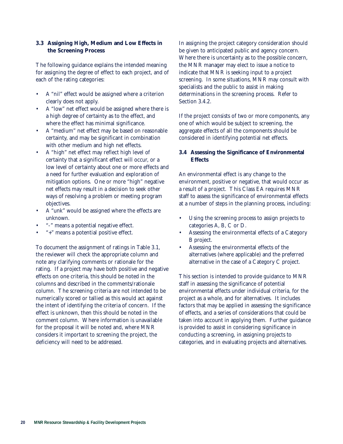# **3.3 Assigning High, Medium and Low Effects in the Screening Process**

The following guidance explains the intended meaning for assigning the degree of effect to each project, and of each of the rating categories:

- A "nil" effect would be assigned where a criterion clearly does not apply.
- A "low" net effect would be assigned where there is a high degree of certainty as to the effect, and where the effect has minimal significance.
- A "medium" net effect may be based on reasonable certainty, and may be significant in combination with other medium and high net effects.
- A "high" net effect may reflect high level of certainty that a significant effect will occur, or a low level of certainty about one or more effects and a need for further evaluation and exploration of mitigation options. One or more "high" negative net effects may result in a decision to seek other ways of resolving a problem or meeting program objectives.
- A "unk" would be assigned where the effects are unknown.
- "-" means a potential negative effect.
- "+" means a potential positive effect.

To document the assignment of ratings in Table 3.1, the reviewer will check the appropriate column and note any clarifying comments or rationale for the rating. If a project may have both positive and negative effects on one criteria, this should be noted in the columns and described in the comments/rationale column. The screening criteria are not intended to be numerically scored or tallied as this would act against the intent of identifying the criteria of concern. If the effect is unknown, then this should be noted in the comment column. Where information is unavailable for the proposal it will be noted and, where MNR considers it important to screening the project, the deficiency will need to be addressed.

In assigning the project category consideration should be given to anticipated public and agency concern. Where there is uncertainty as to the possible concern, the MNR manager may elect to issue a notice to indicate that MNR is seeking input to a project screening. In some situations, MNR may consult with specialists and the public to assist in making determinations in the screening process. Refer to Section 3.4.2.

If the project consists of two or more components, any one of which would be subject to screening, the aggregate effects of all the components should be considered in identifying potential net effects.

# **3.4 Assessing the Significance of Environmental Effects**

An environmental effect is any change to the environment, positive or negative, that would occur as a result of a project. This Class EA requires MNR staff to assess the significance of environmental effects at a number of steps in the planning process, including:

- Using the screening process to assign projects to categories A, B, C or D.
- Assessing the environmental effects of a Category B project.
- Assessing the environmental effects of the alternatives (where applicable) and the preferred alternative in the case of a Category C project.

This section is intended to provide guidance to MNR staff in assessing the significance of potential environmental effects under individual criteria, for the project as a whole, and for alternatives. It includes factors that may be applied in assessing the significance of effects, and a series of considerations that could be taken into account in applying them. Further guidance is provided to assist in considering significance in conducting a screening, in assigning projects to categories, and in evaluating projects and alternatives.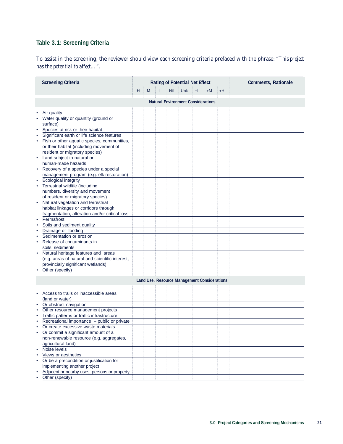# **Table 3.1: Screening Criteria**

To assist in the screening, the reviewer should view each screening criteria prefaced with the phrase: "*This project has the potential to affect…*".

|           | <b>Screening Criteria</b>                        |    |   |    |     | <b>Rating of Potential Net Effect</b>        | <b>Comments, Rationale</b> |    |      |  |
|-----------|--------------------------------------------------|----|---|----|-----|----------------------------------------------|----------------------------|----|------|--|
|           |                                                  | -H | M | -L | Nil | Unk                                          | +L                         | +M | $+H$ |  |
|           |                                                  |    |   |    |     |                                              |                            |    |      |  |
|           |                                                  |    |   |    |     | <b>Natural Environment Considerations</b>    |                            |    |      |  |
|           | Air quality                                      |    |   |    |     |                                              |                            |    |      |  |
|           | Water quality or quantity (ground or<br>surface) |    |   |    |     |                                              |                            |    |      |  |
| ٠         | Species at risk or their habitat                 |    |   |    |     |                                              |                            |    |      |  |
| $\bullet$ | Significant earth or life science features       |    |   |    |     |                                              |                            |    |      |  |
| $\bullet$ | Fish or other aquatic species, communities,      |    |   |    |     |                                              |                            |    |      |  |
|           | or their habitat (including movement of          |    |   |    |     |                                              |                            |    |      |  |
|           | resident or migratory species)                   |    |   |    |     |                                              |                            |    |      |  |
| $\bullet$ | Land subject to natural or                       |    |   |    |     |                                              |                            |    |      |  |
|           | human-made hazards                               |    |   |    |     |                                              |                            |    |      |  |
| ٠         | Recovery of a species under a special            |    |   |    |     |                                              |                            |    |      |  |
|           | management program (e.g. elk restoration)        |    |   |    |     |                                              |                            |    |      |  |
|           | <b>Ecological integrity</b>                      |    |   |    |     |                                              |                            |    |      |  |
| $\bullet$ | Terrestrial wildlife (including                  |    |   |    |     |                                              |                            |    |      |  |
|           | numbers, diversity and movement                  |    |   |    |     |                                              |                            |    |      |  |
|           | of resident or migratory species)                |    |   |    |     |                                              |                            |    |      |  |
| $\bullet$ | Natural vegetation and terrestrial               |    |   |    |     |                                              |                            |    |      |  |
|           | habitat linkages or corridors through            |    |   |    |     |                                              |                            |    |      |  |
|           | fragmentation, alteration and/or critical loss   |    |   |    |     |                                              |                            |    |      |  |
| $\bullet$ | Permafrost                                       |    |   |    |     |                                              |                            |    |      |  |
| $\bullet$ | Soils and sediment quality                       |    |   |    |     |                                              |                            |    |      |  |
| ٠         | Drainage or flooding                             |    |   |    |     |                                              |                            |    |      |  |
| $\bullet$ | Sedimentation or erosion                         |    |   |    |     |                                              |                            |    |      |  |
| ٠         | Release of contaminants in                       |    |   |    |     |                                              |                            |    |      |  |
|           | soils, sediments                                 |    |   |    |     |                                              |                            |    |      |  |
| ٠         | Natural heritage features and areas              |    |   |    |     |                                              |                            |    |      |  |
|           | (e.g. areas of natural and scientific interest,  |    |   |    |     |                                              |                            |    |      |  |
|           | provincially significant wetlands)               |    |   |    |     |                                              |                            |    |      |  |
| ٠         | Other (specify)                                  |    |   |    |     |                                              |                            |    |      |  |
|           |                                                  |    |   |    |     | Land Use, Resource Management Considerations |                            |    |      |  |
|           |                                                  |    |   |    |     |                                              |                            |    |      |  |
|           |                                                  |    |   |    |     |                                              |                            |    |      |  |
| ٠         | Access to trails or inaccessible areas           |    |   |    |     |                                              |                            |    |      |  |
|           | (land or water)                                  |    |   |    |     |                                              |                            |    |      |  |
| ٠         | Or obstruct navigation                           |    |   |    |     |                                              |                            |    |      |  |
| $\bullet$ | Other resource management projects               |    |   |    |     |                                              |                            |    |      |  |
| ٠         | Traffic patterns or traffic infrastructure       |    |   |    |     |                                              |                            |    |      |  |
| ٠         | Recreational importance - public or private      |    |   |    |     |                                              |                            |    |      |  |
| ٠         | Or create excessive waste materials              |    |   |    |     |                                              |                            |    |      |  |
|           | Or commit a significant amount of a              |    |   |    |     |                                              |                            |    |      |  |
|           | non-renewable resource (e.g. aggregates,         |    |   |    |     |                                              |                            |    |      |  |
|           | agricultural land)<br>Noise levels               |    |   |    |     |                                              |                            |    |      |  |
| ٠         | Views or aesthetics                              |    |   |    |     |                                              |                            |    |      |  |
| $\bullet$ | Or be a precondition or justification for        |    |   |    |     |                                              |                            |    |      |  |
|           | implementing another project                     |    |   |    |     |                                              |                            |    |      |  |
|           | Adjacent or nearby uses, persons or property     |    |   |    |     |                                              |                            |    |      |  |
|           | Other (specify)                                  |    |   |    |     |                                              |                            |    |      |  |
|           |                                                  |    |   |    |     |                                              |                            |    |      |  |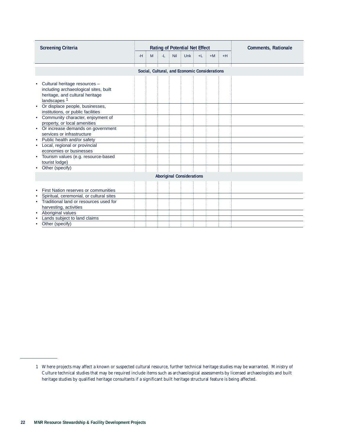| <b>Screening Criteria</b>                                                                                                                                                                                                                                                          |      |   |     |     | <b>Rating of Potential Net Effect</b> | <b>Comments, Rationale</b> |      |      |  |
|------------------------------------------------------------------------------------------------------------------------------------------------------------------------------------------------------------------------------------------------------------------------------------|------|---|-----|-----|---------------------------------------|----------------------------|------|------|--|
|                                                                                                                                                                                                                                                                                    | $-H$ | M | -L. | Nil | <b>Unk</b>                            | $+L$                       | $+M$ | $+H$ |  |
| Social, Cultural, and Economic Considerations                                                                                                                                                                                                                                      |      |   |     |     |                                       |                            |      |      |  |
| Cultural heritage resources -<br>including archaeological sites, built<br>heritage, and cultural heritage<br>landscapes <sup>1</sup><br>Or displace people, businesses,<br>institutions, or public facilities<br>Community character, enjoyment of<br>property, or local amenities |      |   |     |     |                                       |                            |      |      |  |
| Or increase demands on government<br>services or infrastructure<br>Public health and/or safety<br>Local, regional or provincial                                                                                                                                                    |      |   |     |     |                                       |                            |      |      |  |
| economies or businesses<br>Tourism values (e.g. resource-based<br>٠<br>tourist lodge)<br>Other (specify)                                                                                                                                                                           |      |   |     |     |                                       |                            |      |      |  |
| <b>Aboriginal Considerations</b>                                                                                                                                                                                                                                                   |      |   |     |     |                                       |                            |      |      |  |
| First Nation reserves or communities                                                                                                                                                                                                                                               |      |   |     |     |                                       |                            |      |      |  |
| Spiritual, ceremonial, or cultural sites<br>Traditional land or resources used for<br>harvesting, activities                                                                                                                                                                       |      |   |     |     |                                       |                            |      |      |  |
| Aboriginal values<br>Lands subject to land claims<br>Other (specify)                                                                                                                                                                                                               |      |   |     |     |                                       |                            |      |      |  |

<sup>1</sup> Where projects may affect a known or suspected cultural resource, further technical heritage studies may be warranted. Ministry of Culture technical studies that may be required include items such as archaeological assessments by licensed archaeologists and built heritage studies by qualified heritage consultants if a significant built heritage structural feature is being affected.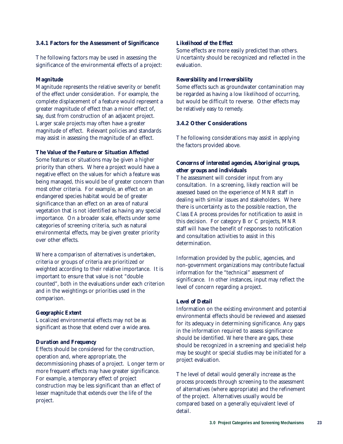### **3.4.1 Factors for the Assessment of Significance**

The following factors may be used in assessing the significance of the environmental effects of a project:

### *Magnitude*

Magnitude represents the relative severity or benefit of the effect under consideration. For example, the complete displacement of a feature would represent a greater magnitude of effect than a minor effect of, say, dust from construction of an adjacent project. Larger scale projects may often have a greater magnitude of effect. Relevant policies and standards may assist in assessing the magnitude of an effect.

### *The Value of the Feature or Situation Affected*

Some features or situations may be given a higher priority than others. Where a project would have a negative effect on the values for which a feature was being managed, this would be of greater concern than most other criteria. For example, an effect on an endangered species habitat would be of greater significance than an effect on an area of natural vegetation that is not identified as having any special importance. On a broader scale, effects under some categories of screening criteria, such as natural environmental effects, may be given greater priority over other effects.

Where a comparison of alternatives is undertaken, criteria or groups of criteria are prioritized or weighted according to their relative importance. It is important to ensure that value is not "double counted", both in the evaluations under each criterion and in the weightings or priorities used in the comparison.

#### *Geographic Extent*

Localized environmental effects may not be as significant as those that extend over a wide area.

### *Duration and Frequency*

Effects should be considered for the construction, operation and, where appropriate, the decommissioning phases of a project. Longer term or more frequent effects may have greater significance. For example, a temporary effect of project construction may be less significant than an effect of lesser magnitude that extends over the life of the project.

### *Likelihood of the Effect*

Some effects are more easily predicted than others. Uncertainty should be recognized and reflected in the evaluation.

### *Reversibility and Irreversibility*

Some effects such as groundwater contamination may be regarded as having a low likelihood of occurring, but would be difficult to reverse. Other effects may be relatively easy to remedy.

# **3.4.2 Other Considerations**

The following considerations may assist in applying the factors provided above.

# *Concerns of interested agencies, Aboriginal groups, other groups and individuals*

The assessment will consider input from any consultation. In a screening, likely reaction will be assessed based on the experience of MNR staff in dealing with similar issues and stakeholders. Where there is uncertainty as to the possible reaction, the Class EA process provides for notification to assist in this decision. For category B or C projects, MNR staff will have the benefit of responses to notification and consultation activities to assist in this determination.

Information provided by the public, agencies, and non-government organizations may contribute factual information for the "technical" assessment of significance. In other instances, input may reflect the level of concern regarding a project.

### *Level of Detail*

Information on the existing environment and potential environmental effects should be reviewed and assessed for its adequacy in determining significance. Any gaps in the information required to assess significance should be identified. Where there are gaps, these should be recognized in a screening and specialist help may be sought or special studies may be initiated for a project evaluation.

The level of detail would generally increase as the process proceeds through screening to the assessment of alternatives (where appropriate) and the refinement of the project. Alternatives usually would be compared based on a generally equivalent level of detail.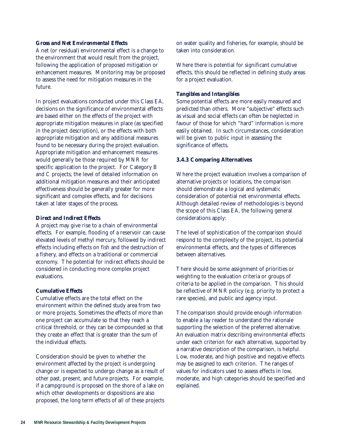### *Gross and Net Environmental Effects*

A net (or residual) environmental effect is a change to the environment that would result from the project, following the application of proposed mitigation or enhancement measures. Monitoring may be proposed to assess the need for mitigation measures in the future.

In project evaluations conducted under this Class EA, decisions on the significance of environmental effects are based either on the effects of the project with appropriate mitigation measures in place (as specified in the project description), or the effects with both appropriate mitigation and any additional measures found to be necessary during the project evaluation. Appropriate mitigation and enhancement measures would generally be those required by MNR for specific application to the project. For Category B and C projects, the level of detailed information on additional mitigation measures and their anticipated effectiveness should be generally greater for more significant and complex effects, and for decisions taken at later stages of the process.

### *Direct and Indirect Effects*

A project may give rise to a chain of environmental effects. For example, flooding of a reservoir can cause elevated levels of methyl mercury, followed by indirect effects including effects on fish and the destruction of a fishery, and effects on a traditional or commercial economy. The potential for indirect effects should be considered in conducting more complex project evaluations.

### *Cumulative Effects*

Cumulative effects are the total effect on the environment within the defined study area from two or more projects. Sometimes the effects of more than one project can accumulate so that they reach a critical threshold, or they can be compounded so that they create an effect that is greater than the sum of the individual effects.

Consideration should be given to whether the environment affected by the project is undergoing change or is expected to undergo change as a result of other past, present, and future projects. For example, if a campground is proposed on the shore of a lake on which other developments or dispositions are also proposed, the long term effects of all of these projects

on water quality and fisheries, for example, should be taken into consideration.

Where there is potential for significant cumulative effects, this should be reflected in defining study areas for a project evaluation.

### *Tangibles and Intangibles*

Some potential effects are more easily measured and predicted than others. More "subjective" effects such as visual and social effects can often be neglected in favour of those for which "hard" information is more easily obtained. In such circumstances, consideration will be given to public input in assessing the significance of effects.

### **3.4.3 Comparing Alternatives**

Where the project evaluation involves a comparison of alternative projects or locations, the comparison should demonstrate a logical and systematic consideration of potential net environmental effects. Although detailed review of methodologies is beyond the scope of this Class EA, the following general considerations apply:

The level of sophistication of the comparison should respond to the complexity of the project, its potential environmental effects, and the types of differences between alternatives.

There should be some assignment of priorities or weighting to the evaluation criteria or groups of criteria to be applied in the comparison. This should be reflective of MNR policy (e.g. priority to protect a rare species), and public and agency input.

The comparison should provide enough information to enable a lay reader to understand the rationale supporting the selection of the preferred alternative. An evaluation matrix describing environmental effects under each criterion for each alternative, supported by a narrative description of the comparison, is helpful. Low, moderate, and high positive and negative effects may be assigned to each criterion. The ranges of values for indicators used to assess effects in low, moderate, and high categories should be specified and explained.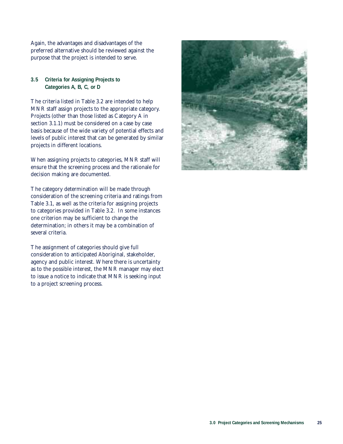Again, the advantages and disadvantages of the preferred alternative should be reviewed against the purpose that the project is intended to serve.

# **3.5 Criteria for Assigning Projects to Categories A, B, C, or D**

The criteria listed in Table 3.2 are intended to help MNR staff assign projects to the appropriate category. Projects (other than those listed as Category A in section 3.1.1) must be considered on a case by case basis because of the wide variety of potential effects and levels of public interest that can be generated by similar projects in different locations.

When assigning projects to categories, MNR staff will ensure that the screening process and the rationale for decision making are documented.

The category determination will be made through consideration of the screening criteria and ratings from Table 3.1, as well as the criteria for assigning projects to categories provided in Table 3.2. In some instances one criterion may be sufficient to change the determination; in others it may be a combination of several criteria.

The assignment of categories should give full consideration to anticipated Aboriginal, stakeholder, agency and public interest. Where there is uncertainty as to the possible interest, the MNR manager may elect to issue a notice to indicate that MNR is seeking input to a project screening process.

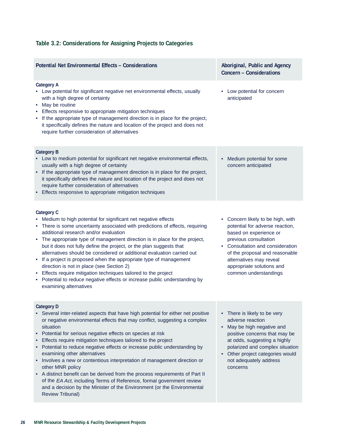# **Table 3.2: Considerations for Assigning Projects to Categories**

| <b>Potential Net Environmental Effects - Considerations</b>                                                                                                                                                                                                                                                                                                                                                                                                                                                                                                                                                                                                                                                                                                                                         | Aboriginal, Public and Agency<br>Concern - Considerations                                                                                                                                                                                                                      |  |  |  |
|-----------------------------------------------------------------------------------------------------------------------------------------------------------------------------------------------------------------------------------------------------------------------------------------------------------------------------------------------------------------------------------------------------------------------------------------------------------------------------------------------------------------------------------------------------------------------------------------------------------------------------------------------------------------------------------------------------------------------------------------------------------------------------------------------------|--------------------------------------------------------------------------------------------------------------------------------------------------------------------------------------------------------------------------------------------------------------------------------|--|--|--|
| <b>Category A</b><br>• Low potential for significant negative net environmental effects, usually<br>with a high degree of certainty<br>May be routine<br>٠<br>• Effects responsive to appropriate mitigation techniques<br>If the appropriate type of management direction is in place for the project,<br>it specifically defines the nature and location of the project and does not<br>require further consideration of alternatives                                                                                                                                                                                                                                                                                                                                                             | • Low potential for concern<br>anticipated                                                                                                                                                                                                                                     |  |  |  |
| <b>Category B</b><br>• Low to medium potential for significant net negative environmental effects,<br>usually with a high degree of certainty<br>If the appropriate type of management direction is in place for the project,<br>it specifically defines the nature and location of the project and does not<br>require further consideration of alternatives<br>Effects responsive to appropriate mitigation techniques                                                                                                                                                                                                                                                                                                                                                                            | Medium potential for some<br>concern anticipated                                                                                                                                                                                                                               |  |  |  |
| <b>Category C</b><br>• Medium to high potential for significant net negative effects<br>• There is some uncertainty associated with predictions of effects, requiring<br>additional research and/or evaluation<br>• The appropriate type of management direction is in place for the project,<br>but it does not fully define the project, or the plan suggests that<br>alternatives should be considered or additional evaluation carried out<br>• If a project is proposed when the appropriate type of management<br>direction is not in place (see Section 2)<br>• Effects require mitigation techniques tailored to the project<br>• Potential to reduce negative effects or increase public understanding by<br>examining alternatives                                                        | • Concern likely to be high, with<br>potential for adverse reaction,<br>based on experience or<br>previous consultation<br>• Consultation and consideration<br>of the proposal and reasonable<br>alternatives may reveal<br>appropriate solutions and<br>common understandings |  |  |  |
| <b>Category D</b><br>Several inter-related aspects that have high potential for either net positive<br>or negative environmental effects that may conflict, suggesting a complex<br>situation<br>Potential for serious negative effects on species at risk<br>Effects require mitigation techniques tailored to the project<br>Potential to reduce negative effects or increase public understanding by<br>examining other alternatives<br>Involves a new or contentious interpretation of management direction or<br>other MNR policy<br>A distinct benefit can be derived from the process requirements of Part II<br>of the EA Act, including Terms of Reference, formal government review<br>and a decision by the Minister of the Environment (or the Environmental<br><b>Review Tribunal)</b> | • There is likely to be very<br>adverse reaction<br>May be high negative and<br>positive concerns that may be<br>at odds, suggesting a highly<br>polarized and complex situation<br>Other project categories would<br>not adequately address<br>concerns                       |  |  |  |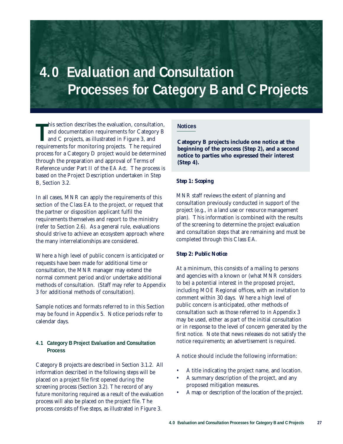# **4.0 Evaluation and Consultation Processes for Category B and C Projects**

**T** his section describes the evaluation, consultation, and documentation requirements for Category B and C projects, as illustrated in Figure 3, and requirements for monitoring projects. The required process for a Category D project would be determined through the preparation and approval of Terms of Reference under Part II of the *EA Act*. The process is based on the Project Description undertaken in Step B, Section 3.2.

In all cases, MNR can apply the requirements of this section of the Class EA to the project, or request that the partner or disposition applicant fulfil the requirements themselves and report to the ministry (refer to Section 2.6). As a general rule, evaluations should strive to achieve an ecosystem approach where the many interrelationships are considered.

Where a high level of public concern is anticipated or requests have been made for additional time or consultation, the MNR manager may extend the normal comment period and/or undertake additional methods of consultation. (Staff may refer to Appendix 3 for additional methods of consultation).

Sample notices and formats referred to in this Section may be found in Appendix 5. Notice periods refer to calendar days.

### **4.1 Category B Project Evaluation and Consultation Process**

Category B projects are described in Section 3.1.2. All information described in the following steps will be placed on a project file first opened during the screening process (Section 3.2). The record of any future monitoring required as a result of the evaluation process will also be placed on the project file. The process consists of five steps, as illustrated in Figure 3.

# **Notices**

**Category B projects include one notice at the beginning of the process (Step 2), and a second notice to parties who expressed their interest (Step 4).**

# *Step 1: Scoping*

MNR staff reviews the extent of planning and consultation previously conducted in support of the project (e.g., in a land use or resource management plan). This information is combined with the results of the screening to determine the project evaluation and consultation steps that are remaining and must be completed through this Class EA.

# *Step 2: Public Notice*

At a minimum, this consists of a mailing to persons and agencies with a known or (what MNR considers to be) a potential interest in the proposed project, including MOE Regional offices, with an invitation to comment within 30 days. Where a high level of public concern is anticipated, other methods of consultation such as those referred to in Appendix 3 may be used, either as part of the initial consultation or in response to the level of concern generated by the first notice. Note that news releases do not satisfy the notice requirements; an advertisement is required.

A notice should include the following information:

- A title indicating the project name, and location.
- A summary description of the project, and any proposed mitigation measures.
- A map or description of the location of the project.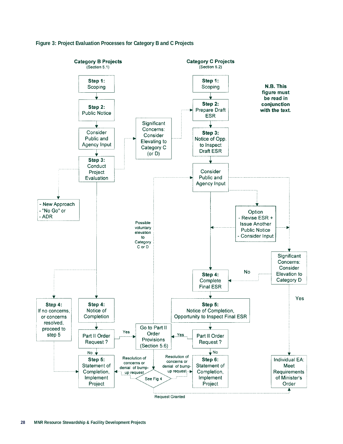

### **Figure 3: Project Evaluation Processes for Category B and C Projects**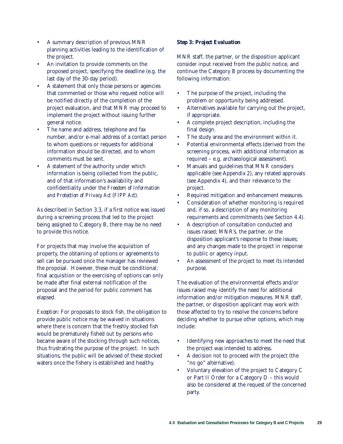- A summary description of previous MNR planning activities leading to the identification of the project.
- An invitation to provide comments on the proposed project, specifying the deadline (e.g. the last day of the 30-day period).
- A statement that only those persons or agencies that commented or those who request notice will be notified directly of the completion of the project evaluation, and that MNR may proceed to implement the project without issuing further general notice.
- The name and address, telephone and fax number, and/or e-mail address of a contact person to whom questions or requests for additional information should be directed, and to whom comments must be sent.
- A statement of the authority under which information is being collected from the public, and of that information's availability and confidentiality under the *Freedom of Information and Protection of Privacy Act* (*FIPP Act*).

As described in Section 3.3, if a first notice was issued during a screening process that led to the project being assigned to Category B, there may be no need to provide this notice.

For projects that may involve the acquisition of property, the obtaining of options or agreements to sell can be pursued once the manager has reviewed the proposal. However, these must be conditional; final acquisition or the exercising of options can only be made after final external notification of the proposal and the period for public comment has elapsed.

*Exception:* For proposals to stock fish, the obligation to provide public notice may be waived in situations where there is concern that the freshly stocked fish would be prematurely fished out by persons who became aware of the stocking through such notices, thus frustrating the purpose of the project. In such situations, the public will be advised of these stocked waters once the fishery is established and healthy.

# *Step 3: Project Evaluation*

MNR staff, the partner, or the disposition applicant consider input received from the public notice, and continue the Category B process by documenting the following information:

- The purpose of the project, including the problem or opportunity being addressed.
- Alternatives available for carrying out the project, if appropriate.
- A complete project description, including the final design.
- The study area and the environment within it.
- Potential environmental effects (derived from the screening process, with additional information as required – e.g. archaeological assessment).
- Manuals and guidelines that MNR considers applicable (see Appendix 2), any related approvals (see Appendix 4), and their relevance to the project.
- Required mitigation and enhancement measures.
- Consideration of whether monitoring is required and, if so, a description of any monitoring requirements and commitments (see Section 4.4).
- A description of consultation conducted and issues raised; MNR's, the partner, or the disposition applicant's response to these issues; and any changes made to the project in response to public or agency input.
- An assessment of the project to meet its intended purpose.

The evaluation of the environmental effects and/or issues raised may identify the need for additional information and/or mitigation measures. MNR staff, the partner, or disposition applicant may work with those affected to try to resolve the concerns before deciding whether to pursue other options, which may include:

- Identifying new approaches to meet the need that the project was intended to address.
- A decision not to proceed with the project (the "no go" alternative).
- Voluntary elevation of the project to Category C or Part II Order for a Category D – this would also be considered at the request of the concerned party.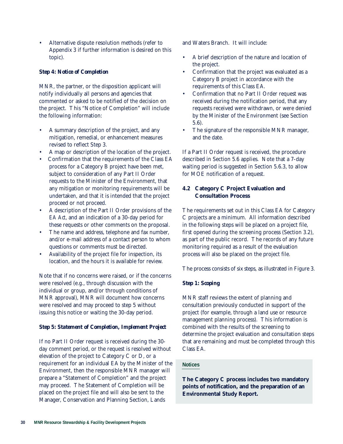• Alternative dispute resolution methods (refer to Appendix 3 if further information is desired on this topic).

## *Step 4: Notice of Completion*

MNR, the partner, or the disposition applicant will notify individually all persons and agencies that commented or asked to be notified of the decision on the project. This "Notice of Completion" will include the following information:

- A summary description of the project, and any mitigation, remedial, or enhancement measures revised to reflect Step 3.
- A map or description of the location of the project.
- Confirmation that the requirements of the Class EA process for a Category B project have been met, subject to consideration of any Part II Order requests to the Minister of the Environment, that any mitigation or monitoring requirements will be undertaken, and that it is intended that the project proceed or not proceed.
- A description of the Part II Order provisions of the *EA Act*, and an indication of a 30-day period for these requests or other comments on the proposal.
- The name and address, telephone and fax number, and/or e-mail address of a contact person to whom questions or comments must be directed.
- Availability of the project file for inspection, its location, and the hours it is available for review.

Note that if no concerns were raised, or if the concerns were resolved (e.g., through discussion with the individual or group, and/or through conditions of MNR approval), MNR will document how concerns were resolved and may proceed to step 5 without issuing this notice or waiting the 30-day period.

#### *Step 5: Statement of Completion, Implement Project*

If no Part II Order request is received during the 30 day comment period, or the request is resolved without elevation of the project to Category C or D, or a requirement for an individual EA by the Minister of the Environment, then the responsible MNR manager will prepare a "Statement of Completion" and the project may proceed. The Statement of Completion will be placed on the project file and will also be sent to the Manager, Conservation and Planning Section, Lands

and Waters Branch. It will include:

- A brief description of the nature and location of the project.
- Confirmation that the project was evaluated as a Category B project in accordance with the requirements of this Class EA.
- Confirmation that no Part II Order request was received during the notification period, that any requests received were withdrawn, or were denied by the Minister of the Environment (see Section 5.6).
- The signature of the responsible MNR manager, and the date.

If a Part II Order request is received, the procedure described in Section 5.6 applies. Note that a 7-day waiting period is suggested in Section 5.6.3, to allow for MOE notification of a request.

# **4.2 Category C Project Evaluation and Consultation Process**

The requirements set out in this Class EA for Category C projects are a minimum. All information described in the following steps will be placed on a project file, first opened during the screening process (Section 3.2), as part of the public record. The records of any future monitoring required as a result of the evaluation process will also be placed on the project file.

The process consists of six steps, as illustrated in Figure 3.

# *Step 1: Scoping*

MNR staff reviews the extent of planning and consultation previously conducted in support of the project (for example, through a land use or resource management planning process). This information is combined with the results of the screening to determine the project evaluation and consultation steps that are remaining and must be completed through this Class EA.

## **Notices**

**The Category C process includes two mandatory points of notification, and the preparation of an Environmental Study Report.**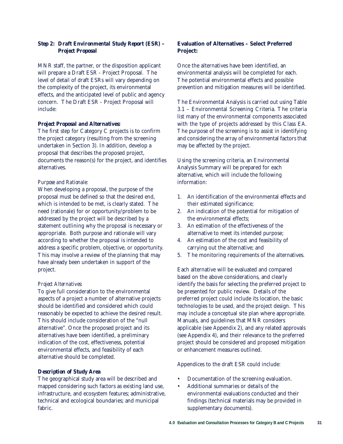# *Step 2: Draft Environmental Study Report (ESR) – Project Proposal*

MNR staff, the partner, or the disposition applicant will prepare a Draft ESR - Project Proposal. The level of detail of draft ESRs will vary depending on the complexity of the project, its environmental effects, and the anticipated level of public and agency concern. The Draft ESR - Project Proposal will include:

### *Project Proposal and Alternatives:*

The first step for Category C projects is to confirm the project category (resulting from the screening undertaken in Section 3). In addition, develop a proposal that describes the proposed project, documents the reason(s) for the project, and identifies alternatives.

### *Purpose and Rationale:*

When developing a proposal, the purpose of the proposal must be defined so that the desired end, which is intended to be met, is clearly stated. The need (rationale) for or opportunity/problem to be addressed by the project will be described by a statement outlining why the proposal is necessary or appropriate. Both purpose and rationale will vary according to whether the proposal is intended to address a specific problem, objective, or opportunity. This may involve a review of the planning that may have already been undertaken in support of the project.

#### *Project Alternatives:*

To give full consideration to the environmental aspects of a project a number of alternative projects should be identified and considered which could reasonably be expected to achieve the desired result. This should include consideration of the "null alternative". Once the proposed project and its alternatives have been identified, a preliminary indication of the cost, effectiveness, potential environmental effects, and feasibility of each alternative should be completed.

#### *Description of Study Area*

The geographical study area will be described and mapped considering such factors as existing land use, infrastructure, and ecosystem features; administrative, technical and ecological boundaries; and municipal fabric.

# **Evaluation of Alternatives – Select Preferred Project:**

Once the alternatives have been identified, an environmental analysis will be completed for each. The potential environmental effects and possible prevention and mitigation measures will be identified.

The Environmental Analysis is carried out using Table 3.1 – Environmental Screening Criteria. The criteria list many of the environmental components associated with the type of projects addressed by this Class EA. The purpose of the screening is to assist in identifying and considering the array of environmental factors that may be affected by the project.

Using the screening criteria, an Environmental Analysis Summary will be prepared for each alternative, which will include the following information:

- 1. An identification of the environmental effects and their estimated significance;
- 2. An indication of the potential for mitigation of the environmental effects;
- 3. An estimation of the effectiveness of the alternative to meet its intended purpose;
- 4. An estimation of the cost and feasibility of carrying out the alternative; and
- 5. The monitoring requirements of the alternatives.

Each alternative will be evaluated and compared based on the above considerations, and clearly identify the basis for selecting the preferred project to be presented for public review. Details of the preferred project could include its location, the basic technologies to be used, and the project design. This may include a conceptual site plan where appropriate. Manuals, and guidelines that MNR considers applicable (see Appendix 2), and any related approvals (see Appendix 4), and their relevance to the preferred project should be considered and proposed mitigation or enhancement measures outlined.

Appendices to the draft ESR could include:

- Documentation of the screening evaluation.
- Additional summaries or details of the environmental evaluations conducted and their findings (technical materials may be provided in supplementary documents).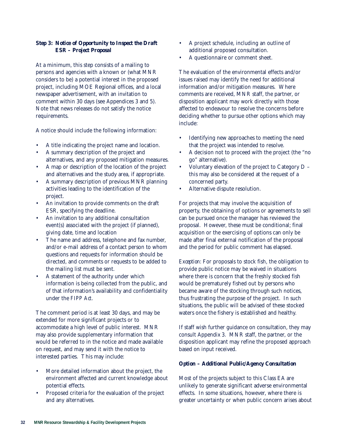# *Step 3: Notice of Opportunity to Inspect the Draft ESR – Project Proposal*

At a minimum, this step consists of a mailing to persons and agencies with a known or (what MNR considers to be) a potential interest in the proposed project, including MOE Regional offices, and a local newspaper advertisement, with an invitation to comment within 30 days (see Appendices 3 and 5). Note that news releases do not satisfy the notice requirements.

A notice should include the following information:

- A title indicating the project name and location.
- A summary description of the project and alternatives, and any proposed mitigation measures.
- A map or description of the location of the project and alternatives and the study area, if appropriate.
- A summary description of previous MNR planning activities leading to the identification of the project.
- An invitation to provide comments on the draft ESR, specifying the deadline.
- An invitation to any additional consultation event(s) associated with the project (if planned), giving date, time and location
- The name and address, telephone and fax number, and/or e-mail address of a contact person to whom questions and requests for information should be directed, and comments or requests to be added to the mailing list must be sent.
- A statement of the authority under which information is being collected from the public, and of that information's availability and confidentiality under the *FIPP Act*.

The comment period is at least 30 days, and may be extended for more significant projects or to accommodate a high level of public interest. MNR may also provide supplementary information that would be referred to in the notice and made available on request, and may send it with the notice to interested parties. This may include:

- More detailed information about the project, the environment affected and current knowledge about potential effects.
- Proposed criteria for the evaluation of the project and any alternatives.
- A project schedule, including an outline of additional proposed consultation.
- A questionnaire or comment sheet.

The evaluation of the environmental effects and/or issues raised may identify the need for additional information and/or mitigation measures. Where comments are received, MNR staff, the partner, or disposition applicant may work directly with those affected to endeavour to resolve the concerns before deciding whether to pursue other options which may include:

- Identifying new approaches to meeting the need that the project was intended to resolve.
- A decision not to proceed with the project (the "no go" alternative).
- Voluntary elevation of the project to Category D this may also be considered at the request of a concerned party.
- Alternative dispute resolution.

For projects that may involve the acquisition of property, the obtaining of options or agreements to sell can be pursued once the manager has reviewed the proposal. However, these must be conditional; final acquisition or the exercising of options can only be made after final external notification of the proposal and the period for public comment has elapsed.

*Exception*: For proposals to stock fish, the obligation to provide public notice may be waived in situations where there is concern that the freshly stocked fish would be prematurely fished out by persons who became aware of the stocking through such notices, thus frustrating the purpose of the project. In such situations, the public will be advised of these stocked waters once the fishery is established and healthy.

If staff wish further guidance on consultation, they may consult Appendix 3. MNR staff, the partner, or the disposition applicant may refine the proposed approach based on input received.

# *Option – Additional Public/Agency Consultation*

Most of the projects subject to this Class EA are unlikely to generate significant adverse environmental effects. In some situations, however, where there is greater uncertainty or when public concern arises about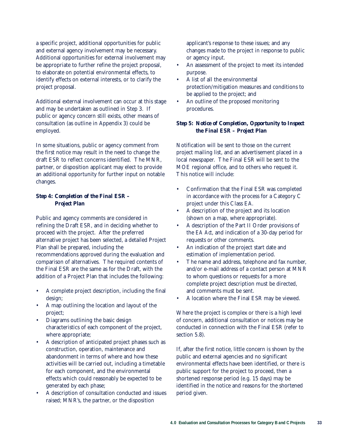a specific project, additional opportunities for public and external agency involvement may be necessary. Additional opportunities for external involvement may be appropriate to further refine the project proposal, to elaborate on potential environmental effects, to identify effects on external interests, or to clarify the project proposal.

Additional external involvement can occur at this stage and may be undertaken as outlined in Step 3. If public or agency concern still exists, other means of consultation (as outline in Appendix 3) could be employed.

In some situations, public or agency comment from the first notice may result in the need to change the draft ESR to reflect concerns identified. The MNR, partner, or disposition applicant may elect to provide an additional opportunity for further input on notable changes.

# *Step 4: Completion of the Final ESR – Project Plan*

Public and agency comments are considered in refining the Draft ESR, and in deciding whether to proceed with the project. After the preferred alternative project has been selected, a detailed Project Plan shall be prepared, including the recommendations approved during the evaluation and comparison of alternatives. The required contents of the Final ESR are the same as for the Draft, with the addition of a Project Plan that includes the following:

- A complete project description, including the final design;
- A map outlining the location and layout of the project;
- Diagrams outlining the basic design characteristics of each component of the project, where appropriate;
- A description of anticipated project phases such as construction, operation, maintenance and abandonment in terms of where and how these activities will be carried out, including a timetable for each component, and the environmental effects which could reasonably be expected to be generated by each phase;
- A description of consultation conducted and issues raised; MNR's, the partner, or the disposition

applicant's response to these issues; and any changes made to the project in response to public or agency input.

- An assessment of the project to meet its intended purpose.
- A list of all the environmental protection/mitigation measures and conditions to be applied to the project; and
- An outline of the proposed monitoring procedures.

# *Step 5: Notice of Completion, Opportunity to Inspect the Final ESR – Project Plan*

Notification will be sent to those on the current project mailing list, and an advertisement placed in a local newspaper. The Final ESR will be sent to the MOE regional office, and to others who request it. This notice will include:

- Confirmation that the Final ESR was completed in accordance with the process for a Category C project under this Class EA.
- A description of the project and its location (shown on a map, where appropriate).
- A description of the Part II Order provisions of the *EA Act*, and indication of a 30-day period for requests or other comments.
- An indication of the project start date and estimation of implementation period.
- The name and address, telephone and fax number, and/or e-mail address of a contact person at MNR to whom questions or requests for a more complete project description must be directed, and comments must be sent.
- A location where the Final ESR may be viewed.

Where the project is complex or there is a high level of concern, additional consultation or notices may be conducted in connection with the Final ESR (refer to section 5.8).

If, after the first notice, little concern is shown by the public and external agencies and no significant environmental effects have been identified, or there is public support for the project to proceed, then a shortened response period (e.g. 15 days) may be identified in the notice and reasons for the shortened period given.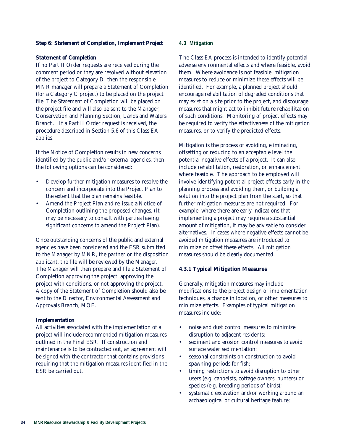## *Step 6: Statement of Completion, Implement Project*

#### *Statement of Completion*

If no Part II Order requests are received during the comment period or they are resolved without elevation of the project to Category D, then the responsible MNR manager will prepare a Statement of Completion (for a Category C project) to be placed on the project file. The Statement of Completion will be placed on the project file and will also be sent to the Manager, Conservation and Planning Section, Lands and Waters Branch. If a Part II Order request is received, the procedure described in Section 5.6 of this Class EA applies.

If the Notice of Completion results in new concerns identified by the public and/or external agencies, then the following options can be considered:

- Develop further mitigation measures to resolve the concern and incorporate into the Project Plan to the extent that the plan remains feasible.
- Amend the Project Plan and re-issue a Notice of Completion outlining the proposed changes. (It may be necessary to consult with parties having significant concerns to amend the Project Plan).

Once outstanding concerns of the public and external agencies have been considered and the ESR submitted to the Manager by MNR, the partner or the disposition applicant, the file will be reviewed by the Manager. The Manager will then prepare and file a Statement of Completion approving the project, approving the project with conditions, or not approving the project. A copy of the Statement of Completion should also be sent to the Director, Environmental Assessment and Approvals Branch, MOE.

#### *Implementation*

All activities associated with the implementation of a project will include recommended mitigation measures outlined in the Final ESR. If construction and maintenance is to be contracted out, an agreement will be signed with the contractor that contains provisions requiring that the mitigation measures identified in the ESR be carried out.

#### **4.3 Mitigation**

The Class EA process is intended to identify potential adverse environmental effects and where feasible, avoid them. Where avoidance is not feasible, mitigation measures to reduce or minimize these effects will be identified. For example, a planned project should encourage rehabilitation of degraded conditions that may exist on a site prior to the project, and discourage measures that might act to inhibit future rehabilitation of such conditions. Monitoring of project effects may be required to verify the effectiveness of the mitigation measures, or to verify the predicted effects.

Mitigation is the process of avoiding, eliminating, offsetting or reducing to an acceptable level the potential negative effects of a project. It can also include rehabilitation, restoration, or enhancement where feasible. The approach to be employed will involve identifying potential project effects early in the planning process and avoiding them, or building a solution into the project plan from the start, so that further mitigation measures are not required. For example, where there are early indications that implementing a project may require a substantial amount of mitigation, it may be advisable to consider alternatives. In cases where negative effects cannot be avoided mitigation measures are introduced to minimize or offset these effects. All mitigation measures should be clearly documented.

#### **4.3.1 Typical Mitigation Measures**

Generally, mitigation measures may include modifications to the project design or implementation techniques, a change in location, or other measures to minimize effects. Examples of typical mitigation measures include:

- noise and dust control measures to minimize disruption to adjacent residents;
- sediment and erosion control measures to avoid surface water sedimentation;
- seasonal constraints on construction to avoid spawning periods for fish;
- timing restrictions to avoid disruption to other users (e.g. canoeists, cottage owners, hunters) or species (e.g. breeding periods of birds);
- systematic excavation and/or working around an archaeological or cultural heritage feature;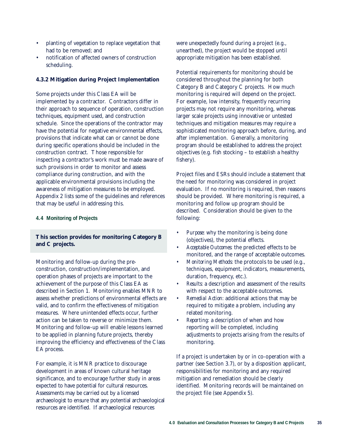- planting of vegetation to replace vegetation that had to be removed; and
- notification of affected owners of construction scheduling.

#### **4.3.2 Mitigation during Project Implementation**

Some projects under this Class EA will be implemented by a contractor. Contractors differ in their approach to sequence of operation, construction techniques, equipment used, and construction schedule. Since the operations of the contractor may have the potential for negative environmental effects, provisions that indicate what can or cannot be done during specific operations should be included in the construction contract. Those responsible for inspecting a contractor's work must be made aware of such provisions in order to monitor and assess compliance during construction, and with the applicable environmental provisions including the awareness of mitigation measures to be employed. Appendix 2 lists some of the guidelines and references that may be useful in addressing this.

#### **4.4 Monitoring of Projects**

# **This section provides for monitoring Category B and C projects.**

Monitoring and follow-up during the preconstruction, construction/implementation, and operation phases of projects are important to the achievement of the purpose of this Class EA as described in Section 1. Monitoring enables MNR to assess whether predictions of environmental effects are valid, and to confirm the effectiveness of mitigation measures. Where unintended effects occur, further action can be taken to reverse or minimize them. Monitoring and follow-up will enable lessons learned to be applied in planning future projects, thereby improving the efficiency and effectiveness of the Class EA process.

For example, it is MNR practice to discourage development in areas of known cultural heritage significance, and to encourage further study in areas expected to have potential for cultural resources. Assessments may be carried out by a licensed archaeologist to ensure that any potential archaeological resources are identified. If archaeological resources

were unexpectedly found during a project (e.g., unearthed), the project would be stopped until appropriate mitigation has been established.

Potential requirements for monitoring should be considered throughout the planning for both Category B and Category C projects. How much monitoring is required will depend on the project. For example, low intensity, frequently recurring projects may not require any monitoring, whereas larger scale projects using innovative or untested techniques and mitigation measures may require a sophisticated monitoring approach before, during, and after implementation. Generally, a monitoring program should be established to address the project objectives (e.g. fish stocking – to establish a healthy fishery).

Project files and ESRs should include a statement that the need for monitoring was considered in project evaluation. If no monitoring is required, then reasons should be provided. Where monitoring is required, a monitoring and follow up program should be described. Consideration should be given to the following:

- *• Purpose:* why the monitoring is being done (objectives), the potential effects.
- *• Acceptable Outcomes:* the predicted effects to be monitored, and the range of acceptable outcomes.
- *• Monitoring Methods:* the protocols to be used (e.g., techniques, equipment, indicators, measurements, duration, frequency, etc.).
- *• Results:* a description and assessment of the results with respect to the acceptable outcomes.
- *• Remedial Action:* additional actions that may be required to mitigate a problem, including any related monitoring.
- *• Reporting:* a description of when and how reporting will be completed, including adjustments to projects arising from the results of monitoring.

If a project is undertaken by or in co-operation with a partner (see Section 3.7), or by a disposition applicant, responsibilities for monitoring and any required mitigation and remediation should be clearly identified. Monitoring records will be maintained on the project file (see Appendix 5).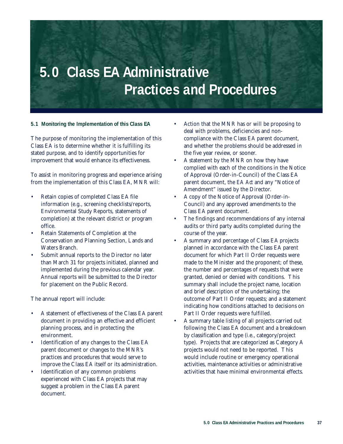# **5.0 Class EA Administrative Practices and Procedures**

**5.1 Monitoring the Implementation of this Class EA**

The purpose of monitoring the implementation of this Class EA is to determine whether it is fulfilling its stated purpose, and to identify opportunities for improvement that would enhance its effectiveness.

To assist in monitoring progress and experience arising from the implementation of this Class EA, MNR will:

- Retain copies of completed Class EA file information (e.g., screening checklists/reports, Environmental Study Reports, statements of completion) at the relevant district or program office.
- Retain Statements of Completion at the Conservation and Planning Section, Lands and Waters Branch.
- Submit annual reports to the Director no later than March 31 for projects initiated, planned and implemented during the previous calendar year. Annual reports will be submitted to the Director for placement on the Public Record.

The annual report will include:

- A statement of effectiveness of the Class EA parent document in providing an effective and efficient planning process, and in protecting the environment.
- Identification of any changes to the Class EA parent document or changes to the MNR's practices and procedures that would serve to improve the Class EA itself or its administration.
- Identification of any common problems experienced with Class EA projects that may suggest a problem in the Class EA parent document.
- Action that the MNR has or will be proposing to deal with problems, deficiencies and noncompliance with the Class EA parent document, and whether the problems should be addressed in the five year review, or sooner.
- A statement by the MNR on how they have complied with each of the conditions in the Notice of Approval (Order-in-Council) of the Class EA parent document, the *EA Act* and any "Notice of Amendment" issued by the Director.
- A copy of the Notice of Approval (Order-in-Council) and any approved amendments to the Class EA parent document.
- The findings and recommendations of any internal audits or third party audits completed during the course of the year.
- A summary and percentage of Class EA projects planned in accordance with the Class EA parent document for which Part II Order requests were made to the Minister and the proponent; of these, the number and percentages of requests that were granted, denied or denied with conditions. This summary shall include the project name, location and brief description of the undertaking; the outcome of Part II Order requests; and a statement indicating how conditions attached to decisions on Part II Order requests were fulfilled.
- A summary table listing of all projects carried out following the Class EA document and a breakdown by classification and type (i.e., category/project type). Projects that are categorized as Category A projects would not need to be reported. This would include routine or emergency operational activities, maintenance activities or administrative activities that have minimal environmental effects.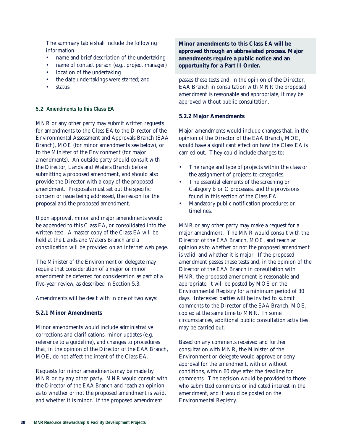The summary table shall include the following information:

- name and brief description of the undertaking
- name of contact person (e.g., project manager)
- location of the undertaking
- the date undertakings were started; and
- **status**

#### **5.2 Amendments to this Class EA**

MNR or any other party may submit written requests for amendments to the Class EA to the Director of the Environmental Assessment and Approvals Branch (EAA Branch), MOE (for minor amendments see below), or to the Minister of the Environment (for major amendments). An outside party should consult with the Director, Lands and Waters Branch before submitting a proposed amendment, and should also provide the Director with a copy of the proposed amendment. Proposals must set out the specific concern or issue being addressed, the reason for the proposal and the proposed amendment.

Upon approval, minor and major amendments would be appended to this Class EA, or consolidated into the written text. A master copy of the Class EA will be held at the Lands and Waters Branch and a consolidation will be provided on an internet web page.

The Minister of the Environment or delegate may require that consideration of a major or minor amendment be deferred for consideration as part of a five-year review, as described in Section 5.3.

Amendments will be dealt with in one of two ways:

# **5.2.1 Minor Amendments**

Minor amendments would include administrative corrections and clarifications, minor updates (e.g., reference to a guideline), and changes to procedures that, in the opinion of the Director of the EAA Branch, MOE, do not affect the intent of the Class EA.

Requests for minor amendments may be made by MNR or by any other party. MNR would consult with the Director of the EAA Branch and reach an opinion as to whether or not the proposed amendment is valid, and whether it is minor. If the proposed amendment

# **Minor amendments to this Class EA will be approved through an abbreviated process. Major amendments require a public notice and an opportunity for a Part II Order.**

passes these tests and, in the opinion of the Director, EAA Branch in consultation with MNR the proposed amendment is reasonable and appropriate, it may be approved without public consultation.

### **5.2.2 Major Amendments**

Major amendments would include changes that, in the opinion of the Director of the EAA Branch, MOE, would have a significant effect on how the Class EA is carried out. They could include changes to:

- The range and type of projects within the class or the assignment of projects to categories.
- The essential elements of the screening or Category B or C processes, and the provisions found in this section of the Class EA.
- Mandatory public notification procedures or timelines.

MNR or any other party may make a request for a major amendment. The MNR would consult with the Director of the EAA Branch, MOE, and reach an opinion as to whether or not the proposed amendment is valid, and whether it is major. If the proposed amendment passes these tests and, in the opinion of the Director of the EAA Branch in consultation with MNR, the proposed amendment is reasonable and appropriate, it will be posted by MOE on the Environmental Registry for a minimum period of 30 days. Interested parties will be invited to submit comments to the Director of the EAA Branch, MOE, copied at the same time to MNR. In some circumstances, additional public consultation activities may be carried out.

Based on any comments received and further consultation with MNR, the Minister of the Environment or delegate would approve or deny approval for the amendment, with or without conditions, within 60 days after the deadline for comments. The decision would be provided to those who submitted comments or indicated interest in the amendment, and it would be posted on the Environmental Registry.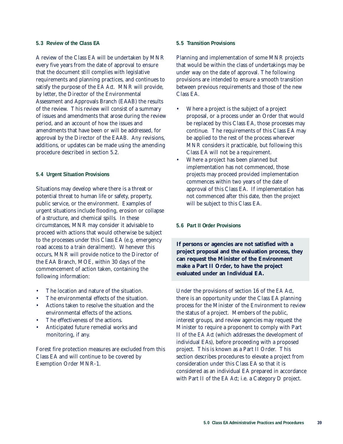#### **5.3 Review of the Class EA**

A review of the Class EA will be undertaken by MNR every five years from the date of approval to ensure that the document still complies with legislative requirements and planning practices, and continues to satisfy the purpose of the *EA Act*. MNR will provide, by letter, the Director of the Environmental Assessment and Approvals Branch (EAAB) the results of the review. This review will consist of a summary of issues and amendments that arose during the review period, and an account of how the issues and amendments that have been or will be addressed, for approval by the Director of the EAAB. Any revisions, additions, or updates can be made using the amending procedure described in section 5.2.

#### **5.4 Urgent Situation Provisions**

Situations may develop where there is a threat or potential threat to human life or safety, property, public service, or the environment. Examples of urgent situations include flooding, erosion or collapse of a structure, and chemical spills. In these circumstances, MNR may consider it advisable to proceed with actions that would otherwise be subject to the processes under this Class EA (e.g. emergency road access to a train derailment). Whenever this occurs, MNR will provide notice to the Director of the EAA Branch, MOE, within 30 days of the commencement of action taken, containing the following information:

- The location and nature of the situation.
- The environmental effects of the situation.
- Actions taken to resolve the situation and the environmental effects of the actions.
- The effectiveness of the actions.
- Anticipated future remedial works and monitoring, if any.

Forest fire protection measures are excluded from this Class EA and will continue to be covered by Exemption Order MNR-1.

#### **5.5 Transition Provisions**

Planning and implementation of some MNR projects that would be within the class of undertakings may be under way on the date of approval. The following provisions are intended to ensure a smooth transition between previous requirements and those of the new Class EA.

- Where a project is the subject of a project proposal, or a process under an Order that would be replaced by this Class EA, those processes may continue. The requirements of this Class EA may be applied to the rest of the process wherever MNR considers it practicable, but following this Class EA will not be a requirement.
- Where a project has been planned but implementation has not commenced, those projects may proceed provided implementation commences within two years of the date of approval of this Class EA. If implementation has not commenced after this date, then the project will be subject to this Class EA.

#### **5.6 Part II Order Provisions**

**If persons or agencies are not satisfied with a project proposal and the evaluation process, they can request the Minister of the Environment make a Part II Order, to have the project evaluated under an Individual EA.**

Under the provisions of section 16 of the *EA Act*, there is an opportunity under the Class EA planning process for the Minister of the Environment to review the status of a project. Members of the public, interest groups, and review agencies may request the Minister to require a proponent to comply with Part II of the *EA Act* (which addresses the development of individual EAs), before proceeding with a proposed project. This is known as a Part II Order. This section describes procedures to elevate a project from consideration under this Class EA so that it is considered as an individual EA prepared in accordance with Part II of the *EA Act*; i.e. a Category D project.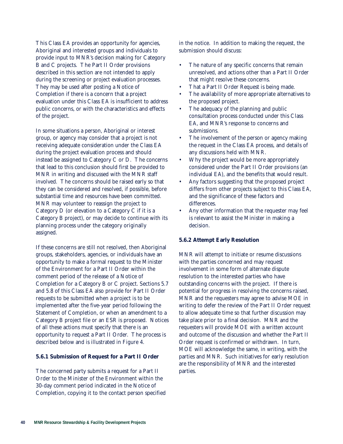This Class EA provides an opportunity for agencies, Aboriginal and interested groups and individuals to provide input to MNR's decision making for Category B and C projects. The Part II Order provisions described in this section are not intended to apply during the screening or project evaluation processes. They may be used after posting a Notice of Completion if there is a concern that a project evaluation under this Class EA is insufficient to address public concerns, or with the characteristics and effects of the project.

In some situations a person, Aboriginal or interest group, or agency may consider that a project is not receiving adequate consideration under the Class EA during the project evaluation process and should instead be assigned to Category C or D. The concerns that lead to this conclusion should first be provided to MNR in writing and discussed with the MNR staff involved. The concerns should be raised early so that they can be considered and resolved, if possible, before substantial time and resources have been committed. MNR may volunteer to reassign the project to Category D (or elevation to a Category C if it is a Category B project), or may decide to continue with its planning process under the category originally assigned.

If these concerns are still not resolved, then Aboriginal groups, stakeholders, agencies, or individuals have an opportunity to make a formal request to the Minister of the Environment for a Part II Order within the comment period of the release of a Notice of Completion for a Category B or C project. Sections 5.7 and 5.8 of this Class EA also provide for Part II Order requests to be submitted when a project is to be implemented after the five-year period following the Statement of Completion, or when an amendment to a Category B project file or an ESR is proposed. Notices of all these actions must specify that there is an opportunity to request a Part II Order. The process is described below and is illustrated in Figure 4.

#### **5.6.1 Submission of Request for a Part II Order**

The concerned party submits a request for a Part II Order to the Minister of the Environment within the 30-day comment period indicated in the Notice of Completion, copying it to the contact person specified in the notice. In addition to making the request, the submission should discuss:

- The nature of any specific concerns that remain unresolved, and actions other than a Part II Order that might resolve these concerns.
- That a Part II Order Request is being made.
- The availability of more appropriate alternatives to the proposed project.
- The adequacy of the planning and public consultation process conducted under this Class EA, and MNR's response to concerns and submissions.
- The involvement of the person or agency making the request in the Class EA process, and details of any discussions held with MNR.
- Why the project would be more appropriately considered under the Part II Order provisions (an individual EA), and the benefits that would result.
- Any factors suggesting that the proposed project differs from other projects subject to this Class EA, and the significance of these factors and differences.
- Any other information that the requester may feel is relevant to assist the Minister in making a decision.

#### **5.6.2 Attempt Early Resolution**

MNR will attempt to initiate or resume discussions with the parties concerned and may request involvement in some form of alternate dispute resolution to the interested parties who have outstanding concerns with the project. If there is potential for progress in resolving the concerns raised, MNR and the requesters may agree to advise MOE in writing to defer the review of the Part II Order request to allow adequate time so that further discussion may take place prior to a final decision. MNR and the requesters will provide MOE with a written account and outcome of the discussion and whether the Part II Order request is confirmed or withdrawn. In turn, MOE will acknowledge the same, in writing, with the parties and MNR. Such initiatives for early resolution are the responsibility of MNR and the interested parties.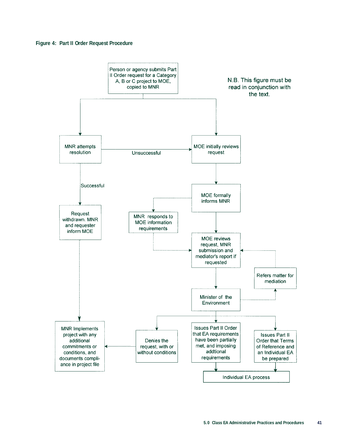

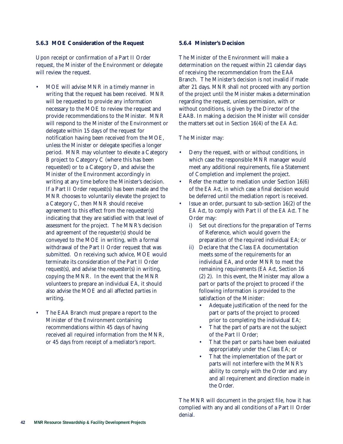#### **5.6.3 MOE Consideration of the Request**

Upon receipt or confirmation of a Part II Order request, the Minister of the Environment or delegate will review the request.

- MOE will advise MNR in a timely manner in writing that the request has been received. MNR will be requested to provide any information necessary to the MOE to review the request and provide recommendations to the Minister. MNR will respond to the Minister of the Environment or delegate within 15 days of the request for notification having been received from the MOE, unless the Minister or delegate specifies a longer period. MNR may volunteer to elevate a Category B project to Category C (where this has been requested) or to a Category D, and advise the Minister of the Environment accordingly in writing at any time before the Minister's decision. If a Part II Order request(s) has been made and the MNR chooses to voluntarily elevate the project to a Category C, then MNR should receive agreement to this effect from the requester(s) indicating that they are satisfied with that level of assessment for the project. The MNR's decision and agreement of the requester(s) should be conveyed to the MOE in writing, with a formal withdrawal of the Part II Order request that was submitted. On receiving such advice, MOE would terminate its consideration of the Part II Order request(s), and advise the requester(s) in writing, copying the MNR. In the event that the MNR volunteers to prepare an individual EA, it should also advise the MOE and all affected parties in writing.
- The EAA Branch must prepare a report to the Minister of the Environment containing recommendations within 45 days of having received all required information from the MNR, or 45 days from receipt of a mediator's report.

#### **5.6.4 Minister's Decision**

The Minister of the Environment will make a determination on the request within 21 calendar days of receiving the recommendation from the EAA Branch. The Minister's decision is not invalid if made after 21 days. MNR shall not proceed with any portion of the project until the Minister makes a determination regarding the request, unless permission, with or without conditions, is given by the Director of the EAAB. In making a decision the Minister will consider the matters set out in Section 16(4) of the *EA Act.*

The Minister may:

- Deny the request, with or without conditions, in which case the responsible MNR manager would meet any additional requirements, file a Statement of Completion and implement the project.
- Refer the matter to mediation under Section 16(6) of the *EA Act*, in which case a final decision would be deferred until the mediation report is received.
- Issue an order, pursuant to sub-section 16(2) of the *EA Act*, to comply with Part II of the *EA Act*. The Order may:
	- i) Set out directions for the preparation of Terms of Reference, which would govern the preparation of the required individual EA; or
	- ii) Declare that the Class EA documentation meets some of the requirements for an individual EA, and order MNR to meet the remaining requirements (*EA Act*, Section 16 (2) 2). In this event, the Minister may allow a part or parts of the project to proceed if the following information is provided to the satisfaction of the Minister:
		- Adequate justification of the need for the part or parts of the project to proceed prior to completing the individual EA;
		- That the part of parts are not the subject of the Part II Order;
		- That the part or parts have been evaluated appropriately under the Class EA; or
		- That the implementation of the part or parts will not interfere with the MNR's ability to comply with the Order and any and all requirement and direction made in the Order.

The MNR will document in the project file, how it has complied with any and all conditions of a Part II Order denial.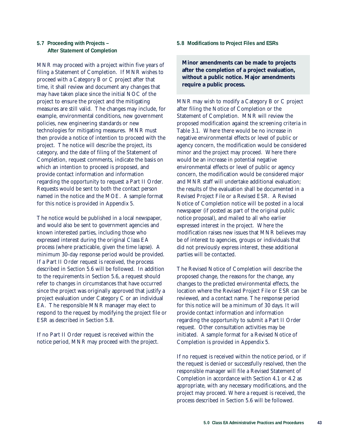# **5.7 Proceeding with Projects – After Statement of Completion**

MNR may proceed with a project within five years of filing a Statement of Completion. If MNR wishes to proceed with a Category B or C project after that time, it shall review and document any changes that may have taken place since the initial NOC of the project to ensure the project and the mitigating measures are still valid. The changes may include, for example, environmental conditions, new government policies, new engineering standards or new technologies for mitigating measures. MNR must then provide a notice of intention to proceed with the project. The notice will describe the project, its category, and the date of filing of the Statement of Completion, request comments, indicate the basis on which an intention to proceed is proposed, and provide contact information and information regarding the opportunity to request a Part II Order. Requests would be sent to both the contact person named in the notice and the MOE. A sample format for this notice is provided in Appendix 5.

The notice would be published in a local newspaper, and would also be sent to government agencies and known interested parties, including those who expressed interest during the original Class EA process (where practicable, given the time lapse). A minimum 30-day response period would be provided. If a Part II Order request is received, the process described in Section 5.6 will be followed. In addition to the requirements in Section 5.6, a request should refer to changes in circumstances that have occurred since the project was originally approved that justify a project evaluation under Category C or an individual EA. The responsible MNR manager may elect to respond to the request by modifying the project file or ESR as described in Section 5.8.

If no Part II Order request is received within the notice period, MNR may proceed with the project.

#### **5.8 Modifications to Project Files and ESRs**

**Minor amendments can be made to projects after the completion of a project evaluation, without a public notice. Major amendments require a public process.**

MNR may wish to modify a Category B or C project after filing the Notice of Completion or the Statement of Completion. MNR will review the proposed modification against the screening criteria in Table 3.1. Where there would be no increase in negative environmental effects or level of public or agency concern, the modification would be considered minor and the project may proceed. Where there would be an increase in potential negative environmental effects or level of public or agency concern, the modification would be considered major and MNR staff will undertake additional evaluation; the results of the evaluation shall be documented in a Revised Project File or a Revised ESR. A Revised Notice of Completion notice will be posted in a local newspaper (if posted as part of the original public notice proposal), and mailed to all who earlier expressed interest in the project. Where the modification raises new issues that MNR believes may be of interest to agencies, groups or individuals that did not previously express interest, these additional parties will be contacted.

The Revised Notice of Completion will describe the proposed change, the reasons for the change, any changes to the predicted environmental effects, the location where the Revised Project File or ESR can be reviewed, and a contact name. The response period for this notice will be a minimum of 30 days. It will provide contact information and information regarding the opportunity to submit a Part II Order request. Other consultation activities may be initiated. A sample format for a Revised Notice of Completion is provided in Appendix 5.

If no request is received within the notice period, or if the request is denied or successfully resolved, then the responsible manager will file a Revised Statement of Completion in accordance with Section 4.1 or 4.2 as appropriate, with any necessary modifications, and the project may proceed. Where a request is received, the process described in Section 5.6 will be followed.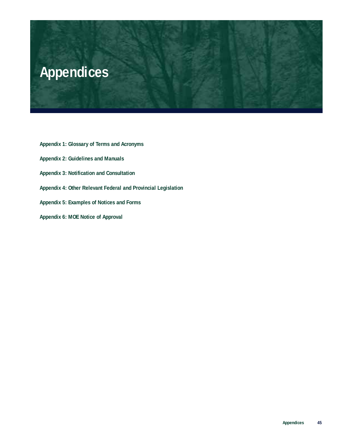

- **Appendix 1: Glossary of Terms and Acronyms**
- **Appendix 2: Guidelines and Manuals**
- **Appendix 3: Notification and Consultation**
- **Appendix 4: Other Relevant Federal and Provincial Legislation**
- **Appendix 5: Examples of Notices and Forms**
- **Appendix 6: MOE Notice of Approval**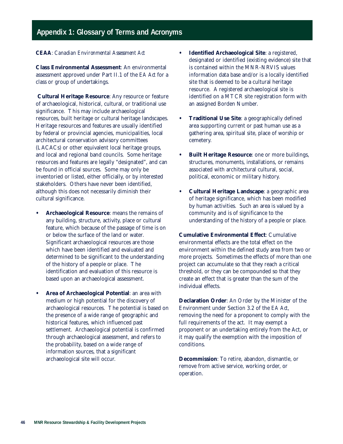# **Appendix 1: Glossary of Terms and Acronyms**

# *CEAA*: *Canadian Environmental Assessment Act*

**Class Environmental Assessment**: An environmental assessment approved under Part II.1 of the *EA Act* for a class or group of undertakings.

**Cultural Heritage Resource**: Any resource or feature of archaeological, historical, cultural, or traditional use significance. This may include archaeological resources, built heritage or cultural heritage landscapes. Heritage resources and features are usually identified by federal or provincial agencies, municipalities, local architectural conservation advisory committees (LACACs) or other equivalent local heritage groups, and local and regional band councils. Some heritage resources and features are legally "designated", and can be found in official sources. Some may only be inventoried or listed, either officially, or by interested stakeholders. Others have never been identified, although this does not necessarily diminish their cultural significance.

- **• Archaeological Resource**: means the remains of any building, structure, activity, place or cultural feature, which because of the passage of time is on or below the surface of the land or water. Significant archaeological resources are those which have been identified and evaluated and determined to be significant to the understanding of the history of a people or place. The identification and evaluation of this resource is based upon an archaeological assessment.
- **• Area of Archaeological Potential**: an area with medium or high potential for the discovery of archaeological resources. The potential is based on the presence of a wide range of geographic and historical features, which influenced past settlement. Archaeological potential is confirmed through archaeological assessment, and refers to the probability, based on a wide range of information sources, that a significant archaeological site will occur.
- **• Identified Archaeological Site**: a registered, designated or identified (existing evidence) site that is contained within the MNR-NRVIS values information data base and/or is a locally identified site that is deemed to be a cultural heritage resource. A registered archaeological site is identified on a MTCR site registration form with an assigned Borden Number.
- **• Traditional Use Site**: a geographically defined area supporting current or past human use as a gathering area, spiritual site, place of worship or cemetery.
- **• Built Heritage Resource**: one or more buildings, structures, monuments, installations, or remains associated with architectural cultural, social, political, economic or military history.
- **• Cultural Heritage Landscape**: a geographic area of heritage significance, which has been modified by human activities. Such an area is valued by a community and is of significance to the understanding of the history of a people or place.

**Cumulative Environmental Effect**: Cumulative environmental effects are the total effect on the environment within the defined study area from two or more projects. Sometimes the effects of more than one project can accumulate so that they reach a critical threshold, or they can be compounded so that they create an effect that is greater than the sum of the individual effects.

**Declaration Order**: An Order by the Minister of the Environment under Section 3.2 of the *EA Act*, removing the need for a proponent to comply with the full requirements of the act. It may exempt a proponent or an undertaking entirely from the Act, or it may qualify the exemption with the imposition of conditions.

**Decommission**: To retire, abandon, dismantle, or remove from active service, working order, or operation.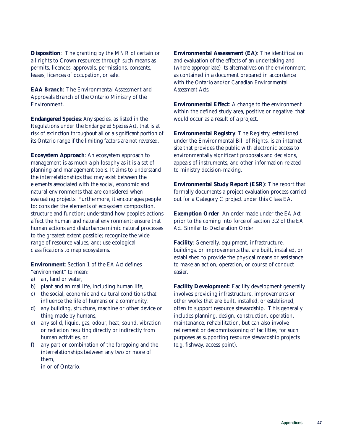**Disposition**: The granting by the MNR of certain or all rights to Crown resources through such means as permits, licences, approvals, permissions, consents, leases, licences of occupation, or sale.

**EAA Branch**: The Environmental Assessment and Approvals Branch of the Ontario Ministry of the Environment.

**Endangered Species**: Any species, as listed in the Regulations under the *Endangered Species Act*, that is at risk of extinction throughout all or a significant portion of its Ontario range if the limiting factors are not reversed.

**Ecosystem Approach**: An ecosystem approach to management is as much a philosophy as it is a set of planning and management tools. It aims to understand the interrelationships that may exist between the elements associated with the social, economic and natural environments that are considered when evaluating projects. Furthermore, it encourages people to: consider the elements of ecosystem composition, structure and function; understand how people's actions affect the human and natural environment; ensure that human actions and disturbance mimic natural processes to the greatest extent possible; recognize the wide range of resource values, and; use ecological classifications to map ecosystems.

**Environment**: Section 1 of the *EA Act* defines "environment" to mean:

- a) air, land or water,
- b) plant and animal life, including human life,
- c) the social, economic and cultural conditions that influence the life of humans or a community,
- d) any building, structure, machine or other device or thing made by humans,
- e) any solid, liquid, gas, odour, heat, sound, vibration or radiation resulting directly or indirectly from human activities, or
- f) any part or combination of the foregoing and the interrelationships between any two or more of them,

in or of Ontario.

**Environmental Assessment (EA)**: The identification and evaluation of the effects of an undertaking and (where appropriate) its alternatives on the environment, as contained in a document prepared in accordance with the *Ontario* and/or *Canadian Environmental Assessment Acts*.

**Environmental Effect**: A change to the environment within the defined study area, positive or negative, that would occur as a result of a project.

**Environmental Registry**: The Registry, established under the Environmental Bill of Rights, is an internet site that provides the public with electronic access to environmentally significant proposals and decisions, appeals of instruments, and other information related to ministry decision-making.

**Environmental Study Report (ESR)**: The report that formally documents a project evaluation process carried out for a Category C project under this Class EA.

**Exemption Order**: An order made under the *EA Act* prior to the coming into force of section 3.2 of the *EA Act*. Similar to Declaration Order.

**Facility**: Generally, equipment, infrastructure, buildings, or improvements that are built, installed, or established to provide the physical means or assistance to make an action, operation, or course of conduct easier.

**Facility Development**: Facility development generally involves providing infrastructure, improvements or other works that are built, installed, or established, often to support resource stewardship. This generally includes planning, design, construction, operation, maintenance, rehabilitation, but can also involve retirement or decommissioning of facilities, for such purposes as supporting resource stewardship projects (e.g. fishway, access point).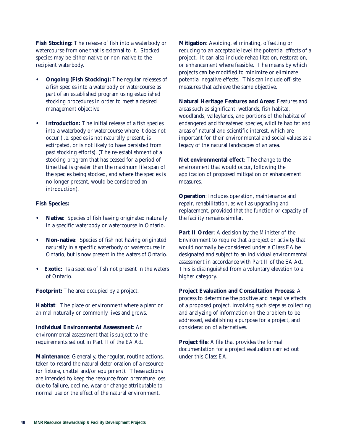**Fish Stocking:** The release of fish into a waterbody or watercourse from one that is external to it. Stocked species may be either native or non-native to the recipient waterbody.

- **• Ongoing (Fish Stocking):** The regular releases of a fish species into a waterbody or watercourse as part of an established program using established stocking procedures in order to meet a desired management objective.
- **• Introduction:** The initial release of a fish species into a waterbody or watercourse where it does not occur (i.e. species is not naturally present, is extirpated, or is not likely to have persisted from past stocking efforts). (The re-establishment of a stocking program that has ceased for a period of time that is greater than the maximum life span of the species being stocked, and where the species is no longer present, would be considered an introduction).

#### **Fish Species:**

- **• Native**: Species of fish having originated naturally in a specific waterbody or watercourse in Ontario.
- **• Non-native**: Species of fish not having originated naturally in a specific waterbody or watercourse in Ontario, but is now present in the waters of Ontario.
- **• Exotic:** Is a species of fish not present in the waters of Ontario.

**Footprint:** The area occupied by a project.

**Habitat**: The place or environment where a plant or animal naturally or commonly lives and grows.

**Individual Environmental Assessment**: An environmental assessment that is subject to the requirements set out in Part II of the *EA Act*.

**Maintenance**: Generally, the regular, routine actions, taken to retard the natural deterioration of a resource (or fixture, chattel and/or equipment). These actions are intended to keep the resource from premature loss due to failure, decline, wear or change attributable to normal use or the effect of the natural environment.

**Mitigation**: Avoiding, eliminating, offsetting or reducing to an acceptable level the potential effects of a project. It can also include rehabilitation, restoration, or enhancement where feasible. The means by which projects can be modified to minimize or eliminate potential negative effects. This can include off-site measures that achieve the same objective.

**Natural Heritage Features and Areas**: Features and areas such as significant: wetlands, fish habitat, woodlands, valleylands, and portions of the habitat of endangered and threatened species, wildlife habitat and areas of natural and scientific interest, which are important for their environmental and social values as a legacy of the natural landscapes of an area.

**Net environmental effect**: The change to the environment that would occur, following the application of proposed mitigation or enhancement measures.

**Operation**: Includes operation, maintenance and repair, rehabilitation, as well as upgrading and replacement, provided that the function or capacity of the facility remains similar.

**Part II Order**: A decision by the Minister of the Environment to require that a project or activity that would normally be considered under a Class EA be designated and subject to an individual environmental assessment in accordance with Part II of the *EA Act*. This is distinguished from a voluntary elevation to a higher category.

**Project Evaluation and Consultation Process**: A process to determine the positive and negative effects of a proposed project, involving such steps as collecting and analyzing of information on the problem to be addressed, establishing a purpose for a project, and consideration of alternatives.

**Project file**: A file that provides the formal documentation for a project evaluation carried out under this Class EA.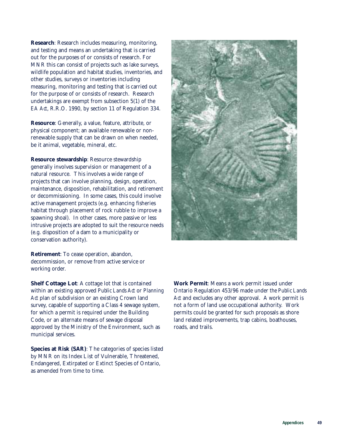**Research**: Research includes measuring, monitoring, and testing and means an undertaking that is carried out for the purposes of or consists of research. For MNR this can consist of projects such as lake surveys, wildlife population and habitat studies, inventories, and other studies, surveys or inventories including measuring, monitoring and testing that is carried out for the purpose of or consists of research. Research undertakings are exempt from subsection 5(1) of the *EA Act*, R.R.O. 1990, by section 11 of Regulation 334.

**Resource**: Generally, a value, feature, attribute, or physical component; an available renewable or nonrenewable supply that can be drawn on when needed, be it animal, vegetable, mineral, etc.

**Resource stewardship**: Resource stewardship generally involves supervision or management of a natural resource. This involves a wide range of projects that can involve planning, design, operation, maintenance, disposition, rehabilitation, and retirement or decommissioning. In some cases, this could involve active management projects (e.g. enhancing fisheries habitat through placement of rock rubble to improve a spawning shoal). In other cases, more passive or less intrusive projects are adopted to suit the resource needs (e.g. disposition of a dam to a municipality or conservation authority).

**Retirement**: To cease operation, abandon, decommission, or remove from active service or working order.

**Shelf Cottage Lot**: A cottage lot that is contained within an existing approved *Public Lands Act* or *Planning Act* plan of subdivision or an existing Crown land survey, capable of supporting a Class 4 sewage system, for which a permit is required under the Building Code, or an alternate means of sewage disposal approved by the Ministry of the Environment, such as municipal services.

**Species at Risk (SAR)**: The categories of species listed by MNR on its Index List of Vulnerable, Threatened, Endangered, Extirpated or Extinct Species of Ontario, as amended from time to time.



**Work Permit**: Means a work permit issued under Ontario Regulation 453/96 made under *the Public Lands Act* and excludes any other approval. A work permit is not a form of land use occupational authority. Work permits could be granted for such proposals as shore land related improvements, trap cabins, boathouses, roads, and trails.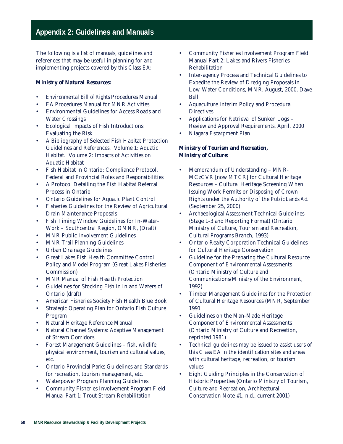# **Appendix 2: Guidelines and Manuals**

The following is a list of manuals, guidelines and references that may be useful in planning for and implementing projects covered by this Class EA:

#### *Ministry of Natural Resources:*

- *• Environmental Bill of Rights* Procedures Manual
- EA Procedures Manual for MNR Activities
- Environmental Guidelines for Access Roads and Water Crossings
- Ecological Impacts of Fish Introductions: Evaluating the Risk
- A Bibliography of Selected Fish Habitat Protection Guidelines and References. Volume 1: Aquatic Habitat. Volume 2: Impacts of Activities on Aquatic Habitat
- Fish Habitat in Ontario: Compliance Protocol. Federal and Provincial Roles and Responsibilities
- A Protocol Detailing the Fish Habitat Referral Process in Ontario
- Ontario Guidelines for Aquatic Plant Control
- Fisheries Guidelines for the Review of Agricultural Drain Maintenance Proposals
- Fish Timing Window Guidelines for In-Water-Work – Southcentral Region, OMNR, (Draft)
- MNR Public Involvement Guidelines
- MNR Trail Planning Guidelines
- Urban Drainage Guidelines.
- Great Lakes Fish Health Committee Control Policy and Model Program (Great Lakes Fisheries Commission)
- MNR Manual of Fish Health Protection
- Guidelines for Stocking Fish in Inland Waters of Ontario (draft)
- American Fisheries Society Fish Health Blue Book
- Strategic Operating Plan for Ontario Fish Culture Program
- Natural Heritage Reference Manual
- Natural Channel Systems: Adaptive Management of Stream Corridors
- Forest Management Guidelines fish, wildlife, physical environment, tourism and cultural values, etc.
- Ontario Provincial Parks Guidelines and Standards for recreation, tourism management, etc.
- Waterpower Program Planning Guidelines
- Community Fisheries Involvement Program Field Manual Part 1: Trout Stream Rehabilitation
- Community Fisheries Involvement Program Field Manual Part 2: Lakes and Rivers Fisheries Rehabilitation
- Inter-agency Process and Technical Guidelines to Expedite the Review of Dredging Proposals in Low-Water Conditions, MNR, August, 2000, Dave Bell
- Aquaculture Interim Policy and Procedural **Directives**
- Applications for Retrieval of Sunken Logs Review and Approval Requirements, April, 2000
- Niagara Escarpment Plan

### *Ministry of Tourism and Recreation, Ministry of Culture:*

- Memorandum of Understanding MNR-MCzCVR [now MTCR] for Cultural Heritage Resources – Cultural Heritage Screening When Issuing Work Permits or Disposing of Crown Rights under the Authority of the *Public Lands Act* (September 25, 2000)
- Archaeological Assessment Technical Guidelines (Stage 1-3 and Reporting Format) (Ontario Ministry of Culture, Tourism and Recreation, Cultural Programs Branch, 1993)
- Ontario Realty Corporation Technical Guidelines for Cultural Heritage Conservation
- Guideline for the Preparing the Cultural Resource Component of Environmental Assessments (Ontario Ministry of Culture and Communications/Ministry of the Environment, 1992)
- Timber Management Guidelines for the Protection of Cultural Heritage Resources (MNR, September 1991
- Guidelines on the Man-Made Heritage Component of Environmental Assessments (Ontario Ministry of Culture and Recreation, reprinted 1981)
- Technical guidelines may be issued to assist users of this Class EA in the identification sites and areas with cultural heritage, recreation, or tourism values.
- Eight Guiding Principles in the Conservation of Historic Properties (Ontario Ministry of Tourism, Culture and Recreation, Architectural Conservation Note #1, n.d., current 2001)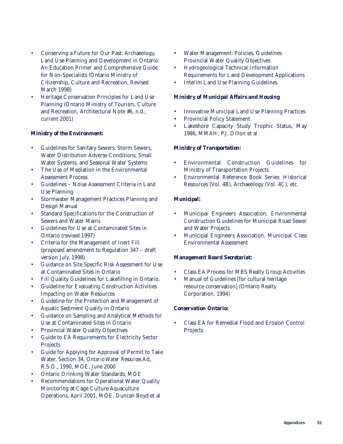- Conserving a Future for Our Past: Archaeology, Land Use Planning and Development in Ontario: An Education Primer and Comprehensive Guide for Non-Specialists (Ontario Ministry of Citizenship, Culture and Recreation, Revised March 1998)
- Heritage Conservation Principles for Land Use Planning (Ontario Ministry of Tourism, Culture and Recreation, Architectural Note #6, n.d., current 2001)

### *Ministry of the Environment:*

- Guidelines for Sanitary Sewers, Storm Sewers, Water Distribution Adverse Conditions, Small Water Systems, and Seasonal Water Systems
- The Use of Mediation in the Environmental Assessment Process
- Guidelines Noise Assessment Criteria in Land Use Planning
- Stormwater Management Practices Planning and Design Manual
- Standard Specifications for the Construction of Sewers and Water Mains
- Guidelines for Use at Contaminated Sites in Ontario (revised 1997)
- Criteria for the Management of Inert Fill (proposed amendment to Regulation 347 – draft version July, 1998)
- Guidance on Site Specific Risk Assessment for Use at Contaminated Sites in Ontario
- Fill Quality Guidelines for Lakefilling in Ontario.
- Guideline for Evaluating Construction Activities Impacting on Water Resources
- Guideline for the Protection and Management of Aquatic Sediment Quality in Ontario
- Guidance on Sampling and Analytical Methods for Use at Contaminated Sites in Ontario
- Provincial Water Quality Objectives
- Guide to EA Requirements for Electricity Sector Projects
- Guide for Applying for Approval of Permit to Take Water, Section 34, *Ontario Water Resources Act*, R.S.O., 1990, MOE, June 2000
- Ontario Drinking Water Standards, MOE
- Recommendations for Operational Water Quality Monitoring at Cage Culture Aquaculture Operations, April 2001, MOE, Duncan Boyd et al
- Water Management: Policies, Guidelines Provincial Water Quality Objectives
- Hydrogeological Technical Information Requirements for Land Development Applications
- Interim Land Use Planning Guidelines

#### *Ministry of Municipal Affairs and Housing*

- Innovative Municipal Land Use Planning Practices
- Provincial Policy Statement
- Lakeshore Capacity Study Trophic Status, May 1986, MMAH, P.J. Dillon et al

### *Ministry of Transportation:*

- Environmental Construction Guidelines for Ministry of Transportation Projects
- Environmental Reference Book Series: Historical Resources (Vol. 4B), Archaeology (Vol. 4C), etc.

### *Municipal:*

- Municipal Engineers Association, Environmental Construction Guidelines for Municipal Road Sewer and Water Projects
- Municipal Engineers Association, Municipal Class Environmental Assessment

#### *Management Board Secretariat:*

- Class EA Process for MBS Realty Group Activities
- Manual of Guidelines [for cultural heritage resource conservation] (Ontario Realty Corporation, 1994)

# *Conservation Ontario:*

• Class EA for Remedial Flood and Erosion Control Projects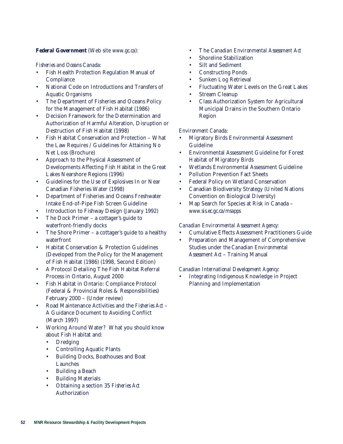#### *Federal Government* (Web site *www.gc.ca*):

### *Fisheries and Oceans Canada:*

- Fish Health Protection Regulation Manual of **Compliance**
- National Code on Introductions and Transfers of Aquatic Organisms
- The Department of Fisheries and Oceans Policy for the Management of Fish Habitat (1986)
- Decision Framework for the Determination and Authorization of Harmful Alteration, Disruption or Destruction of Fish Habitat (1998)
- Fish Habitat Conservation and Protection What the Law Requires / Guidelines for Attaining No Net Loss (Brochure)
- Approach to the Physical Assessment of Developments Affecting Fish Habitat in the Great Lakes Nearshore Regions (1996)
- Guidelines for the Use of Explosives In or Near Canadian Fisheries Water (1998)
- Department of Fisheries and Oceans Freshwater Intake End-of-Pipe Fish Screen Guideline
- Introduction to Fishway Design (January 1992)
- The Dock Primer a cottager's guide to waterfront-friendly docks
- The Shore Primer a cottager's guide to a healthy waterfront
- Habitat Conservation & Protection Guidelines (Developed from the Policy for the Management of Fish Habitat (1986) (1998, Second Edition)
- A Protocol Detailing The Fish Habitat Referral Process in Ontario, August 2000
- Fish Habitat in Ontario: Compliance Protocol (Federal & Provincial Roles & Responsibilities) February 2000 – (Under review)
- Road Maintenance Activities and the *Fisheries Act* A Guidance Document to Avoiding Conflict (March 1997)
- Working Around Water? What you should know about Fish Habitat and:
	- Dredging
	- Controlling Aquatic Plants
	- Building Docks, Boathouses and Boat Launches
	- Building a Beach
	- **Building Materials**
	- Obtaining a section 35 *Fisheries Act* Authorization
- The *Canadian Environmental Assessment Act*
- Shoreline Stabilization
- Silt and Sediment
- Constructing Ponds
- Sunken Log Retrieval
- Fluctuating Water Levels on the Great Lakes
- Stream Cleanup
- Class Authorization System for Agricultural Municipal Drains in the Southern Ontario Region

### *Environment Canada:*

- Migratory Birds Environmental Assessment Guideline
- Environmental Assessment Guideline for Forest Habitat of Migratory Birds
- Wetlands Environmental Assessment Guideline
- Pollution Prevention Fact Sheets
- Federal Policy on Wetland Conservation
- Canadian Biodiversity Strategy (United Nations Convention on Biological Diversity)
- Map Search for Species at Risk in Canada *www.sis.ec.gc.ca/msapps*

#### *Canadian Environmental Assessment Agency:*

- Cumulative Effects Assessment Practitioners Guide
- Preparation and Management of Comprehensive Studies under *the Canadian Environmental Assessment Act* – Training Manual

# *Canadian International Development Agency:*

• Integrating Indigenous Knowledge in Project Planning and Implementation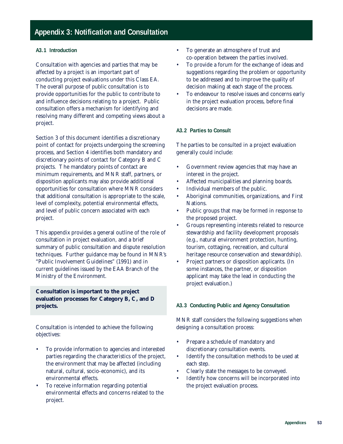# **Appendix 3: Notification and Consultation**

#### **A3.1 Introduction**

Consultation with agencies and parties that may be affected by a project is an important part of conducting project evaluations under this Class EA. The overall purpose of public consultation is to provide opportunities for the public to contribute to and influence decisions relating to a project. Public consultation offers a mechanism for identifying and resolving many different and competing views about a project.

Section 3 of this document identifies a discretionary point of contact for projects undergoing the screening process, and Section 4 identifies both mandatory and discretionary points of contact for Category B and C projects. The mandatory points of contact are minimum requirements, and MNR staff, partners, or disposition applicants may also provide additional opportunities for consultation where MNR considers that additional consultation is appropriate to the scale, level of complexity, potential environmental effects, and level of public concern associated with each project.

This appendix provides a general outline of the role of consultation in project evaluation, and a brief summary of public consultation and dispute resolution techniques. Further guidance may be found in MNR's "Public Involvement Guidelines" (1991) and in current guidelines issued by the EAA Branch of the Ministry of the Environment.

**Consultation is important to the project evaluation processes for Category B, C, and D projects.**

Consultation is intended to achieve the following objectives:

- To provide information to agencies and interested parties regarding the characteristics of the project, the environment that may be affected (including natural, cultural, socio-economic), and its environmental effects.
- To receive information regarding potential environmental effects and concerns related to the project.
- To generate an atmosphere of trust and co-operation between the parties involved.
- To provide a forum for the exchange of ideas and suggestions regarding the problem or opportunity to be addressed and to improve the quality of decision making at each stage of the process.
- To endeavour to resolve issues and concerns early in the project evaluation process, before final decisions are made.

### **A3.2 Parties to Consult**

The parties to be consulted in a project evaluation generally could include:

- Government review agencies that may have an interest in the project.
- Affected municipalities and planning boards.
- Individual members of the public.
- Aboriginal communities, organizations, and First Nations.
- Public groups that may be formed in response to the proposed project.
- Groups representing interests related to resource stewardship and facility development proposals (e.g., natural environment protection, hunting, tourism, cottaging, recreation, and cultural heritage resource conservation and stewardship).
- Project partners or disposition applicants. (In some instances, the partner, or disposition applicant may take the lead in conducting the project evaluation.)

#### **A3.3 Conducting Public and Agency Consultation**

MNR staff considers the following suggestions when designing a consultation process:

- Prepare a schedule of mandatory and discretionary consultation events.
- Identify the consultation methods to be used at each step.
- Clearly state the messages to be conveyed.
- Identify how concerns will be incorporated into the project evaluation process.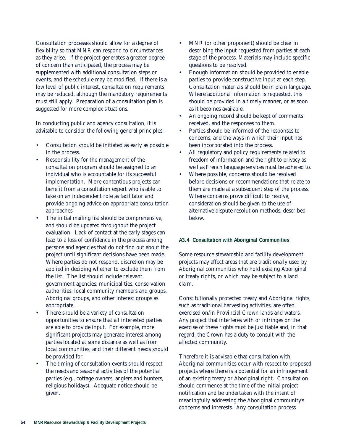Consultation processes should allow for a degree of flexibility so that MNR can respond to circumstances as they arise. If the project generates a greater degree of concern than anticipated, the process may be supplemented with additional consultation steps or events, and the schedule may be modified. If there is a low level of public interest, consultation requirements may be reduced, although the mandatory requirements must still apply. Preparation of a consultation plan is suggested for more complex situations.

In conducting public and agency consultation, it is advisable to consider the following general principles:

- Consultation should be initiated as early as possible in the process.
- Responsibility for the management of the consultation program should be assigned to an individual who is accountable for its successful implementation. More contentious projects can benefit from a consultation expert who is able to take on an independent role as facilitator and provide ongoing advice on appropriate consultation approaches.
- The initial mailing list should be comprehensive, and should be updated throughout the project evaluation. Lack of contact at the early stages can lead to a loss of confidence in the process among persons and agencies that do not find out about the project until significant decisions have been made. Where parties do not respond, discretion may be applied in deciding whether to exclude them from the list. The list should include relevant government agencies, municipalities, conservation authorities, local community members and groups, Aboriginal groups, and other interest groups as appropriate.
- There should be a variety of consultation opportunities to ensure that all interested parties are able to provide input. For example, more significant projects may generate interest among parties located at some distance as well as from local communities, and their different needs should be provided for.
- The timing of consultation events should respect the needs and seasonal activities of the potential parties (e.g., cottage owners, anglers and hunters, religious holidays). Adequate notice should be given.
- MNR (or other proponent) should be clear in describing the input requested from parties at each stage of the process. Materials may include specific questions to be resolved.
- Enough information should be provided to enable parties to provide constructive input at each step. Consultation materials should be in plain language. Where additional information is requested, this should be provided in a timely manner, or as soon as it becomes available.
- An ongoing record should be kept of comments received, and the responses to them.
- Parties should be informed of the responses to concerns, and the ways in which their input has been incorporated into the process.
- All regulatory and policy requirements related to freedom of information and the right to privacy as well as French language services must be adhered to.
- Where possible, concerns should be resolved before decisions or recommendations that relate to them are made at a subsequent step of the process. Where concerns prove difficult to resolve, consideration should be given to the use of alternative dispute resolution methods, described below.

#### **A3.4 Consultation with Aboriginal Communities**

Some resource stewardship and facility development projects may affect areas that are traditionally used by Aboriginal communities who hold existing Aboriginal or treaty rights, or which may be subject to a land claim.

Constitutionally protected treaty and Aboriginal rights, such as traditional harvesting activities, are often exercised on/in Provincial Crown lands and waters. Any project that interferes with or infringes on the exercise of these rights must be justifiable and, in that regard, the Crown has a duty to consult with the affected community.

Therefore it is advisable that consultation with Aboriginal communities occur with respect to proposed projects where there is a potential for an infringement of an existing treaty or Aboriginal right. Consultation should commence at the time of the initial project notification and be undertaken with the intent of meaningfully addressing the Aboriginal community's concerns and interests. Any consultation process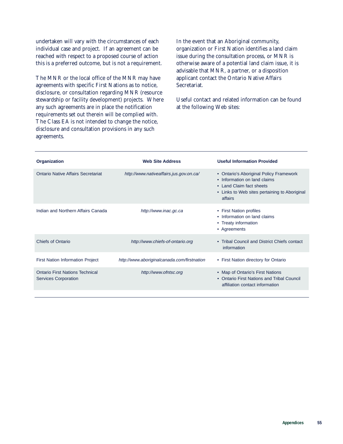undertaken will vary with the circumstances of each individual case and project. If an agreement can be reached with respect to a proposed course of action this is a preferred outcome, but is not a requirement.

The MNR or the local office of the MNR may have agreements with specific First Nations as to notice, disclosure, or consultation regarding MNR (resource stewardship or facility development) projects. Where any such agreements are in place the notification requirements set out therein will be complied with. The Class EA is not intended to change the notice, disclosure and consultation provisions in any such agreements.

In the event that an Aboriginal community, organization or First Nation identifies a land claim issue during the consultation process, or MNR is otherwise aware of a potential land claim issue, it is advisable that MNR, a partner, or a disposition applicant contact the Ontario Native Affairs Secretariat.

Useful contact and related information can be found at the following Web sites:

| Organization                                                   | <b>Web Site Address</b>                     | <b>Useful Information Provided</b>                                                                                                                              |
|----------------------------------------------------------------|---------------------------------------------|-----------------------------------------------------------------------------------------------------------------------------------------------------------------|
| Ontario Native Affairs Secretariat                             | http://www.nativeaffairs.jus.gov.on.ca/     | • Ontario's Aboriginal Policy Framework<br>• Information on land claims<br>• Land Claim fact sheets<br>• Links to Web sites pertaining to Aboriginal<br>affairs |
| Indian and Northern Affairs Canada                             | http://www.inac.gc.ca                       | • First Nation profiles<br>• Information on land claims<br>• Treaty information<br>• Agreements                                                                 |
| <b>Chiefs of Ontario</b>                                       | http://www.chiefs-of-ontario.org            | • Tribal Council and District Chiefs contact<br>information                                                                                                     |
| <b>First Nation Information Project</b>                        | http://www.aboriginalcanada.com/firstnation | • First Nation directory for Ontario                                                                                                                            |
| Ontario First Nations Technical<br><b>Services Corporation</b> | http://www.ofntsc.org                       | • Map of Ontario's First Nations<br>• Ontario First Nations and Tribal Council<br>affiliation contact information                                               |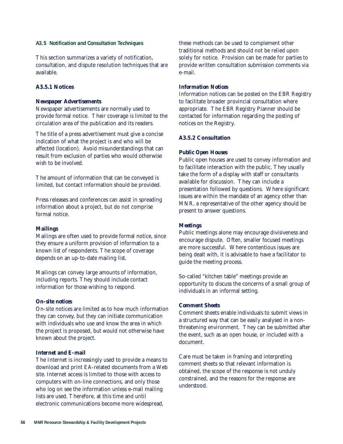#### **A3.5 Notification and Consultation Techniques**

This section summarizes a variety of notification, consultation, and dispute resolution techniques that are available.

#### **A3.5.1 Notices**

#### *Newspaper Advertisements*

Newspaper advertisements are normally used to provide formal notice. Their coverage is limited to the circulation area of the publication and its readers.

The title of a press advertisement must give a concise indication of what the project is and who will be affected (location). Avoid misunderstandings that can result from exclusion of parties who would otherwise wish to be involved.

The amount of information that can be conveyed is limited, but contact information should be provided.

Press releases and conferences can assist in spreading information about a project, but do not comprise formal notice.

#### *Mailings*

Mailings are often used to provide formal notice, since they ensure a uniform provision of information to a known list of respondents. The scope of coverage depends on an up-to-date mailing list.

Mailings can convey large amounts of information, including reports. They should include contact information for those wishing to respond.

#### *On-site notices*

On-site notices are limited as to how much information they can convey, but they can initiate communication with individuals who use and know the area in which the project is proposed, but would not otherwise have known about the project.

#### *Internet and E-mail*

The Internet is increasingly used to provide a means to download and print EA-related documents from a Web site. Internet access is limited to those with access to computers with on-line connections, and only those who log on see the information unless e-mail mailing lists are used. Therefore, at this time and until electronic communications become more widespread,

these methods can be used to complement other traditional methods and should not be relied upon solely for notice. Provision can be made for parties to provide written consultation submission comments via e-mail.

#### *Information Notices*

Information notices can be posted on the EBR Registry to facilitate broader provincial consultation where appropriate. The EBR Registry Planner should be contacted for information regarding the posting of notices on the Registry.

#### **A3.5.2 Consultation**

#### *Public Open Houses*

Public open houses are used to convey information and to facilitate interaction with the public. They usually take the form of a display with staff or consultants available for discussion. They can include a presentation followed by questions. Where significant issues are within the mandate of an agency other than MNR, a representative of the other agency should be present to answer questions.

#### *Meetings*

Public meetings alone may encourage divisiveness and encourage dispute. Often, smaller focused meetings are more successful. Where contentious issues are being dealt with, it is advisable to have a facilitator to guide the meeting process.

So-called "kitchen table" meetings provide an opportunity to discuss the concerns of a small group of individuals in an informal setting.

#### *Comment Sheets*

Comment sheets enable individuals to submit views in a structured way that can be easily analysed in a nonthreatening environment. They can be submitted after the event, such as an open house, or included with a document.

Care must be taken in framing and interpreting comment sheets so that relevant information is obtained, the scope of the response is not unduly constrained, and the reasons for the response are understood.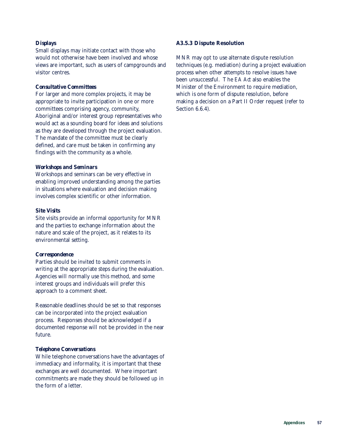#### *Displays*

Small displays may initiate contact with those who would not otherwise have been involved and whose views are important, such as users of campgrounds and visitor centres.

#### *Consultative Committees*

For larger and more complex projects, it may be appropriate to invite participation in one or more committees comprising agency, community, Aboriginal and/or interest group representatives who would act as a sounding board for ideas and solutions as they are developed through the project evaluation. The mandate of the committee must be clearly defined, and care must be taken in confirming any findings with the community as a whole.

#### *Workshops and Seminars*

Workshops and seminars can be very effective in enabling improved understanding among the parties in situations where evaluation and decision making involves complex scientific or other information.

#### *Site Visits*

Site visits provide an informal opportunity for MNR and the parties to exchange information about the nature and scale of the project, as it relates to its environmental setting.

#### *Correspondence*

Parties should be invited to submit comments in writing at the appropriate steps during the evaluation. Agencies will normally use this method, and some interest groups and individuals will prefer this approach to a comment sheet.

Reasonable deadlines should be set so that responses can be incorporated into the project evaluation process. Responses should be acknowledged if a documented response will not be provided in the near future.

#### *Telephone Conversations*

While telephone conversations have the advantages of immediacy and informality, it is important that these exchanges are well documented. Where important commitments are made they should be followed up in the form of a letter.

#### **A3.5.3 Dispute Resolution**

MNR may opt to use alternate dispute resolution techniques (e.g. mediation) during a project evaluation process when other attempts to resolve issues have been unsuccessful. The *EA Act* also enables the Minister of the Environment to require mediation, which is one form of dispute resolution, before making a decision on a Part II Order request (refer to Section 6.6.4).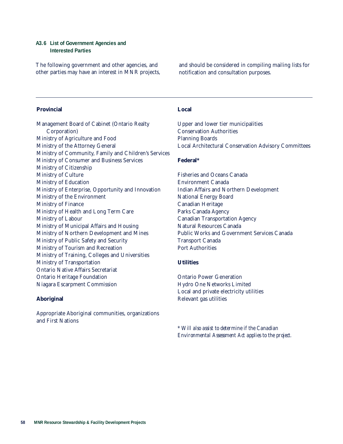#### **A3.6 List of Government Agencies and Interested Parties**

The following government and other agencies, and other parties may have an interest in MNR projects, and should be considered in compiling mailing lists for notification and consultation purposes.

#### **Provincial**

Management Board of Cabinet (Ontario Realty Corporation) Ministry of Agriculture and Food Ministry of the Attorney General Ministry of Community, Family and Children's Services Ministry of Consumer and Business Services Ministry of Citizenship Ministry of Culture Ministry of Education Ministry of Enterprise, Opportunity and Innovation Ministry of the Environment Ministry of Finance Ministry of Health and Long Term Care Ministry of Labour Ministry of Municipal Affairs and Housing Ministry of Northern Development and Mines Ministry of Public Safety and Security Ministry of Tourism and Recreation Ministry of Training, Colleges and Universities Ministry of Transportation Ontario Native Affairs Secretariat Ontario Heritage Foundation Niagara Escarpment Commission

#### **Aboriginal**

Appropriate Aboriginal communities, organizations and First Nations

#### **Local**

Upper and lower tier municipalities Conservation Authorities Planning Boards Local Architectural Conservation Advisory Committees

#### **Federal\***

Fisheries and Oceans Canada Environment Canada Indian Affairs and Northern Development National Energy Board Canadian Heritage Parks Canada Agency Canadian Transportation Agency Natural Resources Canada Public Works and Government Services Canada Transport Canada Port Authorities

## **Utilities**

Ontario Power Generation Hydro One Networks Limited Local and private electricity utilities Relevant gas utilities

\* *Will also assist to determine if the Canadian Environmental Assessment Act applies to the project.*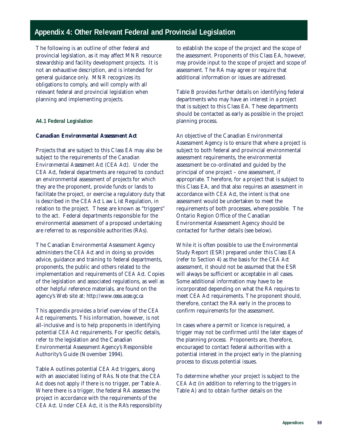# **Appendix 4: Other Relevant Federal and Provincial Legislation**

The following is an outline of other federal and provincial legislation, as it may affect MNR resource stewardship and facility development projects. It is not an exhaustive description, and is intended for general guidance only. MNR recognizes its obligations to comply, and will comply with all relevant federal and provincial legislation when planning and implementing projects.

#### **A4.1 Federal Legislation**

# *Canadian Environmental Assessment Act*

Projects that are subject to this Class EA may also be subject to the requirements of the *Canadian Environmental Assessment Act (CEA Act)*. Under the *CEA Act*, federal departments are required to conduct an environmental assessment of projects for which they are the proponent, provide funds or lands to facilitate the project, or exercise a regulatory duty that is described in the *CEA Act* Law List Regulation, in relation to the project. These are known as "triggers" to the act. Federal departments responsible for the environmental assessment of a proposed undertaking are referred to as responsible authorities (RAs).

The Canadian Environmental Assessment Agency administers the *CEA Act* and in doing so provides advice, guidance and training to federal departments, proponents, the public and others related to the implementation and requirements of *CEA Act*. Copies of the legislation and associated regulations, as well as other helpful reference materials, are found on the agency's Web site at: *http://www.ceea.acee.gc.ca*

This appendix provides a brief overview of the *CEA Act* requirements. This information, however, is not all-inclusive and is to help proponents in identifying potential *CEA Act* requirements. For specific details, refer to the legislation and the Canadian Environmental Assessment Agency's Responsible Authority's Guide (November 1994).

Table A outlines potential *CEA Act* triggers, along with an associated listing of RAs. Note that the *CEA Act* does not apply if there is no trigger, per Table A. Where there is a trigger, the federal RA assesses the project in accordance with the requirements of the *CEA Act*. Under *CEA Act*, it is the RA's responsibility to establish the scope of the project and the scope of the assessment. Proponents of this Class EA, however, may provide input to the scope of project and scope of assessment. The RA may agree or require that additional information or issues are addressed.

Table B provides further details on identifying federal departments who may have an interest in a project that is subject to this Class EA. These departments should be contacted as early as possible in the project planning process.

An objective of the Canadian Environmental Assessment Agency is to ensure that where a project is subject to both federal and provincial environmental assessment requirements, the environmental assessment be co-ordinated and guided by the principal of one project – one assessment, if appropriate. Therefore, for a project that is subject to this Class EA, and that also requires an assessment in accordance with *CEA Act*, the intent is that one assessment would be undertaken to meet the requirements of both processes, where possible. The Ontario Region Office of the Canadian Environmental Assessment Agency should be contacted for further details (see below).

While it is often possible to use the Environmental Study Report (ESR) prepared under this Class EA (refer to Section 4) as the basis for the *CEA Act* assessment, it should not be assumed that the ESR will always be sufficient or acceptable in all cases. Some additional information may have to be incorporated depending on what the RA requires to meet *CEA Act* requirements. The proponent should, therefore, contact the RA early in the process to confirm requirements for the assessment.

In cases where a permit or licence is required, a trigger may not be confirmed until the later stages of the planning process. Proponents are, therefore, encouraged to contact federal authorities with a potential interest in the project early in the planning process to discuss potential issues.

To determine whether your project is subject to the *CEA Act* (in addition to referring to the triggers in Table A) and to obtain further details on the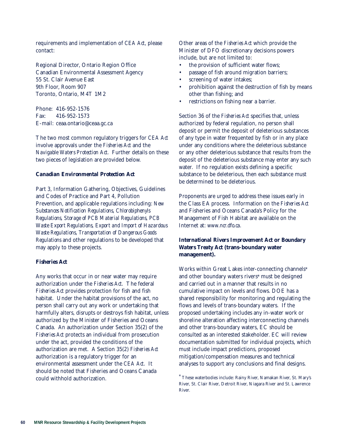requirements and implementation of *CEA Act*, please contact:

Regional Director, Ontario Region Office Canadian Environmental Assessment Agency 55 St. Clair Avenue East 9th Floor, Room 907 Toronto, Ontario, M4T 1M2

Phone: 416-952-1576 Fax: 416-952-1573 E-mail: ceaa.ontario@ceaa.gc.ca

The two most common regulatory triggers for *CEA Act* involve approvals under the *Fisheries Act* and the *Navigable Waters Protection Act*. Further details on these two pieces of legislation are provided below.

#### *Canadian Environmental Protection Act*

Part 3, Information Gathering, Objectives, Guidelines and Codes of Practice and Part 4, Pollution Prevention, and applicable regulations including: *New Substances Notification Regulations, Chlorobiphenyls Regulations, Storage of PCB Material Regulations, PCB Waste Export Regulations, Export and Import of Hazardous Waste Regulations, Transportation of Dangerous Goods Regulations* and other regulations to be developed that may apply to these projects.

#### *Fisheries Act*

Any works that occur in or near water may require authorization under the *Fisheries Act*. The federal *Fisheries Act* provides protection for fish and fish habitat. Under the habitat provisions of the act, no person shall carry out any work or undertaking that harmfully alters, disrupts or destroys fish habitat, unless authorized by the Minister of Fisheries and Oceans Canada. An authorization under Section 35(2) of the *Fisheries Act* protects an individual from prosecution under the act, provided the conditions of the authorization are met. A Section 35(2) *Fisheries Act* authorization is a regulatory trigger for an environmental assessment under the *CEA Act*. It should be noted that Fisheries and Oceans Canada could withhold authorization.

Other areas of the *Fisheries Act* which provide the Minister of DFO discretionary decisions powers include, but are not limited to:

- the provision of sufficient water flows;
- passage of fish around migration barriers;
- screening of water intakes;
- prohibition against the destruction of fish by means other than fishing; and
- restrictions on fishing near a barrier.

Section 36 of the *Fisheries Act* specifies that, unless authorized by federal regulation, no person shall deposit or permit the deposit of deleterious substances of any type in water frequented by fish or in any place under any conditions where the deleterious substance or any other deleterious substance that results from the deposit of the deleterious substance may enter any such water. If no regulation exists defining a specific substance to be deleterious, then each substance must be determined to be deleterious.

Proponents are urged to address these issues early in the Class EA process. Information on the *Fisheries Act* and Fisheries and Oceans Canada's Policy for the Management of Fish Habitat are available on the Internet at: *www.ncr.dfo.ca.*

# *International Rivers Improvement Act* **or** *Boundary Waters Treaty Act* **(trans-boundary water management).**

Works within Great Lakes inter-connecting channels\* and other boundary waters rivers\* must be designed and carried out in a manner that results in no cumulative impact on levels and flows. DOE has a shared responsibility for monitoring and regulating the flows and levels of trans-boundary waters. If the proposed undertaking includes any in-water work or shoreline alteration affecting interconnecting channels and other trans-boundary waters, EC should be consulted as an interested stakeholder. EC will review documentation submitted for individual projects, which must include impact predictions, proposed mitigation/compensation measures and technical analyses to support any conclusions and final designs.

<sup>\*</sup> These waterbodies include: Rainy River, Namakan River, St. Mary's River, St. Clair River, Detroit River, Niagara River and St. Lawrence River.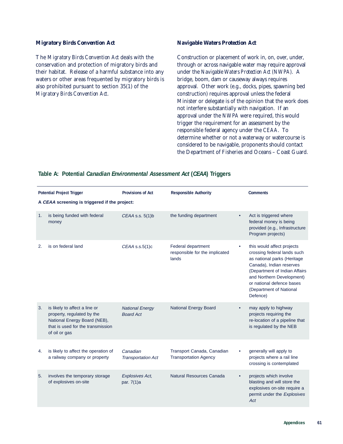#### *Migratory Birds Convention Act*

The *Migratory Birds Convention Act* deals with the conservation and protection of migratory birds and their habitat. Release of a harmful substance into any waters or other areas frequented by migratory birds is also prohibited pursuant to section 35(1) of the *Migratory Birds Convention Act*.

#### *Navigable Waters Protection Act*

Construction or placement of work in, on, over, under, through or across navigable water may require approval under the *Navigable Waters Protection Act (NWPA).* A bridge, boom, dam or causeway always requires approval*.* Other work (e.g., docks, pipes, spawning bed construction) requires approval unless the federal Minister or delegate is of the opinion that the work does not interfere substantially with navigation. If an approval under the *NWPA* were required, this would trigger the requirement for an assessment by the responsible federal agency under the *CEAA*. To determine whether or not a waterway or watercourse is considered to be navigable, proponents should contact the Department of Fisheries and Oceans – Coast Guard.

# **Table A: Potential** *Canadian Environmental Assessment Act* **(***CEAA***) Triggers**

|                                               | <b>Potential Project Trigger</b>                                                                                                                  | <b>Provisions of Act</b>                   | <b>Responsible Authority</b>                                  |   | <b>Comments</b>                                                                                                                                                                                                                                        |  |
|-----------------------------------------------|---------------------------------------------------------------------------------------------------------------------------------------------------|--------------------------------------------|---------------------------------------------------------------|---|--------------------------------------------------------------------------------------------------------------------------------------------------------------------------------------------------------------------------------------------------------|--|
| A CEAA screening is triggered if the project: |                                                                                                                                                   |                                            |                                                               |   |                                                                                                                                                                                                                                                        |  |
| 1.                                            | is being funded with federal<br>money                                                                                                             | CEAA s.s. 5(1)b                            | the funding department                                        |   | Act is triggered where<br>federal money is being<br>provided (e.g., Infrastructure<br>Program projects)                                                                                                                                                |  |
| 2.                                            | is on federal land                                                                                                                                | $CEAA$ s.s. $5(1)c$                        | Federal department<br>responsible for the implicated<br>lands | ٠ | this would affect projects<br>crossing federal lands such<br>as national parks (Heritage<br>Canada), Indian reserves<br>(Department of Indian Affairs<br>and Northern Development)<br>or national defence bases<br>(Department of National<br>Defence) |  |
| 3.                                            | is likely to affect a line or<br>property, regulated by the<br>National Energy Board (NEB),<br>that is used for the transmission<br>of oil or gas | <b>National Energy</b><br><b>Board Act</b> | <b>National Energy Board</b>                                  |   | may apply to highway<br>projects requiring the<br>re-location of a pipeline that<br>is regulated by the NEB                                                                                                                                            |  |
| 4.                                            | is likely to affect the operation of<br>a railway company or property                                                                             | Canadian<br><b>Transportation Act</b>      | Transport Canada, Canadian<br><b>Transportation Agency</b>    |   | generally will apply to<br>projects where a rail line<br>crossing is contemplated                                                                                                                                                                      |  |
| 5.                                            | involves the temporary storage<br>of explosives on-site                                                                                           | <b>Explosives Act,</b><br>par. 7(1)a       | Natural Resources Canada                                      |   | projects which involve<br>blasting and will store the<br>explosives on-site require a<br>permit under the Explosives<br>Act                                                                                                                            |  |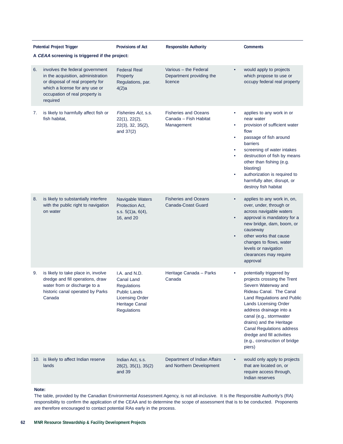|    | <b>Potential Project Trigger</b>                                                                                                                                                          | <b>Provisions of Act</b>                                                                                                            | <b>Responsible Authority</b>                                       |                                    | <b>Comments</b>                                                                                                                                                                                                                                                                                                                                                  |
|----|-------------------------------------------------------------------------------------------------------------------------------------------------------------------------------------------|-------------------------------------------------------------------------------------------------------------------------------------|--------------------------------------------------------------------|------------------------------------|------------------------------------------------------------------------------------------------------------------------------------------------------------------------------------------------------------------------------------------------------------------------------------------------------------------------------------------------------------------|
|    | A CEAA screening is triggered if the project:                                                                                                                                             |                                                                                                                                     |                                                                    |                                    |                                                                                                                                                                                                                                                                                                                                                                  |
| 6. | involves the federal government<br>in the acquisition, administration<br>or disposal of real property for<br>which a license for any use or<br>occupation of real property is<br>required | <b>Federal Real</b><br>Property<br>Regulations, par.<br>4(2)a                                                                       | Various - the Federal<br>Department providing the<br>licence       | $\bullet$                          | would apply to projects<br>which propose to use or<br>occupy federal real property                                                                                                                                                                                                                                                                               |
| 7. | is likely to harmfully affect fish or<br>fish habitat,                                                                                                                                    | Fisheries Act, s.s.<br>22(1), 22(2),<br>22(3), 32, 35(2),<br>and $37(2)$                                                            | <b>Fisheries and Oceans</b><br>Canada - Fish Habitat<br>Management | ٠<br>٠<br>٠<br>٠<br>٠<br>$\bullet$ | applies to any work in or<br>near water<br>provision of sufficient water<br>flow<br>passage of fish around<br>barriers<br>screening of water intakes<br>destruction of fish by means<br>other than fishing (e.g.<br>blasting)<br>authorization is required to<br>harmfully alter, disrupt, or<br>destroy fish habitat                                            |
| 8. | is likely to substantially interfere<br>with the public right to navigation<br>on water                                                                                                   | Navigable Waters<br>Protection Act,<br>s.s. $5(1)a$ , $6(4)$ ,<br>16, and 20                                                        | <b>Fisheries and Oceans</b><br>Canada-Coast Guard                  | ٠<br>$\bullet$<br>$\bullet$        | applies to any work in, on,<br>over, under, through or<br>across navigable waters<br>approval is mandatory for a<br>new bridge, dam, boom, or<br>causeway<br>other works that cause<br>changes to flows, water<br>levels or navigation<br>clearances may require<br>approval                                                                                     |
| 9. | is likely to take place in, involve<br>dredge and fill operations, draw<br>water from or discharge to a<br>historic canal operated by Parks<br>Canada                                     | I.A. and N.D.<br>Canal Land<br><b>Regulations</b><br><b>Public Lands</b><br><b>Licensing Order</b><br>Heritage Canal<br>Regulations | Heritage Canada - Parks<br>Canada                                  | $\bullet$                          | potentially triggered by<br>projects crossing the Trent<br>Severn Waterway and<br>Rideau Canal. The Canal<br>Land Regulations and Public<br><b>Lands Licensing Order</b><br>address drainage into a<br>canal (e.g., stormwater<br>drains) and the Heritage<br>Canal Regulations address<br>dredge and fill activities<br>(e.g., construction of bridge<br>piers) |
|    | 10. is likely to affect Indian reserve<br>lands                                                                                                                                           | Indian Act, s.s.<br>28(2), 35(1), 35(2)<br>and 39                                                                                   | Department of Indian Affairs<br>and Northern Development           |                                    | would only apply to projects<br>that are located on, or<br>require access through,<br>Indian reserves                                                                                                                                                                                                                                                            |

#### **Note:**

The table, provided by the Canadian Environmental Assessment Agency, is not all-inclusive. It is the Responsible Authority's (RA) responsibility to confirm the application of the CEAA and to determine the scope of assessment that is to be conducted. Proponents are therefore encouraged to contact potential RAs early in the process.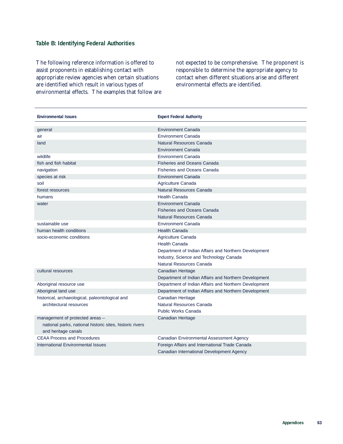# **Table B: Identifying Federal Authorities**

The following reference information is offered to assist proponents in establishing contact with appropriate review agencies when certain situations are identified which result in various types of environmental effects. The examples that follow are not expected to be comprehensive. The proponent is responsible to determine the appropriate agency to contact when different situations arise and different environmental effects are identified.

| <b>Environmental Issues</b>                              | <b>Expert Federal Authority</b>                       |
|----------------------------------------------------------|-------------------------------------------------------|
| general                                                  | <b>Environment Canada</b>                             |
| air                                                      | <b>Environment Canada</b>                             |
| land                                                     | Natural Resources Canada                              |
|                                                          | <b>Environment Canada</b>                             |
| wildlife                                                 | <b>Environment Canada</b>                             |
| fish and fish habitat                                    | <b>Fisheries and Oceans Canada</b>                    |
| navigation                                               | Fisheries and Oceans Canada                           |
| species at risk                                          | <b>Environment Canada</b>                             |
| soil                                                     | Agriculture Canada                                    |
| forest resources                                         | Natural Resources Canada                              |
| humans                                                   | <b>Health Canada</b>                                  |
| water                                                    | <b>Environment Canada</b>                             |
|                                                          | <b>Fisheries and Oceans Canada</b>                    |
|                                                          | Natural Resources Canada                              |
| sustainable use                                          | <b>Environment Canada</b>                             |
| human health conditions                                  | <b>Health Canada</b>                                  |
| socio-economic conditions                                | Agriculture Canada                                    |
|                                                          | <b>Health Canada</b>                                  |
|                                                          | Department of Indian Affairs and Northern Development |
|                                                          | Industry, Science and Technology Canada               |
|                                                          | Natural Resources Canada                              |
| cultural resources                                       | <b>Canadian Heritage</b>                              |
|                                                          | Department of Indian Affairs and Northern Development |
| Aboriginal resource use                                  | Department of Indian Affairs and Northern Development |
| Aboriginal land use                                      | Department of Indian Affairs and Northern Development |
| historical, archaeological, paleontological and          | <b>Canadian Heritage</b>                              |
| architectural resources                                  | Natural Resources Canada                              |
|                                                          | <b>Public Works Canada</b>                            |
| management of protected areas -                          | <b>Canadian Heritage</b>                              |
| national parks, national historic sites, historic rivers |                                                       |
| and heritage canals                                      |                                                       |
| <b>CEAA Process and Procedures</b>                       | Canadian Environmental Assessment Agency              |
| <b>International Environmental Issues</b>                | Foreign Affairs and International Trade Canada        |
|                                                          | Canadian International Development Agency             |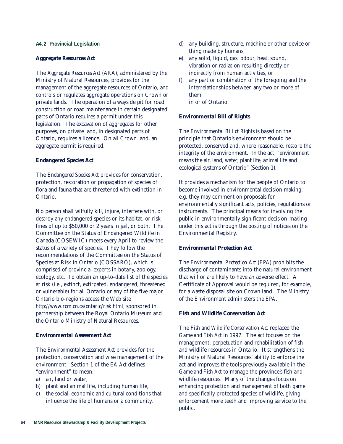#### **A4.2 Provincial Legislation**

#### *Aggregate Resources Act*

The *Aggregate Resources Act* (ARA), administered by the Ministry of Natural Resources, provides for the management of the aggregate resources of Ontario, and controls or regulates aggregate operations on Crown or private lands. The operation of a wayside pit for road construction or road maintenance in certain designated parts of Ontario requires a permit under this legislation. The excavation of aggregates for other purposes, on private land, in designated parts of Ontario, requires a licence. On all Crown land, an aggregate permit is required.

#### *Endangered Species Act*

The *Endangered Species Act* provides for conservation, protection, restoration or propagation of species of flora and fauna that are threatened with extinction in Ontario.

No person shall wilfully kill, injure, interfere with, or destroy any endangered species or its habitat, or risk fines of up to \$50,000 or 2 years in jail, or both. The Committee on the Status of Endangered Wildlife in Canada (COSEWIC) meets every April to review the status of a variety of species. They follow the recommendations of the Committee on the Status of Species at Risk in Ontario (COSSARO), which is comprised of provincial experts in botany, zoology, ecology, etc. To obtain an up-to-date list of the species at risk (i.e., extinct, extirpated, endangered, threatened or vulnerable) for all Ontario or any of the five major Ontario bio-regions access the Web site *http://www.rom.on.ca/ontario/risk.html,* sponsored in partnership between the Royal Ontario Museum and the Ontario Ministry of Natural Resources.

#### *Environmental Assessment Act*

The *Environmental Assessment Act* provides for the protection, conservation and wise management of the environment. Section 1 of the *EA Act* defines "environment" to mean:

- a) air, land or water,
- b) plant and animal life, including human life,
- c) the social, economic and cultural conditions that influence the life of humans or a community,
- d) any building, structure, machine or other device or thing made by humans,
- e) any solid, liquid, gas, odour, heat, sound, vibration or radiation resulting directly or indirectly from human activities, or
- f) any part or combination of the foregoing and the interrelationships between any two or more of them, in or of Ontario.

*Environmental Bill of Rights*

The *Environmental Bill of Rights* is based on the principle that Ontario's environment should be protected, conserved and, where reasonable, restore the integrity of the environment. In the act, "environment means the air, land, water, plant life, animal life and ecological systems of Ontario" (Section 1).

It provides a mechanism for the people of Ontario to become involved in environmental decision making; e.g. they may comment on proposals for environmentally significant acts, policies, regulations or instruments. The principal means for involving the public in environmentally significant decision-making under this act is through the posting of notices on the Environmental Registry.

#### *Environmental Protection Act*

The *Environmental Protection Act (EPA)* prohibits the discharge of contaminants into the natural environment that will or are likely to have an adverse effect. A Certificate of Approval would be required, for example, for a waste disposal site on Crown land. The Ministry of the Environment administers the *EPA*.

#### *Fish and Wildlife Conservation Act*

The *Fish and Wildlife Conservation Act* replaced the *Game and Fish Act* in 1997. The act focuses on the management, perpetuation and rehabilitation of fish and wildlife resources in Ontario. It strengthens the Ministry of Natural Resources' ability to enforce the act and improves the tools previously available in the *Game and Fish Act* to manage the province's fish and wildlife resources. Many of the changes focus on enhancing protection and management of both game and specifically protected species of wildlife, giving enforcement more teeth and improving service to the public.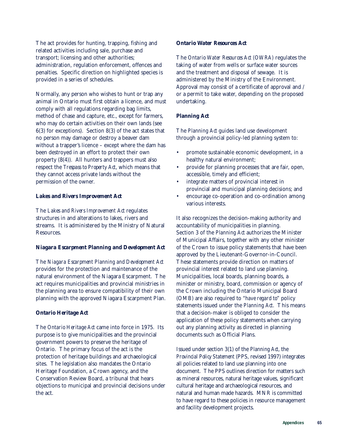The act provides for hunting, trapping, fishing and related activities including sale, purchase and transport; licensing and other authorities; administration, regulation enforcement, offences and penalties. Specific direction on highlighted species is provided in a series of schedules.

Normally, any person who wishes to hunt or trap any animal in Ontario must first obtain a licence, and must comply with all regulations regarding bag limits, method of chase and capture, etc., except for farmers, who may do certain activities on their own lands (see 6(3) for exceptions). Section 8(3) of the act states that no person may damage or destroy a beaver dam without a trapper's licence – except where the dam has been destroyed in an effort to protect their own property (8(4)). All hunters and trappers must also respect the *Trespass to Property Act*, which means that they cannot access private lands without the permission of the owner.

#### *Lakes and Rivers Improvement Act*

The *Lakes and Rivers Improvement Act* regulates structures in and alterations to lakes, rivers and streams. It is administered by the Ministry of Natural Resources.

#### *Niagara Escarpment Planning and Development Act*

The *Niagara Escarpment Planning and Development Act* provides for the protection and maintenance of the natural environment of the Niagara Escarpment. The act requires municipalities and provincial ministries in the planning area to ensure compatibility of their own planning with the approved Niagara Escarpment Plan.

#### *Ontario Heritage Act*

The *Ontario Heritage Act* came into force in 1975. Its purpose is to give municipalities and the provincial government powers to preserve the heritage of Ontario. The primary focus of the act is the protection of heritage buildings and archaeological sites. The legislation also mandates the Ontario Heritage Foundation, a Crown agency, and the Conservation Review Board, a tribunal that hears objections to municipal and provincial decisions under the act.

#### *Ontario Water Resources Act*

The *Ontario Water Resources Act (OWRA)* regulates the taking of water from wells or surface water sources and the treatment and disposal of sewage. It is administered by the Ministry of the Environment. Approval may consist of a certificate of approval and / or a permit to take water, depending on the proposed undertaking.

### *Planning Act*

The *Planning Act* guides land use development through a provincial policy-led planning system to:

- promote sustainable economic development, in a healthy natural environment;
- provide for planning processes that are fair, open, accessible, timely and efficient;
- integrate matters of provincial interest in provincial and municipal planning decisions; and
- encourage co-operation and co-ordination among various interests.

It also recognizes the decision-making authority and accountability of municipalities in planning. Section 3 of the *Planning Act* authorizes the Minister of Municipal Affairs, together with any other minister of the Crown to issue policy statements that have been approved by the Lieutenant-Governor-in-Council. These statements provide direction on matters of provincial interest related to land use planning. Municipalities, local boards, planning boards, a minister or ministry, board, commission or agency of the Crown including the Ontario Municipal Board (OMB) are also required to "*have regard to*" policy statements issued under the *Planning Act*. This means that a decision-maker is obliged to consider the application of these policy statements when carrying out any planning activity as directed in planning documents such as Official Plans.

Issued under section 3(1) of the *Planning Act*, the *Provincial Policy Statement* (PPS, revised 1997) integrates all policies related to land use planning into one document. The PPS outlines direction for matters such as mineral resources, natural heritage values, significant cultural heritage and archaeological resources, and natural and human made hazards. MNR is committed to have regard to these policies in resource management and facility development projects.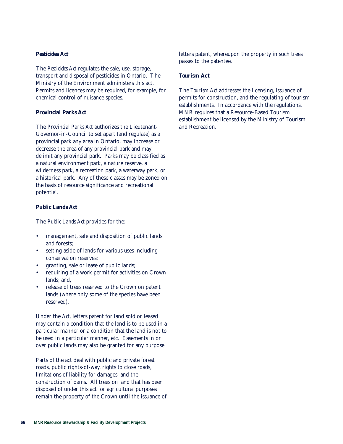### *Pesticides Act*

The *Pesticides Act* regulates the sale, use, storage, transport and disposal of pesticides in Ontario. The Ministry of the Environment administers this act. Permits and licences may be required, for example, for chemical control of nuisance species.

### *Provincial Parks Act*

The *Provincial Parks Act* authorizes the Lieutenant-Governor-in-Council to set apart (and regulate) as a provincial park any area in Ontario, may increase or decrease the area of any provincial park and may delimit any provincial park. Parks may be classified as a natural environment park, a nature reserve, a wilderness park, a recreation park, a waterway park, or a historical park. Any of these classes may be zoned on the basis of resource significance and recreational potential.

### *Public Lands Act*

The *Public Lands Act* provides for the:

- management, sale and disposition of public lands and forests;
- setting aside of lands for various uses including conservation reserves;
- granting, sale or lease of public lands;
- requiring of a work permit for activities on Crown lands; and,
- release of trees reserved to the Crown on patent lands (where only some of the species have been reserved).

Under the *Act*, letters patent for land sold or leased may contain a condition that the land is to be used in a particular manner or a condition that the land is not to be used in a particular manner, etc. Easements in or over public lands may also be granted for any purpose.

Parts of the act deal with public and private forest roads, public rights-of-way, rights to close roads, limitations of liability for damages, and the construction of dams. All trees on land that has been disposed of under this act for agricultural purposes remain the property of the Crown until the issuance of letters patent, whereupon the property in such trees passes to the patentee.

### *Tourism* **Act**

The *Tourism Act* addresses the licensing, issuance of permits for construction, and the regulating of tourism establishments. In accordance with the regulations, MNR requires that a Resource-Based Tourism establishment be licensed by the Ministry of Tourism and Recreation.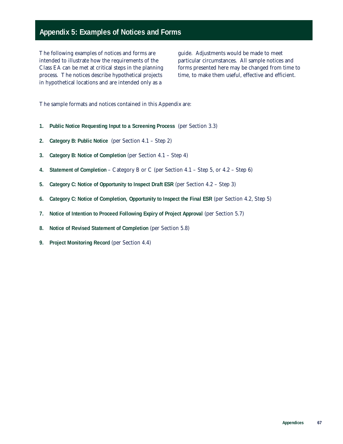# **Appendix 5: Examples of Notices and Forms**

The following examples of notices and forms are intended to illustrate how the requirements of the Class EA can be met at critical steps in the planning process. The notices describe hypothetical projects in hypothetical locations and are intended only as a

guide. Adjustments would be made to meet particular circumstances. All sample notices and forms presented here may be changed from time to time, to make them useful, effective and efficient.

The sample formats and notices contained in this Appendix are:

- **1. Public Notice Requesting Input to a Screening Process** (per Section 3.3)
- **2. Category B: Public Notice** (per Section 4.1 Step 2)
- **3. Category B: Notice of Completion** (per Section 4.1 Step 4)
- **4. Statement of Completion** Category B or C (per Section 4.1 Step 5, or 4.2 Step 6)
- **5. Category C: Notice of Opportunity to Inspect Draft ESR** (per Section 4.2 Step 3)
- **6. Category C: Notice of Completion, Opportunity to Inspect the Final ESR** (per Section 4.2, Step 5)
- **7. Notice of Intention to Proceed Following Expiry of Project Approval** (per Section 5.7)
- **8. Notice of Revised Statement of Completion** (per Section 5.8)
- **9. Project Monitoring Record** (per Section 4.4)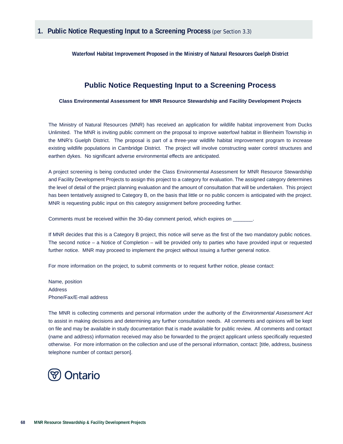**Waterfowl Habitat Improvement Proposed in the Ministry of Natural Resources Guelph District**

# **Public Notice Requesting Input to a Screening Process**

**Class Environmental Assessment for MNR Resource Stewardship and Facility Development Projects**

The Ministry of Natural Resources (MNR) has received an application for wildlife habitat improvement from Ducks Unlimited. The MNR is inviting public comment on the proposal to improve waterfowl habitat in Blenheim Township in the MNR's Guelph District. The proposal is part of a three-year wildlife habitat improvement program to increase existing wildlife populations in Cambridge District. The project will involve constructing water control structures and earthen dykes. No significant adverse environmental effects are anticipated.

A project screening is being conducted under the Class Environmental Assessment for MNR Resource Stewardship and Facility Development Projects to assign this project to a category for evaluation. The assigned category determines the level of detail of the project planning evaluation and the amount of consultation that will be undertaken. This project has been tentatively assigned to Category B, on the basis that little or no public concern is anticipated with the project. MNR is requesting public input on this category assignment before proceeding further.

Comments must be received within the 30-day comment period, which expires on \_

If MNR decides that this is a Category B project, this notice will serve as the first of the two mandatory public notices. The second notice – a Notice of Completion – will be provided only to parties who have provided input or requested further notice. MNR may proceed to implement the project without issuing a further general notice.

For more information on the project, to submit comments or to request further notice, please contact:

Name, position Address Phone/Fax/E-mail address

The MNR is collecting comments and personal information under the authority of the *Environmental Assessment Act* to assist in making decisions and determining any further consultation needs. All comments and opinions will be kept on file and may be available in study documentation that is made available for public review. All comments and contact (name and address) information received may also be forwarded to the project applicant unless specifically requested otherwise. For more information on the collection and use of the personal information, contact: [title, address, business telephone number of contact person].

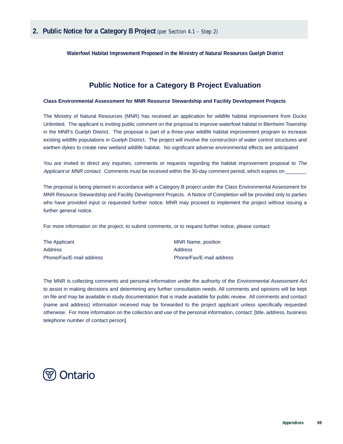**Waterfowl Habitat Improvement Proposed in the Ministry of Natural Resources Guelph District**

# **Public Notice for a Category B Project Evaluation**

### **Class Environmental Assessment for MNR Resource Stewardship and Facility Development Projects**

The Ministry of Natural Resources (MNR) has received an application for wildlife habitat improvement from Ducks Unlimited. The applicant is inviting public comment on the proposal to improve waterfowl habitat in Blenheim Township in the MNR's Guelph District. The proposal is part of a three-year wildlife habitat improvement program to increase existing wildlife populations in Guelph District. The project will involve the construction of water control structures and earthen dykes to create new wetland wildlife habitat. No significant adverse environmental effects are anticipated

You are invited to direct any inquiries, comments or requests regarding the habitat improvement proposal to The Applicant or MNR contact. Comments must be received within the 30-day comment period, which expires on

The proposal is being planned in accordance with a Category B project under the Class Environmental Assessment for MNR Resource Stewardship and Facility Development Projects. A Notice of Completion will be provided only to parties who have provided input or requested further notice. MNR may proceed to implement the project without issuing a further general notice.

For more information on the project, to submit comments, or to request further notice, please contact:

| The Applicant            | MNR Name, position       |
|--------------------------|--------------------------|
| Address                  | Address                  |
| Phone/Fax/E-mail address | Phone/Fax/E-mail address |

The MNR is collecting comments and personal information under the authority of the *Environmental Assessment Act* to assist in making decisions and determining any further consultation needs. All comments and opinions will be kept on file and may be available in study documentation that is made available for public review. All comments and contact (name and address) information received may be forwarded to the project applicant unless specifically requested otherwise. For more information on the collection and use of the personal information, contact: [title, address, business telephone number of contact person].

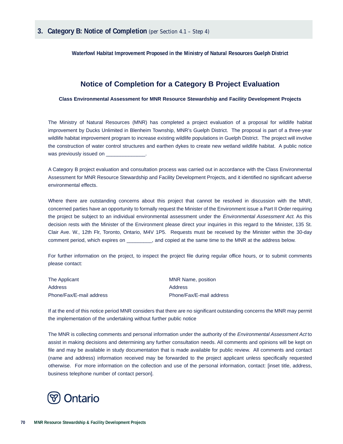**Waterfowl Habitat Improvement Proposed in the Ministry of Natural Resources Guelph District**

### **Notice of Completion for a Category B Project Evaluation**

**Class Environmental Assessment for MNR Resource Stewardship and Facility Development Projects**

The Ministry of Natural Resources (MNR) has completed a project evaluation of a proposal for wildlife habitat improvement by Ducks Unlimited in Blenheim Township, MNR's Guelph District. The proposal is part of a three-year wildlife habitat improvement program to increase existing wildlife populations in Guelph District. The project will involve the construction of water control structures and earthen dykes to create new wetland wildlife habitat. A public notice was previously issued on

A Category B project evaluation and consultation process was carried out in accordance with the Class Environmental Assessment for MNR Resource Stewardship and Facility Development Projects, and it identified no significant adverse environmental effects.

Where there are outstanding concerns about this project that cannot be resolved in discussion with the MNR, concerned parties have an opportunity to formally request the Minister of the Environment issue a Part II Order requiring the project be subject to an individual environmental assessment under the Environmental Assessment Act. As this decision rests with the Minister of the Environment please direct your inquiries in this regard to the Minister, 135 St. Clair Ave. W., 12th Flr, Toronto, Ontario, M4V 1P5. Requests must be received by the Minister within the 30-day comment period, which expires on \_\_\_\_\_\_\_\_\_, and copied at the same time to the MNR at the address below.

For further information on the project, to inspect the project file during regular office hours, or to submit comments please contact:

| The Applicant            | MNR Name, position       |
|--------------------------|--------------------------|
| Address                  | Address                  |
| Phone/Fax/E-mail address | Phone/Fax/E-mail address |

If at the end of this notice period MNR considers that there are no significant outstanding concerns the MNR may permit the implementation of the undertaking without further public notice

The MNR is collecting comments and personal information under the authority of the *Environmental Assessment Act* to assist in making decisions and determining any further consultation needs. All comments and opinions will be kept on file and may be available in study documentation that is made available for public review. All comments and contact (name and address) information received may be forwarded to the project applicant unless specifically requested otherwise. For more information on the collection and use of the personal information, contact: [inset title, address, business telephone number of contact person].

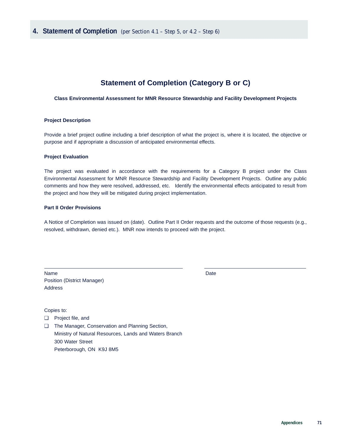# **Statement of Completion (Category B or C)**

### **Class Environmental Assessment for MNR Resource Stewardship and Facility Development Projects**

### **Project Description**

Provide a brief project outline including a brief description of what the project is, where it is located, the objective or purpose and if appropriate a discussion of anticipated environmental effects.

### **Project Evaluation**

The project was evaluated in accordance with the requirements for a Category B project under the Class Environmental Assessment for MNR Resource Stewardship and Facility Development Projects. Outline any public comments and how they were resolved, addressed, etc. Identify the environmental effects anticipated to result from the project and how they will be mitigated during project implementation.

### **Part II Order Provisions**

A Notice of Completion was issued on (date). Outline Part II Order requests and the outcome of those requests (e.g., resolved, withdrawn, denied etc.). MNR now intends to proceed with the project.

Name Date Date by the United States of the United States of the United States of the Date Position (District Manager) Address

Copies to:

- ❑ Project file, and
- ❑ The Manager, Conservation and Planning Section, Ministry of Natural Resources, Lands and Waters Branch 300 Water Street Peterborough, ON K9J 8M5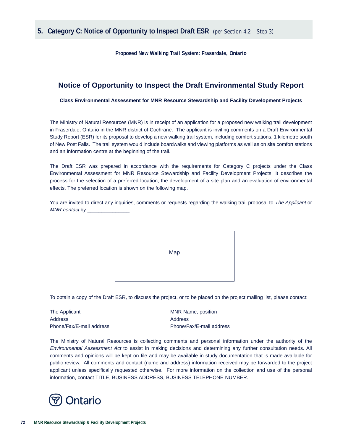**Proposed New Walking Trail System: Fraserdale, Ontario**

## **Notice of Opportunity to Inspect the Draft Environmental Study Report**

**Class Environmental Assessment for MNR Resource Stewardship and Facility Development Projects**

The Ministry of Natural Resources (MNR) is in receipt of an application for a proposed new walking trail development in Fraserdale, Ontario in the MNR district of Cochrane. The applicant is inviting comments on a Draft Environmental Study Report (ESR) for its proposal to develop a new walking trail system, including comfort stations, 1 kilometre south of New Post Falls. The trail system would include boardwalks and viewing platforms as well as on site comfort stations and an information centre at the beginning of the trail.

The Draft ESR was prepared in accordance with the requirements for Category C projects under the Class Environmental Assessment for MNR Resource Stewardship and Facility Development Projects. It describes the process for the selection of a preferred location, the development of a site plan and an evaluation of environmental effects. The preferred location is shown on the following map.

You are invited to direct any inquiries, comments or requests regarding the walking trail proposal to The Applicant or MNR contact by



To obtain a copy of the Draft ESR, to discuss the project, or to be placed on the project mailing list, please contact:

The Applicant The Applicant MNR Name, position Address Address Phone/Fax/E-mail address Phone/Fax/E-mail address

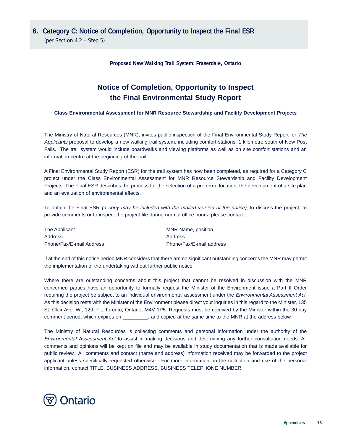# **6. Category C: Notice of Completion, Opportunity to Inspect the Final ESR**

(per Section 4.2 – Step 5)

**Proposed New Walking Trail System: Fraserdale, Ontario**

# **Notice of Completion, Opportunity to Inspect the Final Environmental Study Report**

### **Class Environmental Assessment for MNR Resource Stewardship and Facility Development Projects**

The Ministry of Natural Resources (MNR), invites public inspection of the Final Environmental Study Report for The Applicants proposal to develop a new walking trail system, including comfort stations, 1 kilometre south of New Post Falls. The trail system would include boardwalks and viewing platforms as well as on site comfort stations and an information centre at the beginning of the trail.

A Final Environmental Study Report (ESR) for the trail system has now been completed, as required for a Category C project under the Class Environmental Assessment for MNR Resource Stewardship and Facility Development Projects. The Final ESR describes the process for the selection of a preferred location, the development of a site plan and an evaluation of environmental effects.

To obtain the Final ESR (a copy may be included with the mailed version of the notice), to discuss the project, to provide comments or to inspect the project file during normal office hours, please contact:

| The Applicant            | MNR Name, position       |
|--------------------------|--------------------------|
| Address                  | Address                  |
| Phone/Fax/E-mail Address | Phone/Fax/E-mail address |

If at the end of this notice period MNR considers that there are no significant outstanding concerns the MNR may permit the implementation of the undertaking without further public notice.

Where there are outstanding concerns about this project that cannot be resolved in discussion with the MNR concerned parties have an opportunity to formally request the Minister of the Environment issue a Part II Order requiring the project be subject to an individual environmental assessment under the Environmental Assessment Act. As this decision rests with the Minister of the Environment please direct your inquiries in this regard to the Minister, 135 St. Clair Ave. W., 12th Flr, Toronto, Ontario, M4V 1P5. Requests must be received by the Minister within the 30-day comment period, which expires on \_\_\_\_\_\_\_\_\_, and copied at the same time to the MNR at the address below.

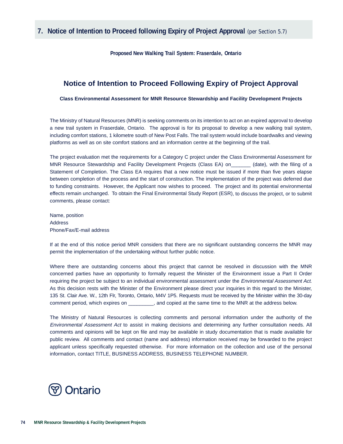**Proposed New Walking Trail System: Fraserdale, Ontario** 

### **Notice of Intention to Proceed Following Expiry of Project Approval**

**Class Environmental Assessment for MNR Resource Stewardship and Facility Development Projects**

The Ministry of Natural Resources (MNR) is seeking comments on its intention to act on an expired approval to develop a new trail system in Fraserdale, Ontario. The approval is for its proposal to develop a new walking trail system, including comfort stations, 1 kilometre south of New Post Falls. The trail system would include boardwalks and viewing platforms as well as on site comfort stations and an information centre at the beginning of the trail.

The project evaluation met the requirements for a Category C project under the Class Environmental Assessment for MNR Resource Stewardship and Facility Development Projects (Class EA) on (date), with the filing of a Statement of Completion. The Class EA requires that a new notice must be issued if more than five years elapse between completion of the process and the start of construction. The implementation of the project was deferred due to funding constraints. However, the Applicant now wishes to proceed. The project and its potential environmental effects remain unchanged. To obtain the Final Environmental Study Report (ESR), to discuss the project, or to submit comments, please contact:

Name, position Address Phone/Fax/E-mail address

If at the end of this notice period MNR considers that there are no significant outstanding concerns the MNR may permit the implementation of the undertaking without further public notice.

Where there are outstanding concerns about this project that cannot be resolved in discussion with the MNR concerned parties have an opportunity to formally request the Minister of the Environment issue a Part II Order requiring the project be subject to an individual environmental assessment under the Environmental Assessment Act. As this decision rests with the Minister of the Environment please direct your inquiries in this regard to the Minister, 135 St. Clair Ave. W., 12th Flr, Toronto, Ontario, M4V 1P5. Requests must be received by the Minister within the 30-day comment period, which expires on \_\_\_\_\_\_\_\_\_, and copied at the same time to the MNR at the address below.

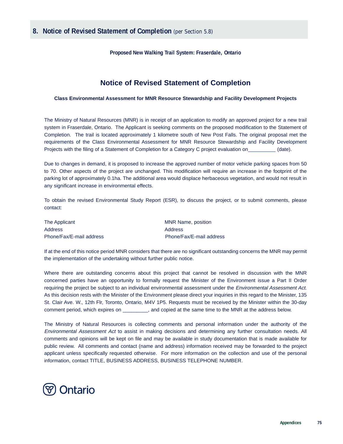**Proposed New Walking Trail System: Fraserdale, Ontario** 

## **Notice of Revised Statement of Completion**

### **Class Environmental Assessment for MNR Resource Stewardship and Facility Development Projects**

The Ministry of Natural Resources (MNR) is in receipt of an application to modify an approved project for a new trail system in Fraserdale, Ontario. The Applicant is seeking comments on the proposed modification to the Statement of Completion. The trail is located approximately 1 kilometre south of New Post Falls. The original proposal met the requirements of the Class Environmental Assessment for MNR Resource Stewardship and Facility Development Projects with the filing of a Statement of Completion for a Category C project evaluation on (date).

Due to changes in demand, it is proposed to increase the approved number of motor vehicle parking spaces from 50 to 70. Other aspects of the project are unchanged. This modification will require an increase in the footprint of the parking lot of approximately 0.1ha. The additional area would displace herbaceous vegetation, and would not result in any significant increase in environmental effects.

To obtain the revised Environmental Study Report (ESR), to discuss the project, or to submit comments, please contact:

| The Applicant            | MNR Name, position       |
|--------------------------|--------------------------|
| Address                  | Address                  |
| Phone/Fax/E-mail address | Phone/Fax/E-mail address |

If at the end of this notice period MNR considers that there are no significant outstanding concerns the MNR may permit the implementation of the undertaking without further public notice.

Where there are outstanding concerns about this project that cannot be resolved in discussion with the MNR concerned parties have an opportunity to formally request the Minister of the Environment issue a Part II Order requiring the project be subject to an individual environmental assessment under the *Environmental Assessment Act.* As this decision rests with the Minister of the Environment please direct your inquiries in this regard to the Minister, 135 St. Clair Ave. W., 12th Flr, Toronto, Ontario, M4V 1P5. Requests must be received by the Minister within the 30-day comment period, which expires on \_\_\_\_\_\_\_\_\_, and copied at the same time to the MNR at the address below.

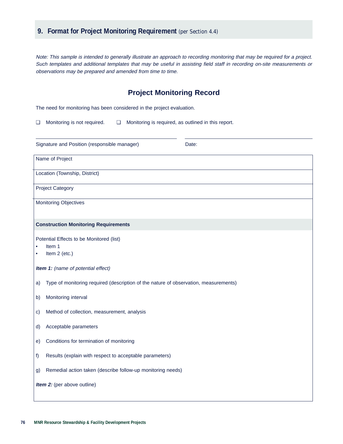Note: This sample is intended to generally illustrate an approach to recording monitoring that may be required for a project. Such templates and additional templates that may be useful in assisting field staff in recording on-site measurements or observations may be prepared and amended from time to time.

### **Project Monitoring Record**

The need for monitoring has been considered in the project evaluation.

❏ Monitoring is not required. ❏ Monitoring is required, as outlined in this report.

| Signature and Position (responsible manager)<br>Date:                                      |  |  |
|--------------------------------------------------------------------------------------------|--|--|
| Name of Project                                                                            |  |  |
| Location (Township, District)                                                              |  |  |
| <b>Project Category</b>                                                                    |  |  |
| <b>Monitoring Objectives</b>                                                               |  |  |
| <b>Construction Monitoring Requirements</b>                                                |  |  |
| Potential Effects to be Monitored (list)<br>Item 1<br>Item 2 (etc.)                        |  |  |
| Item 1: (name of potential effect)                                                         |  |  |
| Type of monitoring required (description of the nature of observation, measurements)<br>a) |  |  |
| Monitoring interval<br>b)                                                                  |  |  |
| Method of collection, measurement, analysis<br>$\mathbf{C}$                                |  |  |
| Acceptable parameters<br>d)                                                                |  |  |
| Conditions for termination of monitoring<br>e)                                             |  |  |
| Results (explain with respect to acceptable parameters)<br>f                               |  |  |
| Remedial action taken (describe follow-up monitoring needs)<br>g)                          |  |  |
| Item 2: (per above outline)                                                                |  |  |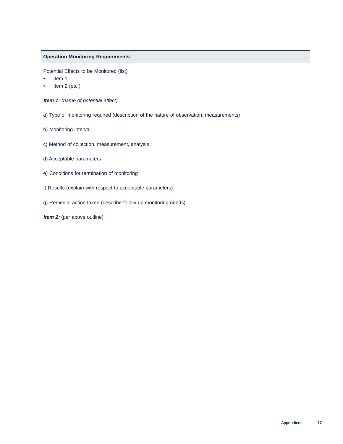### **Operation Monitoring Requirements**

Potential Effects to be Monitored (list)

- Item 1
- Item 2 (etc.)

**Item 1:** (name of potential effect)

- a) Type of monitoring required (description of the nature of observation, measurements)
- b) Monitoring interval
- c) Method of collection, measurement, analysis
- d) Acceptable parameters
- e) Conditions for termination of monitoring
- f) Results (explain with respect to acceptable parameters)
- g) Remedial action taken (describe follow-up monitoring needs)
- **Item 2:** (per above outline)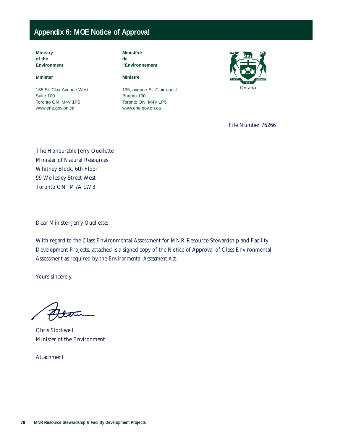# **Appendix 6: MOE Notice of Approval**

**Ministry of the Environment**

### **Minister**

135 St. Clair Avenue West Suite 100 Toronto ON M4V 1P5 www.ene.gov.on.ca

**Ministère de l'Environnement**

### **Ministre**

135, avenue St. Clair ouest Bureau 100 Toronto ON M4V 1P5 www.ene.gov.on.ca



File Number 76266

The Honourable Jerry Ouellette Minister of Natural Resources Whitney Block, 6th Floor 99 Wellesley Street West Toronto ON M7A 1W3

Dear Minister Jerry Ouellette:

With regard to the Class Environmental Assessment for MNR Resource Stewardship and Facility Development Projects, attached is a signed copy of the Notice of Approval of Class Environmental Assessment as required by the *Environmental Assessment Act*.

Yours sincerely,

Altra

Chris Stockwell Minister of the Environment

Attachment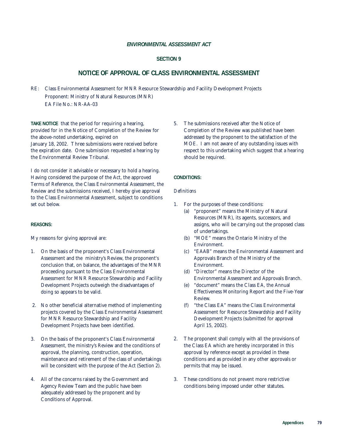### *ENVIRONMENTAL ASSESSMENT ACT*

### **SECTION 9**

### **NOTICE OF APPROVAL OF CLASS ENVIRONMENTAL ASSESSMENT**

RE: Class Environmental Assessment for MNR Resource Stewardship and Facility Development Projects Proponent: Ministry of Natural Resources (MNR) EA File No.: NR-AA-03

**TAKE NOTICE** that the period for requiring a hearing, provided for in the Notice of Completion of the Review for the above-noted undertaking, expired on January 18, 2002. Three submissions were received before the expiration date. One submission requested a hearing by the Environmental Review Tribunal.

I do not consider it advisable or necessary to hold a hearing. Having considered the purpose of the Act, the approved Terms of Reference, the Class Environmental Assessment, the Review and the submissions received, I hereby give approval to the Class Environmental Assessment, subject to conditions set out below.

### **REASONS:**

My reasons for giving approval are:

- 1. On the basis of the proponent's Class Environmental Assessment and the ministry's Review, the proponent's conclusion that, on balance, the advantages of the MNR proceeding pursuant to the Class Environmental Assessment for MNR Resource Stewardship and Facility Development Projects outweigh the disadvantages of doing so appears to be valid.
- 2. No other beneficial alternative method of implementing projects covered by the Class Environmental Assessment for MNR Resource Stewardship and Facility Development Projects have been identified.
- 3. On the basis of the proponent's Class Environmental Assessment, the ministry's Review and the conditions of approval, the planning, construction, operation, maintenance and retirement of the class of undertakings will be consistent with the purpose of the Act (Section 2).
- 4. All of the concerns raised by the Government and Agency Review Team and the public have been adequately addressed by the proponent and by Conditions of Approval.

5. The submissions received after the Notice of Completion of the Review was published have been addressed by the proponent to the satisfaction of the MOE. I am not aware of any outstanding issues with respect to this undertaking which suggest that a hearing should be required.

### **CONDITIONS:**

#### *Definitions*

- 1. For the purposes of these conditions:
	- (a) "proponent" means the Ministry of Natural Resources (MNR), its agents, successors, and assigns, who will be carrying out the proposed class of undertakings.
	- (b) "MOE" means the Ontario Ministry of the Environment.
	- (c) "EAAB" means the Environmental Assessment and Approvals Branch of the Ministry of the Environment.
	- (d) "Director" means the Director of the Environmental Assessment and Approvals Branch.
	- (e) "document" means the Class EA, the Annual Effectiveness Monitoring Report and the Five-Year Review.
	- (f) "the Class EA" means the Class Environmental Assessment for Resource Stewardship and Facility Development Projects (submitted for approval April 15, 2002).
- 2. The proponent shall comply with all the provisions of the Class EA which are hereby incorporated in this approval by reference except as provided in these conditions and as provided in any other approvals or permits that may be issued.
- 3. These conditions do not prevent more restrictive conditions being imposed under other statutes.